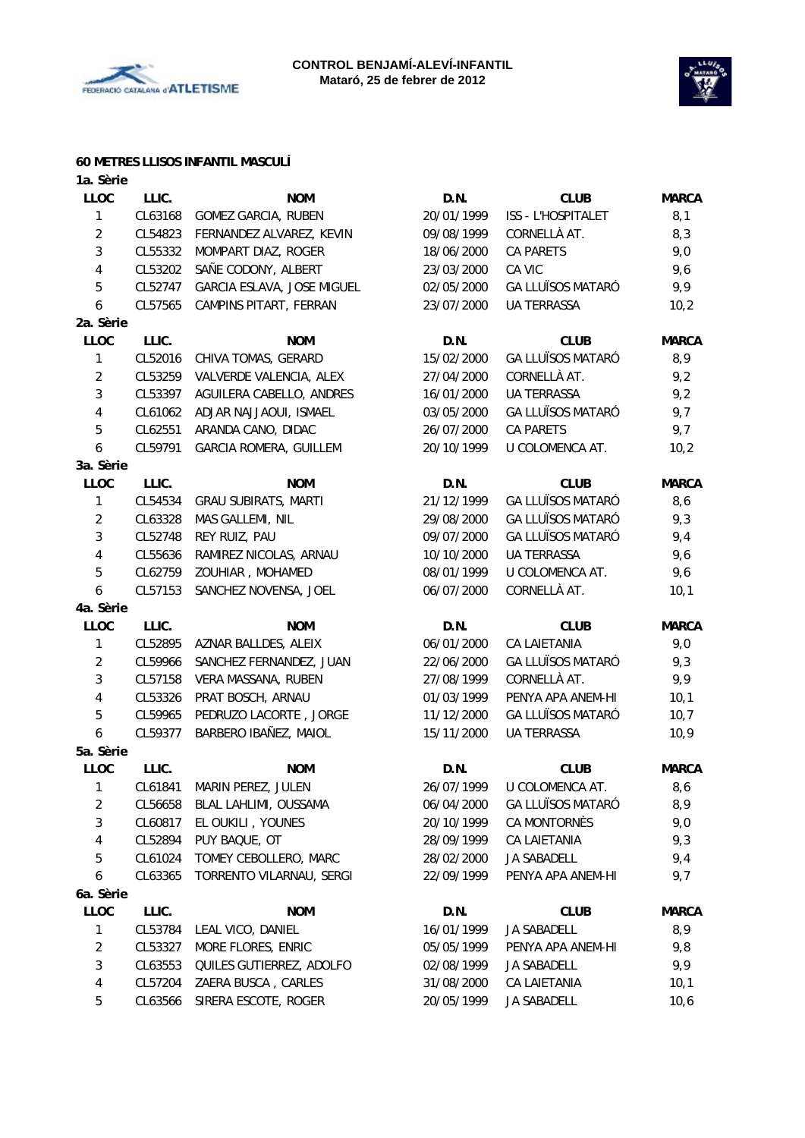



## **60 METRES LLISOS INFANTIL MASCULÍ**

| 1a. Sèrie      |         |                             |            |                          |              |
|----------------|---------|-----------------------------|------------|--------------------------|--------------|
| <b>LLOC</b>    | LLIC.   | <b>NOM</b>                  | D.N.       | <b>CLUB</b>              | <b>MARCA</b> |
| $\mathbf{1}$   | CL63168 | <b>GOMEZ GARCIA, RUBEN</b>  | 20/01/1999 | ISS - L'HOSPITALET       | 8,1          |
| $\overline{c}$ | CL54823 | FERNANDEZ ALVAREZ, KEVIN    | 09/08/1999 | CORNELLÀ AT.             | 8,3          |
| 3              | CL55332 | MOMPART DIAZ, ROGER         | 18/06/2000 | <b>CA PARETS</b>         | 9,0          |
| 4              | CL53202 | SAÑE CODONY, ALBERT         | 23/03/2000 | CA VIC                   | 9,6          |
| 5              | CL52747 | GARCIA ESLAVA, JOSE MIGUEL  | 02/05/2000 | <b>GA LLUÏSOS MATARÓ</b> | 9,9          |
| 6              | CL57565 | CAMPINS PITART, FERRAN      | 23/07/2000 | <b>UA TERRASSA</b>       | 10,2         |
| 2a. Sèrie      |         |                             |            |                          |              |
| <b>LLOC</b>    | LLIC.   | <b>NOM</b>                  | D.N.       | <b>CLUB</b>              | <b>MARCA</b> |
| 1              | CL52016 | CHIVA TOMAS, GERARD         | 15/02/2000 | <b>GA LLUÏSOS MATARÓ</b> | 8,9          |
| $\overline{2}$ | CL53259 | VALVERDE VALENCIA, ALEX     | 27/04/2000 | CORNELLÀ AT.             | 9,2          |
| 3              | CL53397 | AGUILERA CABELLO, ANDRES    | 16/01/2000 | <b>UA TERRASSA</b>       | 9,2          |
| 4              | CL61062 | ADJAR NAJJAOUI, ISMAEL      | 03/05/2000 | <b>GA LLUÏSOS MATARÓ</b> | 9,7          |
| 5              | CL62551 | ARANDA CANO, DIDAC          | 26/07/2000 | <b>CA PARETS</b>         | 9,7          |
| 6              | CL59791 | GARCIA ROMERA, GUILLEM      | 20/10/1999 | U COLOMENCA AT.          | 10,2         |
| 3a. Sèrie      |         |                             |            |                          |              |
| <b>LLOC</b>    | LLIC.   | <b>NOM</b>                  | D.N.       | <b>CLUB</b>              | <b>MARCA</b> |
| 1              | CL54534 | <b>GRAU SUBIRATS, MARTI</b> | 21/12/1999 | <b>GA LLUÏSOS MATARÓ</b> | 8,6          |
| $\overline{c}$ | CL63328 | MAS GALLEMI, NIL            | 29/08/2000 | <b>GA LLUÏSOS MATARÓ</b> | 9,3          |
| 3              | CL52748 | REY RUIZ, PAU               | 09/07/2000 | <b>GA LLUÏSOS MATARÓ</b> | 9,4          |
| 4              | CL55636 | RAMIREZ NICOLAS, ARNAU      | 10/10/2000 | <b>UA TERRASSA</b>       | 9,6          |
| 5              | CL62759 | ZOUHIAR, MOHAMED            | 08/01/1999 | U COLOMENCA AT.          | 9,6          |
| 6              | CL57153 | SANCHEZ NOVENSA, JOEL       | 06/07/2000 | CORNELLÀ AT.             | 10,1         |
| 4a. Sèrie      |         |                             |            |                          |              |
| <b>LLOC</b>    | LLIC.   | <b>NOM</b>                  | D.N.       | <b>CLUB</b>              | <b>MARCA</b> |
| 1              | CL52895 | AZNAR BALLDES, ALEIX        | 06/01/2000 | CA LAIETANIA             | 9,0          |
| $\overline{c}$ | CL59966 | SANCHEZ FERNANDEZ, JUAN     | 22/06/2000 | <b>GA LLUÏSOS MATARÓ</b> | 9,3          |
| 3              | CL57158 | VERA MASSANA, RUBEN         | 27/08/1999 | CORNELLÀ AT.             | 9,9          |
| 4              | CL53326 | PRAT BOSCH, ARNAU           | 01/03/1999 | PENYA APA ANEM-HI        | 10,1         |
| 5              | CL59965 | PEDRUZO LACORTE, JORGE      | 11/12/2000 | <b>GA LLUÏSOS MATARÓ</b> | 10,7         |
| 6              | CL59377 | BARBERO IBAÑEZ, MAIOL       | 15/11/2000 | <b>UA TERRASSA</b>       | 10,9         |
| 5a. Sèrie      |         |                             |            |                          |              |
| <b>LLOC</b>    | LLIC.   | <b>NOM</b>                  | D.N.       | <b>CLUB</b>              | <b>MARCA</b> |
| 1              | CL61841 | MARIN PEREZ, JULEN          | 26/07/1999 | U COLOMENCA AT.          | 8,6          |
| $\overline{c}$ | CL56658 | BLAL LAHLIMI, OUSSAMA       | 06/04/2000 | <b>GA LLUÏSOS MATARÓ</b> | 8,9          |
| 3              | CL60817 | EL OUKILI, YOUNES           | 20/10/1999 | CA MONTORNÈS             | 9,0          |
| 4              | CL52894 | PUY BAQUE, OT               | 28/09/1999 | CA LAIETANIA             | 9,3          |
| 5              | CL61024 | TOMEY CEBOLLERO, MARC       | 28/02/2000 | JA SABADELL              | 9,4          |
| 6              | CL63365 | TORRENTO VILARNAU, SERGI    | 22/09/1999 | PENYA APA ANEM-HI        | 9,7          |
| 6a. Sèrie      |         |                             |            |                          |              |
| <b>LLOC</b>    | LLIC.   | <b>NOM</b>                  | D.N.       | <b>CLUB</b>              | <b>MARCA</b> |
| 1              | CL53784 | LEAL VICO, DANIEL           | 16/01/1999 | JA SABADELL              | 8,9          |
| $\overline{2}$ | CL53327 | MORE FLORES, ENRIC          | 05/05/1999 | PENYA APA ANEM-HI        | 9,8          |
| 3              | CL63553 | QUILES GUTIERREZ, ADOLFO    | 02/08/1999 | JA SABADELL              | 9,9          |
| 4              | CL57204 | ZAERA BUSCA, CARLES         | 31/08/2000 | CA LAIETANIA             | 10,1         |
| 5              | CL63566 | SIRERA ESCOTE, ROGER        | 20/05/1999 | JA SABADELL              | 10, 6        |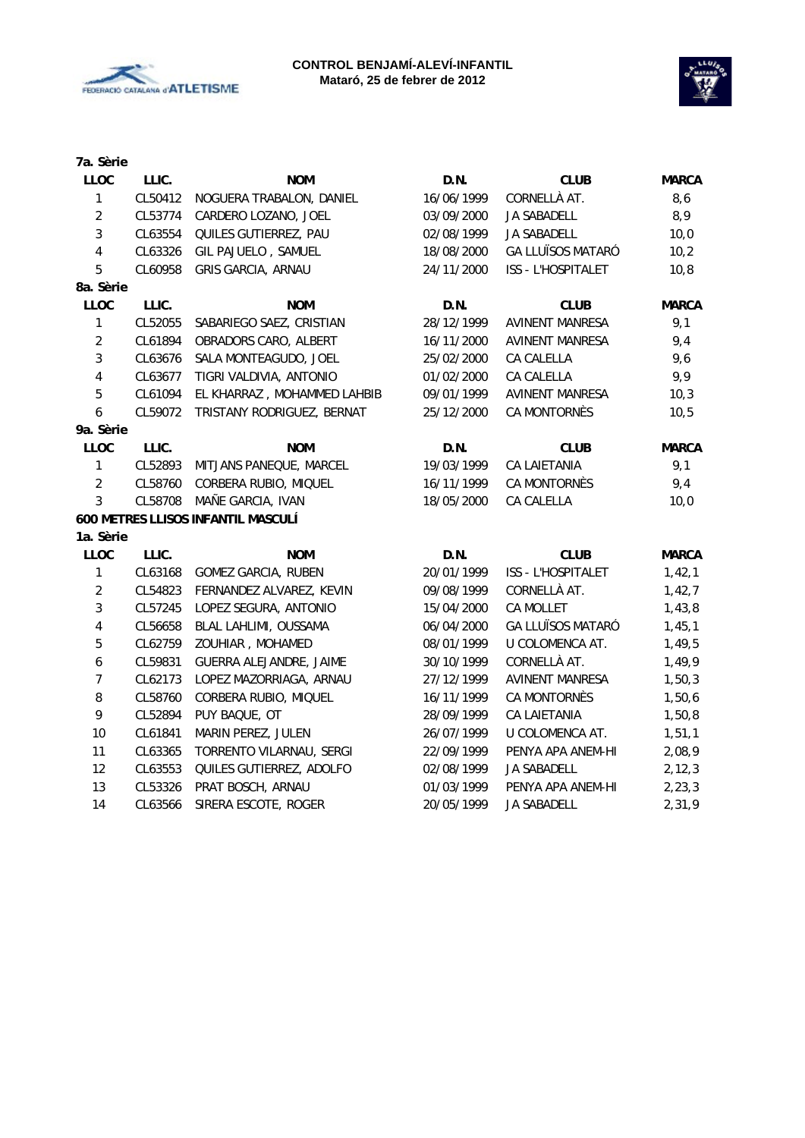



| 7a. Sèrie        |         |                                    |            |                          |              |
|------------------|---------|------------------------------------|------------|--------------------------|--------------|
| <b>LLOC</b>      | LLIC.   | <b>NOM</b>                         | D.N.       | <b>CLUB</b>              | <b>MARCA</b> |
| $\mathbf{1}$     | CL50412 | NOGUERA TRABALON, DANIEL           | 16/06/1999 | CORNELLÀ AT.             | 8,6          |
| $\overline{2}$   | CL53774 | CARDERO LOZANO, JOEL               | 03/09/2000 | JA SABADELL              | 8,9          |
| $\mathbf{3}$     | CL63554 | QUILES GUTIERREZ, PAU              | 02/08/1999 | JA SABADELL              | 10,0         |
| $\overline{4}$   | CL63326 | GIL PAJUELO, SAMUEL                | 18/08/2000 | <b>GA LLUÏSOS MATARÓ</b> | 10,2         |
| 5                | CL60958 | GRIS GARCIA, ARNAU                 | 24/11/2000 | ISS - L'HOSPITALET       | 10, 8        |
| 8a. Sèrie        |         |                                    |            |                          |              |
| <b>LLOC</b>      | LLIC.   | <b>NOM</b>                         | D.N.       | <b>CLUB</b>              | <b>MARCA</b> |
| $\mathbf{1}$     | CL52055 | SABARIEGO SAEZ, CRISTIAN           | 28/12/1999 | <b>AVINENT MANRESA</b>   | 9,1          |
| $\overline{2}$   | CL61894 | OBRADORS CARO, ALBERT              | 16/11/2000 | <b>AVINENT MANRESA</b>   | 9,4          |
| $\sqrt{3}$       | CL63676 | SALA MONTEAGUDO, JOEL              | 25/02/2000 | CA CALELLA               | 9,6          |
| $\overline{4}$   | CL63677 | TIGRI VALDIVIA, ANTONIO            | 01/02/2000 | CA CALELLA               | 9,9          |
| $\overline{5}$   | CL61094 | EL KHARRAZ, MOHAMMED LAHBIB        | 09/01/1999 | <b>AVINENT MANRESA</b>   | 10,3         |
| $\boldsymbol{6}$ | CL59072 | TRISTANY RODRIGUEZ, BERNAT         | 25/12/2000 | CA MONTORNÈS             | 10, 5        |
| 9a. Sèrie        |         |                                    |            |                          |              |
| LLOC             | LLIC.   | <b>NOM</b>                         | D.N.       | <b>CLUB</b>              | <b>MARCA</b> |
| $\mathbf{1}$     | CL52893 | MITJANS PANEQUE, MARCEL            | 19/03/1999 | CA LAIETANIA             | 9,1          |
| $\overline{2}$   | CL58760 | CORBERA RUBIO, MIQUEL              | 16/11/1999 | CA MONTORNÈS             | 9,4          |
| 3                | CL58708 | MAÑE GARCIA, IVAN                  | 18/05/2000 | CA CALELLA               | 10,0         |
|                  |         | 600 METRES LLISOS INFANTIL MASCULÍ |            |                          |              |
| 1a. Sèrie        |         |                                    |            |                          |              |
| <b>LLOC</b>      | LLIC.   | <b>NOM</b>                         | D.N.       | <b>CLUB</b>              | <b>MARCA</b> |
| $\mathbf{1}$     | CL63168 | <b>GOMEZ GARCIA, RUBEN</b>         | 20/01/1999 | ISS - L'HOSPITALET       | 1,42,1       |
| $\overline{2}$   | CL54823 | FERNANDEZ ALVAREZ, KEVIN           | 09/08/1999 | CORNELLÀ AT.             | 1,42,7       |
| $\mathbf{3}$     | CL57245 | LOPEZ SEGURA, ANTONIO              | 15/04/2000 | CA MOLLET                | 1,43,8       |
| $\sqrt{4}$       | CL56658 | BLAL LAHLIMI, OUSSAMA              | 06/04/2000 | <b>GA LLUÏSOS MATARÓ</b> | 1,45,1       |
| $\mathbf 5$      | CL62759 | ZOUHIAR, MOHAMED                   | 08/01/1999 | U COLOMENCA AT.          | 1,49,5       |
| $\boldsymbol{6}$ | CL59831 | GUERRA ALEJANDRE, JAIME            | 30/10/1999 | CORNELLÀ AT.             | 1,49,9       |
| $\overline{7}$   | CL62173 | LOPEZ MAZORRIAGA, ARNAU            | 27/12/1999 | <b>AVINENT MANRESA</b>   | 1, 50, 3     |
| 8                | CL58760 | CORBERA RUBIO, MIQUEL              | 16/11/1999 | CA MONTORNÈS             | 1,50,6       |
| 9                | CL52894 | PUY BAQUE, OT                      | 28/09/1999 | CA LAIETANIA             | 1,50,8       |
| 10               | CL61841 | MARIN PEREZ, JULEN                 | 26/07/1999 | U COLOMENCA AT.          | 1,51,1       |
| 11               | CL63365 | TORRENTO VILARNAU, SERGI           | 22/09/1999 | PENYA APA ANEM-HI        | 2,08,9       |
| 12               | CL63553 | QUILES GUTIERREZ, ADOLFO           | 02/08/1999 | JA SABADELL              | 2, 12, 3     |
| 13               | CL53326 | PRAT BOSCH, ARNAU                  | 01/03/1999 | PENYA APA ANEM-HI        | 2,23,3       |
| 14               | CL63566 | SIRERA ESCOTE, ROGER               | 20/05/1999 | JA SABADELL              | 2,31,9       |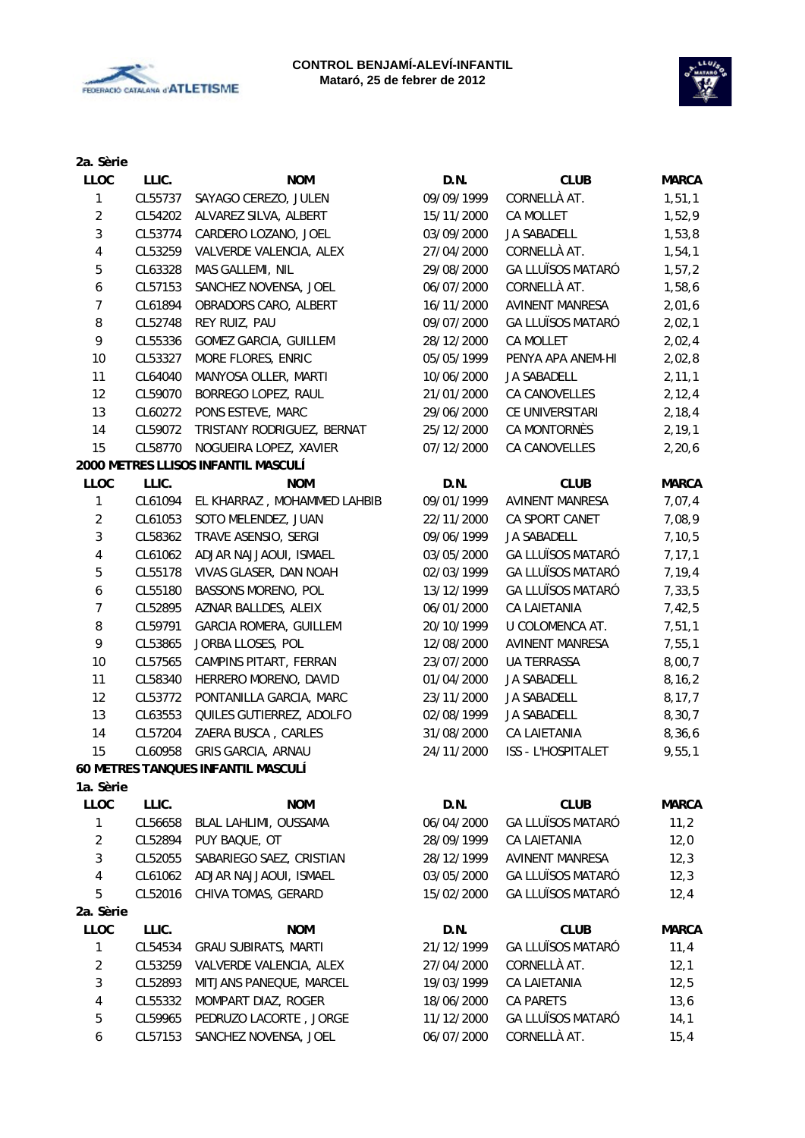



| 2a. Sèrie        |         |                                     |            |                          |              |
|------------------|---------|-------------------------------------|------------|--------------------------|--------------|
| <b>LLOC</b>      | LLIC.   | <b>NOM</b>                          | D.N.       | <b>CLUB</b>              | <b>MARCA</b> |
| $\mathbf{1}$     | CL55737 | SAYAGO CEREZO, JULEN                | 09/09/1999 | CORNELLÀ AT.             | 1,51,1       |
| $\sqrt{2}$       | CL54202 | ALVAREZ SILVA, ALBERT               | 15/11/2000 | CA MOLLET                | 1,52,9       |
| $\mathbf{3}$     | CL53774 | CARDERO LOZANO, JOEL                | 03/09/2000 | JA SABADELL              | 1,53,8       |
| $\sqrt{4}$       | CL53259 | VALVERDE VALENCIA, ALEX             | 27/04/2000 | CORNELLÀ AT.             | 1,54,1       |
| 5                | CL63328 | MAS GALLEMI, NIL                    | 29/08/2000 | <b>GA LLUÏSOS MATARÓ</b> | 1,57,2       |
| $\boldsymbol{6}$ | CL57153 | SANCHEZ NOVENSA, JOEL               | 06/07/2000 | CORNELLÀ AT.             | 1,58,6       |
| $\overline{7}$   | CL61894 | OBRADORS CARO, ALBERT               | 16/11/2000 | <b>AVINENT MANRESA</b>   | 2,01,6       |
| 8                | CL52748 | REY RUIZ, PAU                       | 09/07/2000 | <b>GA LLUÏSOS MATARÓ</b> | 2,02,1       |
| 9                | CL55336 | GOMEZ GARCIA, GUILLEM               | 28/12/2000 | CA MOLLET                | 2,02,4       |
| 10               | CL53327 | MORE FLORES, ENRIC                  | 05/05/1999 | PENYA APA ANEM-HI        | 2,02,8       |
| 11               | CL64040 | MANYOSA OLLER, MARTI                | 10/06/2000 | JA SABADELL              | 2, 11, 1     |
| 12               | CL59070 | BORREGO LOPEZ, RAUL                 | 21/01/2000 | CA CANOVELLES            | 2, 12, 4     |
| 13               | CL60272 | PONS ESTEVE, MARC                   | 29/06/2000 | CE UNIVERSITARI          | 2, 18, 4     |
| 14               | CL59072 | TRISTANY RODRIGUEZ, BERNAT          | 25/12/2000 | CA MONTORNÈS             | 2, 19, 1     |
| 15               | CL58770 | NOGUEIRA LOPEZ, XAVIER              | 07/12/2000 | CA CANOVELLES            | 2, 20, 6     |
|                  |         | 2000 METRES LLISOS INFANTIL MASCULÍ |            |                          |              |
| <b>LLOC</b>      | LLIC.   | <b>NOM</b>                          | D.N.       | <b>CLUB</b>              | <b>MARCA</b> |
| $\mathbf{1}$     | CL61094 | EL KHARRAZ, MOHAMMED LAHBIB         | 09/01/1999 | <b>AVINENT MANRESA</b>   | 7,07,4       |
| $\overline{2}$   | CL61053 | SOTO MELENDEZ, JUAN                 | 22/11/2000 | CA SPORT CANET           | 7,08,9       |
| 3                | CL58362 | TRAVE ASENSIO, SERGI                | 09/06/1999 | <b>JA SABADELL</b>       | 7, 10, 5     |
| $\pmb{4}$        | CL61062 | ADJAR NAJJAOUI, ISMAEL              | 03/05/2000 | <b>GA LLUÏSOS MATARÓ</b> | 7, 17, 1     |
| 5                | CL55178 | VIVAS GLASER, DAN NOAH              | 02/03/1999 | <b>GA LLUÏSOS MATARÓ</b> | 7,19,4       |
| $\boldsymbol{6}$ | CL55180 | BASSONS MORENO, POL                 | 13/12/1999 | <b>GA LLUÏSOS MATARÓ</b> | 7,33,5       |
| $\overline{7}$   | CL52895 | AZNAR BALLDES, ALEIX                | 06/01/2000 | CA LAIETANIA             | 7,42,5       |
| 8                | CL59791 | GARCIA ROMERA, GUILLEM              | 20/10/1999 | U COLOMENCA AT.          | 7,51,1       |
| 9                | CL53865 | JORBA LLOSES, POL                   | 12/08/2000 | AVINENT MANRESA          | 7,55,1       |
| 10               | CL57565 | CAMPINS PITART, FERRAN              | 23/07/2000 | <b>UA TERRASSA</b>       | 8,00,7       |
| 11               | CL58340 | HERRERO MORENO, DAVID               | 01/04/2000 | <b>JA SABADELL</b>       | 8, 16, 2     |
| 12               | CL53772 | PONTANILLA GARCIA, MARC             | 23/11/2000 | JA SABADELL              | 8, 17, 7     |
| 13               | CL63553 | QUILES GUTIERREZ, ADOLFO            | 02/08/1999 | JA SABADELL              | 8,30,7       |
| 14               | CL57204 | ZAERA BUSCA, CARLES                 | 31/08/2000 | CA LAIETANIA             | 8,36,6       |
| 15               | CL60958 | <b>GRIS GARCIA, ARNAU</b>           | 24/11/2000 | ISS - L'HOSPITALET       | 9,55,1       |
|                  |         | 60 METRES TANQUES INFANTIL MASCULÍ  |            |                          |              |
| 1a. Sèrie        |         |                                     |            |                          |              |
| <b>LLOC</b>      | LLIC.   | <b>NOM</b>                          | D.N.       | <b>CLUB</b>              | <b>MARCA</b> |
| $\mathbf{1}$     | CL56658 | BLAL LAHLIMI, OUSSAMA               | 06/04/2000 | <b>GA LLUÏSOS MATARÓ</b> | 11,2         |
| $\overline{2}$   | CL52894 | PUY BAQUE, OT                       | 28/09/1999 | CA LAIETANIA             | 12,0         |
| 3                | CL52055 | SABARIEGO SAEZ, CRISTIAN            | 28/12/1999 | AVINENT MANRESA          | 12,3         |
| 4                | CL61062 | ADJAR NAJJAOUI, ISMAEL              | 03/05/2000 | <b>GA LLUÏSOS MATARÓ</b> | 12,3         |
| 5                | CL52016 | CHIVA TOMAS, GERARD                 | 15/02/2000 | <b>GA LLUÏSOS MATARÓ</b> | 12,4         |
| 2a. Sèrie        |         |                                     |            |                          |              |
| <b>LLOC</b>      | LLIC.   | <b>NOM</b>                          | D.N.       | <b>CLUB</b>              | <b>MARCA</b> |
| 1                | CL54534 | <b>GRAU SUBIRATS, MARTI</b>         | 21/12/1999 | <b>GA LLUÏSOS MATARÓ</b> | 11,4         |
| $\overline{c}$   | CL53259 | VALVERDE VALENCIA, ALEX             | 27/04/2000 | CORNELLÀ AT.             | 12,1         |
| 3                | CL52893 | MITJANS PANEQUE, MARCEL             | 19/03/1999 | CA LAIETANIA             | 12,5         |
| 4                | CL55332 | MOMPART DIAZ, ROGER                 | 18/06/2000 | CA PARETS                | 13,6         |
| 5                | CL59965 | PEDRUZO LACORTE, JORGE              | 11/12/2000 | <b>GA LLUÏSOS MATARÓ</b> | 14,1         |
| 6                | CL57153 | SANCHEZ NOVENSA, JOEL               | 06/07/2000 | CORNELLÀ AT.             | 15,4         |
|                  |         |                                     |            |                          |              |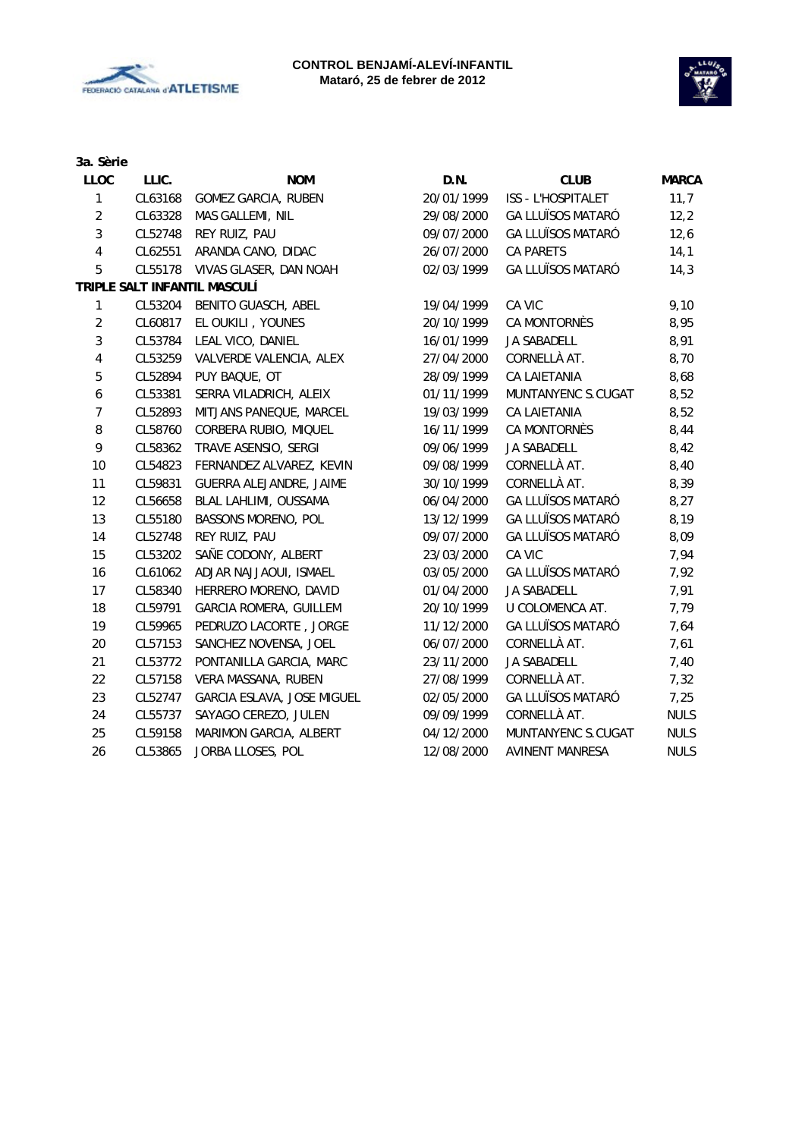



| <b>CLUB</b>              | <b>MARCA</b> |
|--------------------------|--------------|
|                          |              |
| ISS - L'HOSPITALET       | 11,7         |
| <b>GA LLUÏSOS MATARÓ</b> | 12, 2        |
| <b>GA LLUÏSOS MATARÓ</b> | 12,6         |
| CA PARETS                | 14,1         |
| <b>GA LLUÏSOS MATARÓ</b> | 14,3         |
|                          |              |
| CA VIC                   | 9,10         |
| CA MONTORNÈS             | 8,95         |
| <b>JA SABADELL</b>       | 8,91         |
| CORNELLÀ AT.             | 8,70         |
| CA LAIETANIA             | 8,68         |
| MUNTANYENC S.CUGAT       | 8,52         |
| CA LAIETANIA             | 8,52         |
| CA MONTORNÈS             | 8,44         |
| JA SABADELL              | 8,42         |
| CORNELLÀ AT.             | 8,40         |
| CORNELLÀ AT.             | 8,39         |
| <b>GA LLUÏSOS MATARÓ</b> | 8,27         |
| <b>GA LLUÏSOS MATARÓ</b> | 8,19         |
| <b>GA LLUÏSOS MATARÓ</b> | 8,09         |
| CA VIC                   | 7,94         |
| <b>GA LLUÏSOS MATARÓ</b> | 7,92         |
| JA SABADELL              | 7,91         |
| U COLOMENCA AT.          | 7,79         |
| <b>GA LLUÏSOS MATARÓ</b> | 7,64         |
| CORNELLÀ AT.             | 7,61         |
| <b>JA SABADELL</b>       | 7,40         |
| CORNELLÀ AT.             | 7,32         |
| <b>GA LLUÏSOS MATARÓ</b> | 7,25         |
| CORNELLÀ AT.             | <b>NULS</b>  |
| MUNTANYENC S.CUGAT       | <b>NULS</b>  |
| <b>AVINENT MANRESA</b>   | <b>NULS</b>  |
|                          |              |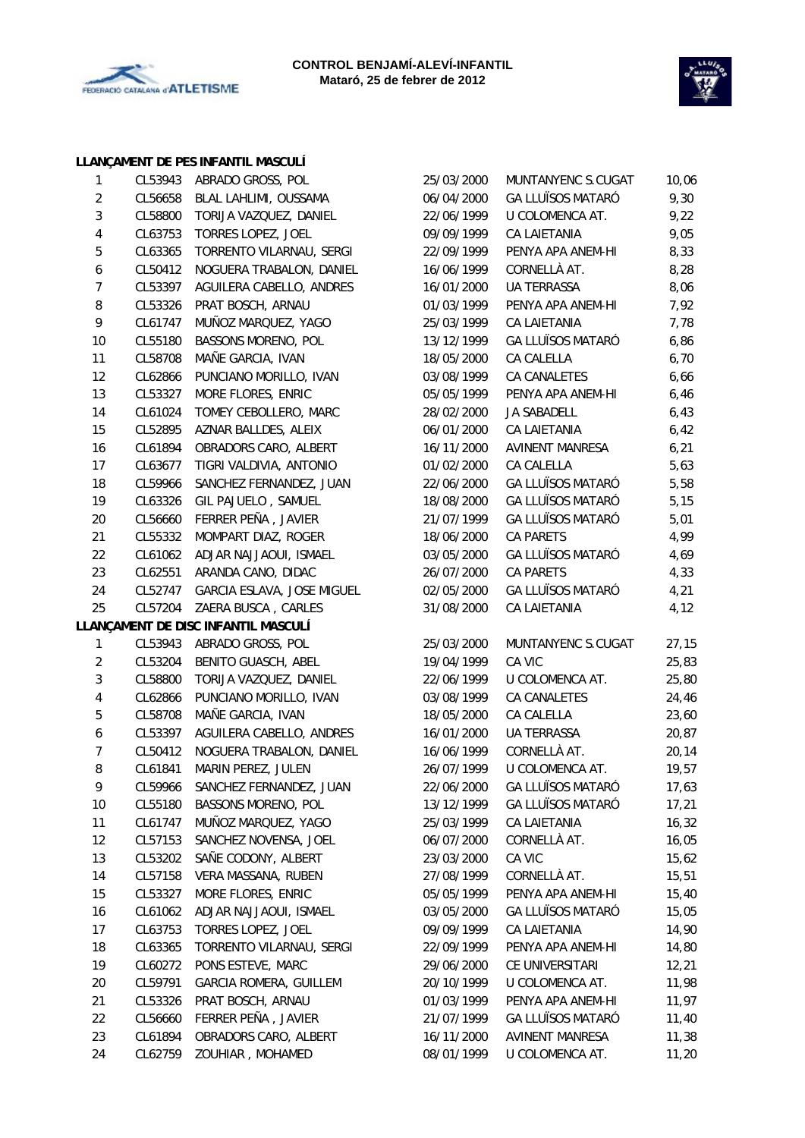



## **LLANÇAMENT DE PES INFANTIL MASCULÍ**

| $\mathbf{1}$            | CL53943 | ABRADO GROSS, POL                   | 25/03/2000 | MUNTANYENC S.CUGAT       | 10,06 |
|-------------------------|---------|-------------------------------------|------------|--------------------------|-------|
| 2                       | CL56658 | BLAL LAHLIMI, OUSSAMA               | 06/04/2000 | <b>GA LLUÏSOS MATARÓ</b> | 9,30  |
| 3                       | CL58800 | TORIJA VAZQUEZ, DANIEL              | 22/06/1999 | U COLOMENCA AT.          | 9,22  |
| 4                       | CL63753 | TORRES LOPEZ, JOEL                  | 09/09/1999 | CA LAIETANIA             | 9,05  |
| $\overline{5}$          | CL63365 | TORRENTO VILARNAU, SERGI            | 22/09/1999 | PENYA APA ANEM-HI        | 8,33  |
| 6                       | CL50412 | NOGUERA TRABALON, DANIEL            | 16/06/1999 | CORNELLÀ AT.             | 8,28  |
| $\overline{7}$          | CL53397 | AGUILERA CABELLO, ANDRES            | 16/01/2000 | <b>UA TERRASSA</b>       | 8,06  |
| 8                       | CL53326 | PRAT BOSCH, ARNAU                   | 01/03/1999 | PENYA APA ANEM-HI        | 7,92  |
| 9                       | CL61747 | MUÑOZ MARQUEZ, YAGO                 | 25/03/1999 | CA LAIETANIA             | 7,78  |
| 10                      | CL55180 | BASSONS MORENO, POL                 | 13/12/1999 | <b>GA LLUÏSOS MATARÓ</b> | 6,86  |
| 11                      | CL58708 | MAÑE GARCIA, IVAN                   | 18/05/2000 | CA CALELLA               | 6,70  |
| 12                      | CL62866 | PUNCIANO MORILLO, IVAN              | 03/08/1999 | CA CANALETES             | 6,66  |
| 13                      | CL53327 | MORE FLORES, ENRIC                  | 05/05/1999 | PENYA APA ANEM-HI        | 6,46  |
| 14                      | CL61024 | TOMEY CEBOLLERO, MARC               | 28/02/2000 | JA SABADELL              | 6,43  |
| 15                      | CL52895 | AZNAR BALLDES, ALEIX                | 06/01/2000 | CA LAIETANIA             | 6,42  |
| 16                      | CL61894 | OBRADORS CARO, ALBERT               | 16/11/2000 | <b>AVINENT MANRESA</b>   | 6, 21 |
| 17                      | CL63677 | TIGRI VALDIVIA, ANTONIO             | 01/02/2000 | CA CALELLA               | 5,63  |
| 18                      | CL59966 | SANCHEZ FERNANDEZ, JUAN             | 22/06/2000 | <b>GA LLUÏSOS MATARÓ</b> | 5,58  |
| 19                      | CL63326 | GIL PAJUELO, SAMUEL                 | 18/08/2000 | <b>GA LLUÏSOS MATARÓ</b> | 5,15  |
| 20                      | CL56660 | FERRER PEÑA, JAVIER                 | 21/07/1999 | <b>GA LLUÏSOS MATARÓ</b> | 5,01  |
| 21                      | CL55332 | MOMPART DIAZ, ROGER                 | 18/06/2000 | <b>CA PARETS</b>         | 4,99  |
| 22                      | CL61062 | ADJAR NAJJAOUI, ISMAEL              | 03/05/2000 | <b>GA LLUÏSOS MATARÓ</b> | 4,69  |
| 23                      | CL62551 | ARANDA CANO, DIDAC                  | 26/07/2000 | <b>CA PARETS</b>         | 4,33  |
| 24                      | CL52747 | GARCIA ESLAVA, JOSE MIGUEL          | 02/05/2000 | <b>GA LLUÏSOS MATARÓ</b> | 4,21  |
| 25                      | CL57204 | ZAERA BUSCA, CARLES                 | 31/08/2000 | CA LAIETANIA             | 4, 12 |
|                         |         | LLANÇAMENT DE DISC INFANTIL MASCULÍ |            |                          |       |
| $\mathbf{1}$            | CL53943 | ABRADO GROSS, POL                   | 25/03/2000 | MUNTANYENC S.CUGAT       | 27,15 |
| $\overline{2}$          | CL53204 | BENITO GUASCH, ABEL                 | 19/04/1999 | CA VIC                   | 25,83 |
| $\mathbf{3}$            | CL58800 | TORIJA VAZQUEZ, DANIEL              | 22/06/1999 | U COLOMENCA AT.          | 25,80 |
| $\overline{\mathbf{4}}$ | CL62866 | PUNCIANO MORILLO, IVAN              | 03/08/1999 | CA CANALETES             | 24,46 |
| 5                       | CL58708 | MAÑE GARCIA, IVAN                   | 18/05/2000 | CA CALELLA               | 23,60 |
| 6                       | CL53397 | AGUILERA CABELLO, ANDRES            | 16/01/2000 | UA TERRASSA              | 20,87 |
| $\overline{7}$          | CL50412 | NOGUERA TRABALON, DANIEL            | 16/06/1999 | CORNELLÀ AT.             | 20,14 |
| 8                       | CL61841 | MARIN PEREZ, JULEN                  | 26/07/1999 | U COLOMENCA AT.          | 19,57 |
| 9                       | CL59966 | SANCHEZ FERNANDEZ, JUAN             | 22/06/2000 | <b>GA LLUÏSOS MATARÓ</b> | 17,63 |
| 10                      | CL55180 | BASSONS MORENO, POL                 | 13/12/1999 | <b>GA LLUÏSOS MATARÓ</b> | 17,21 |
| 11                      | CL61747 | MUÑOZ MARQUEZ, YAGO                 | 25/03/1999 | CA LAIETANIA             | 16,32 |
| 12                      | CL57153 | SANCHEZ NOVENSA, JOEL               | 06/07/2000 | CORNELLÀ AT.             | 16,05 |
| 13                      | CL53202 | SAÑE CODONY, ALBERT                 | 23/03/2000 | CA VIC                   | 15,62 |
| 14                      | CL57158 | VERA MASSANA, RUBEN                 | 27/08/1999 | CORNELLÀ AT.             | 15,51 |
| 15                      | CL53327 | MORE FLORES, ENRIC                  | 05/05/1999 | PENYA APA ANEM-HI        | 15,40 |
| 16                      | CL61062 | ADJAR NAJJAOUI, ISMAEL              | 03/05/2000 | <b>GA LLUÏSOS MATARÓ</b> | 15,05 |
| 17                      | CL63753 | TORRES LOPEZ, JOEL                  | 09/09/1999 | CA LAIETANIA             | 14,90 |
| 18                      | CL63365 | TORRENTO VILARNAU, SERGI            | 22/09/1999 | PENYA APA ANEM-HI        | 14,80 |
| 19                      | CL60272 | PONS ESTEVE, MARC                   | 29/06/2000 | CE UNIVERSITARI          | 12,21 |
| 20                      | CL59791 | GARCIA ROMERA, GUILLEM              | 20/10/1999 | U COLOMENCA AT.          | 11,98 |
| 21                      | CL53326 | PRAT BOSCH, ARNAU                   | 01/03/1999 | PENYA APA ANEM-HI        | 11,97 |
| 22                      | CL56660 | FERRER PEÑA, JAVIER                 | 21/07/1999 | <b>GA LLUÏSOS MATARÓ</b> | 11,40 |
| 23                      | CL61894 | OBRADORS CARO, ALBERT               | 16/11/2000 | <b>AVINENT MANRESA</b>   | 11,38 |
| 24                      | CL62759 | ZOUHIAR, MOHAMED                    | 08/01/1999 | U COLOMENCA AT.          | 11,20 |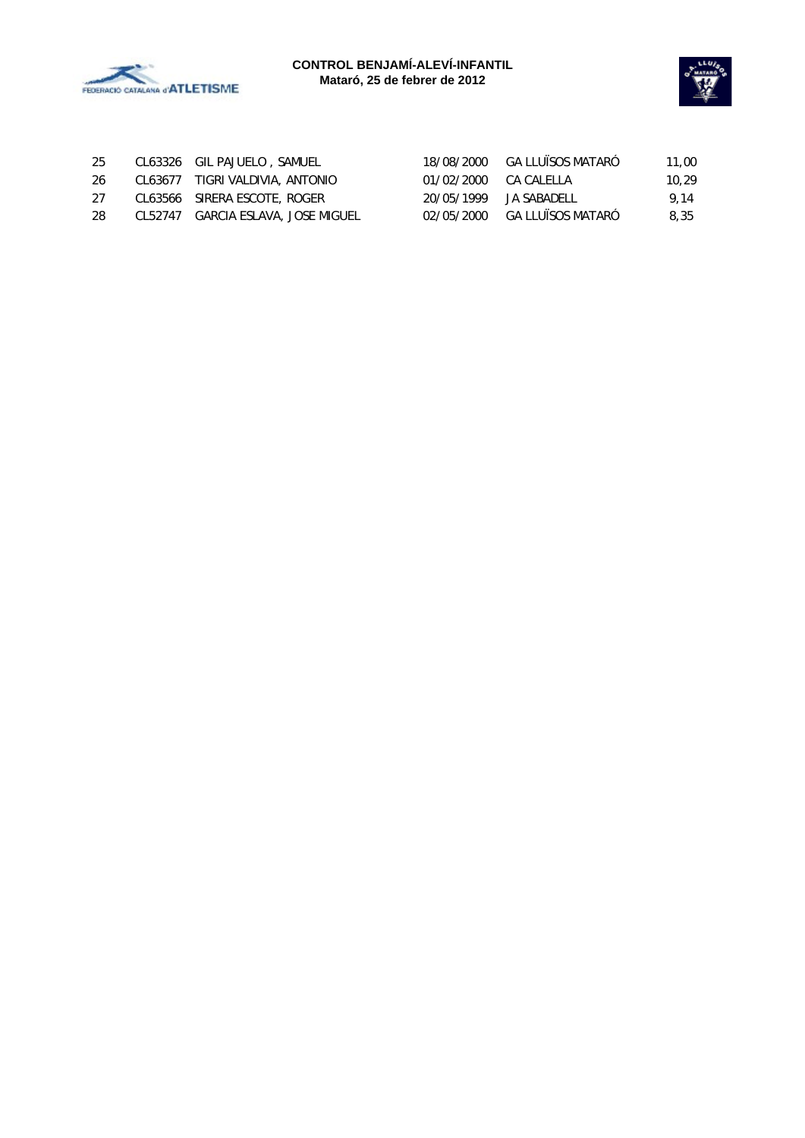



| -25 | CL63326 GIL PAJUELO, SAMUEL        |                       | 18/08/2000 GA LLUÏSOS MATARÓ | 11.00 |
|-----|------------------------------------|-----------------------|------------------------------|-------|
| -26 | CL63677 TIGRI VALDIVIA, ANTONIO    | 01/02/2000 CA CALELLA |                              | 10.29 |
| 27  | CL63566 SIRERA ESCOTE, ROGER       |                       | 20/05/1999 JA SABADELL       | 9.14  |
| -28 | CL52747 GARCIA ESLAVA, JOSE MIGUEL |                       | 02/05/2000 GA LLUÏSOS MATARÓ | 8.35  |
|     |                                    |                       |                              |       |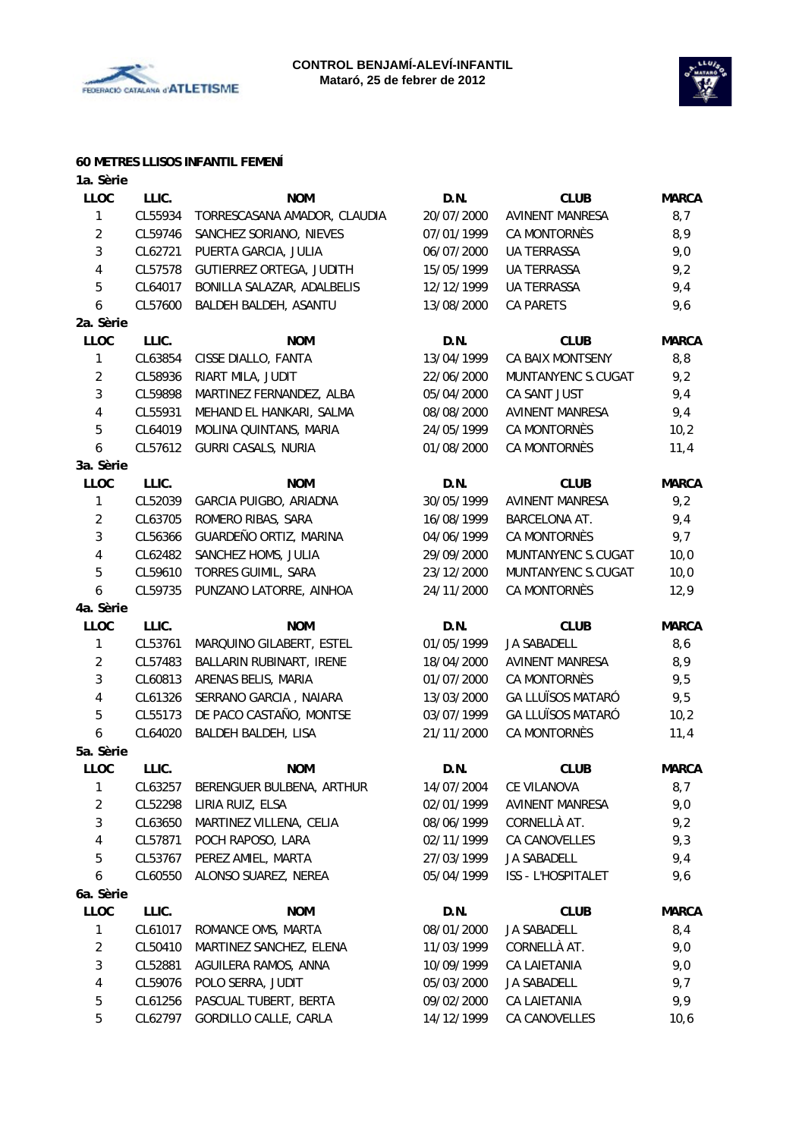



#### **60 METRES LLISOS INFANTIL FEMENÍ**

| 1a. Sèrie      |         |                              |            |                          |              |
|----------------|---------|------------------------------|------------|--------------------------|--------------|
| <b>LLOC</b>    | LLIC.   | <b>NOM</b>                   | D.N.       | <b>CLUB</b>              | <b>MARCA</b> |
| $\mathbf{1}$   | CL55934 | TORRESCASANA AMADOR, CLAUDIA | 20/07/2000 | <b>AVINENT MANRESA</b>   | 8,7          |
| $\overline{2}$ | CL59746 | SANCHEZ SORIANO, NIEVES      | 07/01/1999 | CA MONTORNÈS             | 8,9          |
| 3              | CL62721 | PUERTA GARCIA, JULIA         | 06/07/2000 | UA TERRASSA              | 9,0          |
| 4              | CL57578 | GUTIERREZ ORTEGA, JUDITH     | 15/05/1999 | <b>UA TERRASSA</b>       | 9,2          |
| 5              | CL64017 | BONILLA SALAZAR, ADALBELIS   | 12/12/1999 | UA TERRASSA              | 9,4          |
| 6              | CL57600 | BALDEH BALDEH, ASANTU        | 13/08/2000 | <b>CA PARETS</b>         | 9,6          |
| 2a. Sèrie      |         |                              |            |                          |              |
| <b>LLOC</b>    | LLIC.   | <b>NOM</b>                   | D.N.       | <b>CLUB</b>              | <b>MARCA</b> |
| 1              | CL63854 | CISSE DIALLO, FANTA          | 13/04/1999 | CA BAIX MONTSENY         | 8,8          |
| $\overline{2}$ | CL58936 | RIART MILA, JUDIT            | 22/06/2000 | MUNTANYENC S.CUGAT       | 9,2          |
| 3              | CL59898 | MARTINEZ FERNANDEZ, ALBA     | 05/04/2000 | CA SANT JUST             | 9,4          |
| 4              | CL55931 | MEHAND EL HANKARI, SALMA     | 08/08/2000 | <b>AVINENT MANRESA</b>   | 9,4          |
| 5              | CL64019 | MOLINA QUINTANS, MARIA       | 24/05/1999 | CA MONTORNÈS             | 10,2         |
| 6              | CL57612 | GURRI CASALS, NURIA          | 01/08/2000 | CA MONTORNÈS             | 11,4         |
| 3a. Sèrie      |         |                              |            |                          |              |
| <b>LLOC</b>    | LLIC.   | <b>NOM</b>                   | D.N.       | <b>CLUB</b>              | <b>MARCA</b> |
| 1              | CL52039 | GARCIA PUIGBO, ARIADNA       | 30/05/1999 | <b>AVINENT MANRESA</b>   | 9,2          |
| $\overline{c}$ | CL63705 | ROMERO RIBAS, SARA           | 16/08/1999 | <b>BARCELONA AT.</b>     | 9,4          |
| 3              | CL56366 | GUARDEÑO ORTIZ, MARINA       | 04/06/1999 | CA MONTORNÈS             | 9,7          |
| 4              | CL62482 | SANCHEZ HOMS, JULIA          | 29/09/2000 | MUNTANYENC S.CUGAT       | 10,0         |
| 5              | CL59610 | TORRES GUIMIL, SARA          | 23/12/2000 | MUNTANYENC S.CUGAT       | 10,0         |
| 6              | CL59735 | PUNZANO LATORRE, AINHOA      | 24/11/2000 | CA MONTORNÈS             | 12,9         |
| 4a. Sèrie      |         |                              |            |                          |              |
| <b>LLOC</b>    | LLIC.   | <b>NOM</b>                   | D.N.       | <b>CLUB</b>              | <b>MARCA</b> |
| 1              | CL53761 | MARQUINO GILABERT, ESTEL     | 01/05/1999 | JA SABADELL              | 8,6          |
| $\overline{c}$ | CL57483 | BALLARIN RUBINART, IRENE     | 18/04/2000 | <b>AVINENT MANRESA</b>   | 8,9          |
| 3              | CL60813 | ARENAS BELIS, MARIA          | 01/07/2000 | CA MONTORNÈS             | 9,5          |
| 4              | CL61326 | SERRANO GARCIA, NAIARA       | 13/03/2000 | <b>GA LLUÏSOS MATARÓ</b> | 9,5          |
| 5              | CL55173 | DE PACO CASTAÑO, MONTSE      | 03/07/1999 | <b>GA LLUÏSOS MATARÓ</b> | 10,2         |
| 6              | CL64020 | BALDEH BALDEH, LISA          | 21/11/2000 | CA MONTORNÈS             | 11,4         |
| 5a. Sèrie      |         |                              |            |                          |              |
| <b>LLOC</b>    | LLIC.   | <b>NOM</b>                   | D.N.       | <b>CLUB</b>              | <b>MARCA</b> |
| 1              | CL63257 | BERENGUER BULBENA, ARTHUR    | 14/07/2004 | CE VILANOVA              | 8,7          |
| $\overline{c}$ | CL52298 | LIRIA RUIZ, ELSA             | 02/01/1999 | <b>AVINENT MANRESA</b>   | 9,0          |
| 3              | CL63650 | MARTINEZ VILLENA, CELIA      | 08/06/1999 | CORNELLÀ AT.             | 9,2          |
| 4              | CL57871 | POCH RAPOSO, LARA            | 02/11/1999 | CA CANOVELLES            | 9,3          |
| 5              | CL53767 | PEREZ AMIEL, MARTA           | 27/03/1999 | JA SABADELL              | 9,4          |
| 6              | CL60550 | ALONSO SUAREZ, NEREA         | 05/04/1999 | ISS - L'HOSPITALET       | 9,6          |
| 6a. Sèrie      |         |                              |            |                          |              |
| <b>LLOC</b>    | LLIC.   | <b>NOM</b>                   | D.N.       | <b>CLUB</b>              | <b>MARCA</b> |
| 1              | CL61017 | ROMANCE OMS, MARTA           | 08/01/2000 | JA SABADELL              | 8,4          |
| $\overline{c}$ | CL50410 | MARTINEZ SANCHEZ, ELENA      | 11/03/1999 | CORNELLÀ AT.             | 9,0          |
| 3              | CL52881 | AGUILERA RAMOS, ANNA         | 10/09/1999 | CA LAIETANIA             | 9,0          |
| 4              | CL59076 | POLO SERRA, JUDIT            | 05/03/2000 | JA SABADELL              | 9,7          |
| 5              | CL61256 | PASCUAL TUBERT, BERTA        | 09/02/2000 | CA LAIETANIA             | 9,9          |
| 5              | CL62797 | GORDILLO CALLE, CARLA        | 14/12/1999 | CA CANOVELLES            |              |
|                |         |                              |            |                          | 10,6         |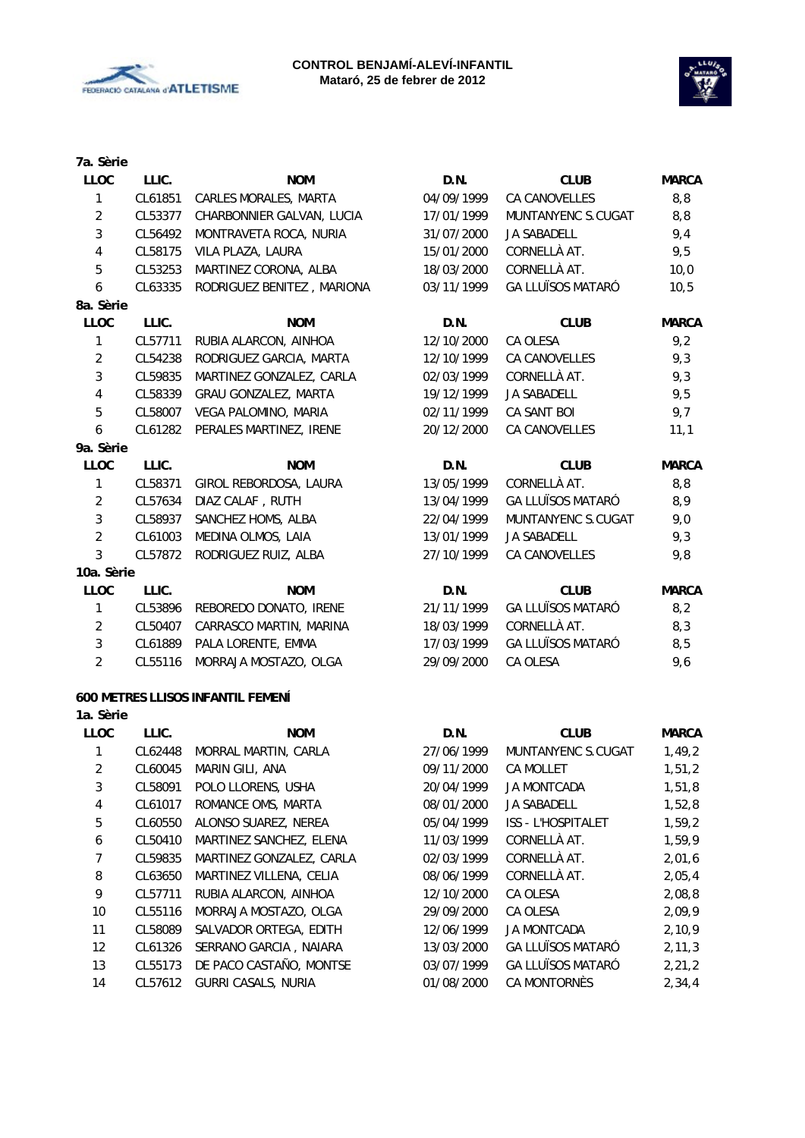



| 7a. Sèrie        |         |                            |            |                          |              |
|------------------|---------|----------------------------|------------|--------------------------|--------------|
| <b>LLOC</b>      | LLIC.   | <b>NOM</b>                 | D.N.       | <b>CLUB</b>              | <b>MARCA</b> |
| 1                | CL61851 | CARLES MORALES, MARTA      | 04/09/1999 | <b>CA CANOVELLES</b>     | 8,8          |
| $\overline{2}$   | CL53377 | CHARBONNIER GALVAN, LUCIA  | 17/01/1999 | MUNTANYENC S.CUGAT       | 8,8          |
| 3                | CL56492 | MONTRAVETA ROCA, NURIA     | 31/07/2000 | JA SABADELL              | 9,4          |
| $\overline{4}$   | CL58175 | VILA PLAZA, LAURA          | 15/01/2000 | CORNELLÀ AT.             | 9,5          |
| $\overline{5}$   | CL53253 | MARTINEZ CORONA, ALBA      | 18/03/2000 | CORNELLÀ AT.             | 10,0         |
| 6                | CL63335 | RODRIGUEZ BENITEZ, MARIONA | 03/11/1999 | <b>GA LLUÏSOS MATARÓ</b> | 10,5         |
| 8a. Sèrie        |         |                            |            |                          |              |
| LLOC             | LLIC.   | <b>NOM</b>                 | D.N.       | <b>CLUB</b>              | <b>MARCA</b> |
| 1                | CL57711 | RUBIA ALARCON, AINHOA      | 12/10/2000 | CA OLESA                 | 9,2          |
| $\overline{2}$   | CL54238 | RODRIGUEZ GARCIA, MARTA    | 12/10/1999 | CA CANOVELLES            | 9,3          |
| 3                | CL59835 | MARTINEZ GONZALEZ, CARLA   | 02/03/1999 | CORNELLÀ AT.             | 9,3          |
| $\overline{4}$   | CL58339 | GRAU GONZALEZ, MARTA       | 19/12/1999 | <b>JA SABADELL</b>       | 9,5          |
| 5                | CL58007 | VEGA PALOMINO, MARIA       | 02/11/1999 | CA SANT BOI              | 9,7          |
| $\boldsymbol{6}$ | CL61282 | PERALES MARTINEZ, IRENE    | 20/12/2000 | CA CANOVELLES            | 11,1         |
| 9a. Sèrie        |         |                            |            |                          |              |
| <b>LLOC</b>      | LLIC.   | <b>NOM</b>                 | D.N.       | <b>CLUB</b>              | <b>MARCA</b> |
| 1                | CL58371 | GIROL REBORDOSA, LAURA     | 13/05/1999 | CORNELLÀ AT.             | 8,8          |
| $\overline{2}$   | CL57634 | DIAZ CALAF, RUTH           | 13/04/1999 | <b>GA LLUÏSOS MATARÓ</b> | 8,9          |
| 3                | CL58937 | SANCHEZ HOMS, ALBA         | 22/04/1999 | MUNTANYENC S.CUGAT       | 9,0          |
| $\overline{2}$   | CL61003 | MEDINA OLMOS, LAIA         | 13/01/1999 | <b>JA SABADELL</b>       | 9,3          |
| 3                | CL57872 | RODRIGUEZ RUIZ, ALBA       | 27/10/1999 | CA CANOVELLES            | 9,8          |
| 10a. Sèrie       |         |                            |            |                          |              |
| <b>LLOC</b>      | LLIC.   | <b>NOM</b>                 | D.N.       | <b>CLUB</b>              | <b>MARCA</b> |
| 1                | CL53896 | REBOREDO DONATO, IRENE     | 21/11/1999 | <b>GA LLUÏSOS MATARÓ</b> | 8,2          |
| $\overline{2}$   | CL50407 | CARRASCO MARTIN, MARINA    | 18/03/1999 | CORNELLÀ AT.             | 8,3          |
| $\mathbf{3}$     | CL61889 | PALA LORENTE, EMMA         | 17/03/1999 | <b>GA LLUÏSOS MATARÓ</b> | 8,5          |
| $\overline{2}$   | CL55116 | MORRAJA MOSTAZO, OLGA      | 29/09/2000 | CA OLESA                 | 9,6          |
|                  |         |                            |            |                          |              |

### **600 METRES LLISOS INFANTIL FEMENÍ**

| 1a. Sèrie         |         |                            |            |                           |              |
|-------------------|---------|----------------------------|------------|---------------------------|--------------|
| <b>LLOC</b>       | LLIC.   | <b>NOM</b>                 | D.N.       | <b>CLUB</b>               | <b>MARCA</b> |
| 1                 | CL62448 | MORRAL MARTIN, CARLA       | 27/06/1999 | MUNTANYENC S.CUGAT        | 1,49,2       |
| $\overline{2}$    | CL60045 | MARIN GILI, ANA            | 09/11/2000 | <b>CA MOLLET</b>          | 1,51,2       |
| 3                 | CL58091 | POLO LLORENS, USHA         | 20/04/1999 | <b>JA MONTCADA</b>        | 1,51,8       |
| 4                 | CL61017 | ROMANCE OMS, MARTA         | 08/01/2000 | <b>JA SABADELL</b>        | 1,52,8       |
| 5                 | CL60550 | ALONSO SUAREZ, NEREA       | 05/04/1999 | <b>ISS - L'HOSPITALET</b> | 1,59,2       |
| 6                 | CL50410 | MARTINEZ SANCHEZ, ELENA    | 11/03/1999 | CORNELLÀ AT.              | 1,59,9       |
| 7                 | CL59835 | MARTINEZ GONZALEZ, CARLA   | 02/03/1999 | CORNELLÀ AT.              | 2,01,6       |
| 8                 | CL63650 | MARTINEZ VILLENA, CELIA    | 08/06/1999 | CORNELLÀ AT.              | 2,05,4       |
| 9                 | CL57711 | RUBIA ALARCON, AINHOA      | 12/10/2000 | CA OLESA                  | 2,08,8       |
| 10                | CL55116 | MORRAJA MOSTAZO, OLGA      | 29/09/2000 | CA OLESA                  | 2,09,9       |
| 11                | CL58089 | SALVADOR ORTEGA, EDITH     | 12/06/1999 | JA MONTCADA               | 2,10,9       |
| $12 \overline{ }$ | CL61326 | SERRANO GARCIA, NAIARA     | 13/03/2000 | <b>GA LLUÏSOS MATARÓ</b>  | 2, 11, 3     |
| 13                | CL55173 | DE PACO CASTAÑO, MONTSE    | 03/07/1999 | <b>GA LLUÏSOS MATARÓ</b>  | 2, 21, 2     |
| 14                | CL57612 | <b>GURRI CASALS, NURIA</b> | 01/08/2000 | CA MONTORNÈS              | 2, 34, 4     |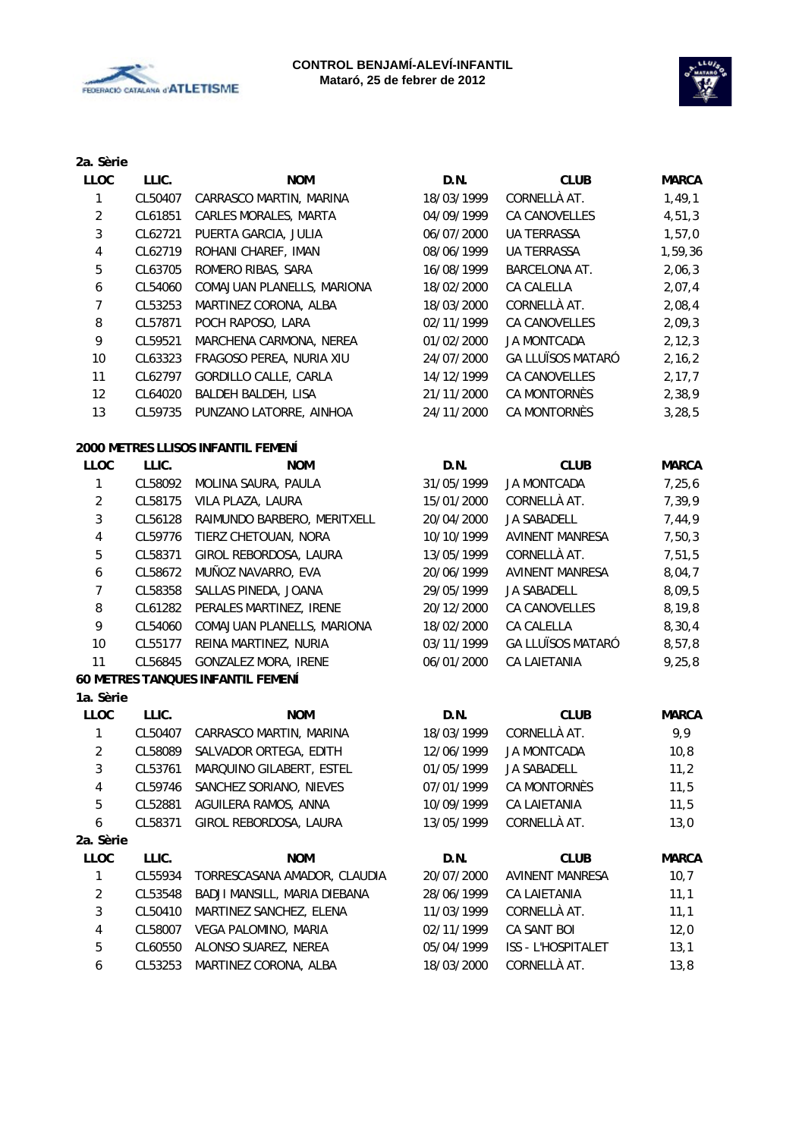



| 2a. Sèrie               |         |                                    |            |                          |              |
|-------------------------|---------|------------------------------------|------------|--------------------------|--------------|
| <b>LLOC</b>             | LLIC.   | <b>NOM</b>                         | D.N.       | <b>CLUB</b>              | <b>MARCA</b> |
| 1                       | CL50407 | CARRASCO MARTIN, MARINA            | 18/03/1999 | CORNELLÀ AT.             | 1,49,1       |
| $\overline{2}$          | CL61851 | CARLES MORALES, MARTA              | 04/09/1999 | CA CANOVELLES            | 4,51,3       |
| 3                       | CL62721 | PUERTA GARCIA, JULIA               | 06/07/2000 | <b>UA TERRASSA</b>       | 1,57,0       |
| $\overline{4}$          | CL62719 | ROHANI CHAREF, IMAN                | 08/06/1999 | <b>UA TERRASSA</b>       | 1,59,36      |
| 5                       | CL63705 | ROMERO RIBAS, SARA                 | 16/08/1999 | <b>BARCELONA AT.</b>     | 2,06,3       |
| $\boldsymbol{6}$        | CL54060 | COMAJUAN PLANELLS, MARIONA         | 18/02/2000 | CA CALELLA               | 2,07,4       |
| $\overline{7}$          | CL53253 | MARTINEZ CORONA, ALBA              | 18/03/2000 | CORNELLÀ AT.             | 2,08,4       |
| 8                       | CL57871 | POCH RAPOSO, LARA                  | 02/11/1999 | CA CANOVELLES            | 2,09,3       |
| 9                       | CL59521 | MARCHENA CARMONA, NEREA            | 01/02/2000 | <b>JA MONTCADA</b>       | 2, 12, 3     |
| 10                      | CL63323 | FRAGOSO PEREA, NURIA XIU           | 24/07/2000 | <b>GA LLUÏSOS MATARÓ</b> | 2, 16, 2     |
| 11                      | CL62797 | GORDILLO CALLE, CARLA              | 14/12/1999 | CA CANOVELLES            | 2, 17, 7     |
| 12                      | CL64020 | BALDEH BALDEH, LISA                | 21/11/2000 | CA MONTORNÈS             | 2,38,9       |
| 13                      | CL59735 | PUNZANO LATORRE, AINHOA            | 24/11/2000 | CA MONTORNÈS             | 3, 28, 5     |
|                         |         | 2000 METRES LLISOS INFANTIL FEMENÍ |            |                          |              |
| <b>LLOC</b>             | LLIC.   | <b>NOM</b>                         | D.N.       | <b>CLUB</b>              | <b>MARCA</b> |
| 1                       | CL58092 | MOLINA SAURA, PAULA                | 31/05/1999 | <b>JA MONTCADA</b>       | 7,25,6       |
| $\overline{2}$          | CL58175 | VILA PLAZA, LAURA                  | 15/01/2000 | CORNELLÀ AT.             | 7,39,9       |
| 3                       | CL56128 | RAIMUNDO BARBERO, MERITXELL        | 20/04/2000 | JA SABADELL              | 7,44,9       |
| $\overline{\mathbf{4}}$ | CL59776 | TIERZ CHETOUAN, NORA               | 10/10/1999 | <b>AVINENT MANRESA</b>   | 7,50,3       |
| 5                       | CL58371 | GIROL REBORDOSA, LAURA             | 13/05/1999 | CORNELLÀ AT.             | 7,51,5       |
| 6                       | CL58672 | MUÑOZ NAVARRO, EVA                 | 20/06/1999 | <b>AVINENT MANRESA</b>   | 8,04,7       |
| $\overline{7}$          | CL58358 | SALLAS PINEDA, JOANA               | 29/05/1999 | JA SABADELL              | 8,09,5       |
| 8                       | CL61282 | PERALES MARTINEZ, IRENE            | 20/12/2000 | CA CANOVELLES            | 8,19,8       |
| 9                       | CL54060 | COMAJUAN PLANELLS, MARIONA         | 18/02/2000 | CA CALELLA               | 8, 30, 4     |
| 10                      | CL55177 | REINA MARTINEZ, NURIA              | 03/11/1999 | <b>GA LLUÏSOS MATARÓ</b> | 8,57,8       |
| 11                      | CL56845 | GONZALEZ MORA, IRENE               | 06/01/2000 | CA LAIETANIA             | 9,25,8       |
|                         |         | 60 METRES TANQUES INFANTIL FEMENÍ  |            |                          |              |
| 1a. Sèrie               |         |                                    |            |                          |              |
| <b>LLOC</b>             | LLIC.   | <b>NOM</b>                         | D.N.       | <b>CLUB</b>              | <b>MARCA</b> |
| 1                       | CL50407 | CARRASCO MARTIN, MARINA            | 18/03/1999 | CORNELLÀ AT.             | 9,9          |
| $\overline{2}$          | CL58089 | SALVADOR ORTEGA, EDITH             | 12/06/1999 | <b>JA MONTCADA</b>       | 10,8         |
| 3                       | CL53761 | MARQUINO GILABERT, ESTEL           | 01/05/1999 | <b>JA SABADELL</b>       | 11,2         |
| 4                       | CL59746 | SANCHEZ SORIANO, NIEVES            | 07/01/1999 | CA MONTORNÈS             | 11,5         |
| 5                       | CL52881 | AGUILERA RAMOS, ANNA               | 10/09/1999 | CA LAIETANIA             | 11,5         |
| 6                       | CL58371 | GIROL REBORDOSA, LAURA             | 13/05/1999 | CORNELLÀ AT.             | 13,0         |
| 2a. Sèrie               |         |                                    |            |                          |              |
| LLOC                    | LLIC.   | <b>NOM</b>                         | D.N.       | <b>CLUB</b>              | <b>MARCA</b> |
| 1                       | CL55934 | TORRESCASANA AMADOR, CLAUDIA       | 20/07/2000 | <b>AVINENT MANRESA</b>   | 10,7         |
| $\overline{c}$          | CL53548 | BADJI MANSILL, MARIA DIEBANA       | 28/06/1999 | CA LAIETANIA             | 11,1         |
| 3                       | CL50410 | MARTINEZ SANCHEZ, ELENA            | 11/03/1999 | CORNELLÀ AT.             | 11,1         |
| 4                       | CL58007 | VEGA PALOMINO, MARIA               | 02/11/1999 | CA SANT BOI              | 12,0         |
| 5                       | CL60550 | ALONSO SUAREZ, NEREA               | 05/04/1999 | ISS - L'HOSPITALET       |              |
|                         |         |                                    |            |                          | 13,1         |
| 6                       | CL53253 | MARTINEZ CORONA, ALBA              | 18/03/2000 | CORNELLÀ AT.             | 13,8         |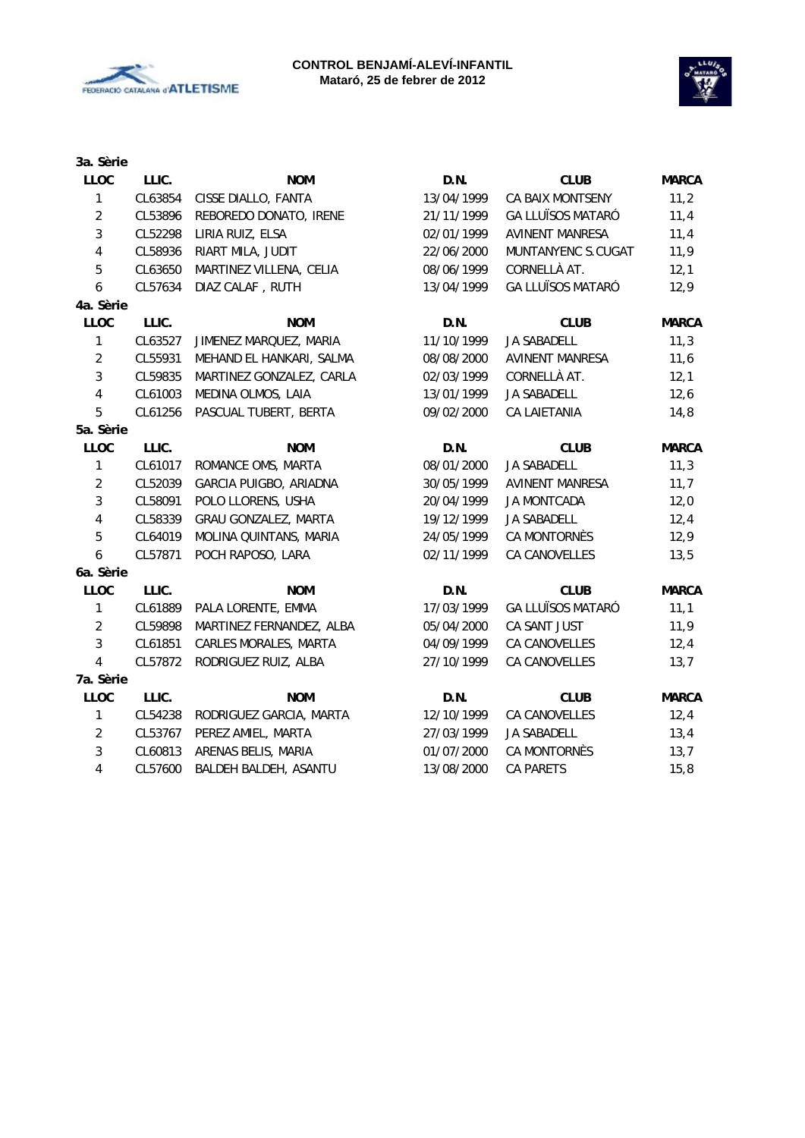



| 3a. Sèrie               |         |                          |            |                          |              |
|-------------------------|---------|--------------------------|------------|--------------------------|--------------|
| <b>LLOC</b>             | LLIC.   | <b>NOM</b>               | D.N.       | <b>CLUB</b>              | <b>MARCA</b> |
| 1                       | CL63854 | CISSE DIALLO, FANTA      | 13/04/1999 | CA BAIX MONTSENY         | 11,2         |
| $\overline{2}$          | CL53896 | REBOREDO DONATO, IRENE   | 21/11/1999 | <b>GA LLUÏSOS MATARÓ</b> | 11,4         |
| 3                       | CL52298 | LIRIA RUIZ, ELSA         | 02/01/1999 | <b>AVINENT MANRESA</b>   | 11,4         |
| $\overline{4}$          | CL58936 | RIART MILA, JUDIT        | 22/06/2000 | MUNTANYENC S.CUGAT       | 11,9         |
| 5                       | CL63650 | MARTINEZ VILLENA, CELIA  | 08/06/1999 | CORNELLÀ AT.             | 12,1         |
| 6                       | CL57634 | DIAZ CALAF, RUTH         | 13/04/1999 | <b>GA LLUÏSOS MATARÓ</b> | 12,9         |
| 4a. Sèrie               |         |                          |            |                          |              |
| <b>LLOC</b>             | LLIC.   | <b>NOM</b>               | D.N.       | <b>CLUB</b>              | <b>MARCA</b> |
| 1                       | CL63527 | JIMENEZ MARQUEZ, MARIA   | 11/10/1999 | JA SABADELL              | 11,3         |
| $\overline{2}$          | CL55931 | MEHAND EL HANKARI, SALMA | 08/08/2000 | <b>AVINENT MANRESA</b>   | 11,6         |
| 3                       | CL59835 | MARTINEZ GONZALEZ, CARLA | 02/03/1999 | CORNELLÀ AT.             | 12,1         |
| $\overline{\mathbf{4}}$ | CL61003 | MEDINA OLMOS, LAIA       | 13/01/1999 | JA SABADELL              | 12,6         |
| 5                       | CL61256 | PASCUAL TUBERT, BERTA    | 09/02/2000 | CA LAIETANIA             | 14,8         |
| 5a. Sèrie               |         |                          |            |                          |              |
| <b>LLOC</b>             | LLIC.   | <b>NOM</b>               | D.N.       | <b>CLUB</b>              | <b>MARCA</b> |
| 1                       | CL61017 | ROMANCE OMS, MARTA       | 08/01/2000 | <b>JA SABADELL</b>       | 11,3         |
| $\overline{2}$          | CL52039 | GARCIA PUIGBO, ARIADNA   | 30/05/1999 | <b>AVINENT MANRESA</b>   | 11,7         |
| 3                       | CL58091 | POLO LLORENS, USHA       | 20/04/1999 | <b>JA MONTCADA</b>       | 12,0         |
| $\overline{\mathbf{4}}$ | CL58339 | GRAU GONZALEZ, MARTA     | 19/12/1999 | JA SABADELL              | 12,4         |
| 5                       | CL64019 | MOLINA QUINTANS, MARIA   | 24/05/1999 | CA MONTORNÈS             | 12,9         |
| 6                       | CL57871 | POCH RAPOSO, LARA        | 02/11/1999 | CA CANOVELLES            | 13,5         |
| 6a. Sèrie               |         |                          |            |                          |              |
| <b>LLOC</b>             | LLIC.   | <b>NOM</b>               | D.N.       | <b>CLUB</b>              | <b>MARCA</b> |
| $\mathbf{1}$            | CL61889 | PALA LORENTE, EMMA       | 17/03/1999 | <b>GA LLUÏSOS MATARÓ</b> | 11,1         |
| $\overline{2}$          | CL59898 | MARTINEZ FERNANDEZ, ALBA | 05/04/2000 | CA SANT JUST             | 11,9         |
| 3                       | CL61851 | CARLES MORALES, MARTA    | 04/09/1999 | CA CANOVELLES            | 12,4         |
| 4                       | CL57872 | RODRIGUEZ RUIZ, ALBA     | 27/10/1999 | CA CANOVELLES            | 13,7         |
| 7a. Sèrie               |         |                          |            |                          |              |
| <b>LLOC</b>             | LLIC.   | <b>NOM</b>               | D.N.       | <b>CLUB</b>              | <b>MARCA</b> |
| $\mathbf{1}$            | CL54238 | RODRIGUEZ GARCIA, MARTA  | 12/10/1999 | CA CANOVELLES            | 12,4         |
| $\overline{2}$          | CL53767 | PEREZ AMIEL, MARTA       | 27/03/1999 | JA SABADELL              | 13,4         |
| $\mathbf{3}$            | CL60813 | ARENAS BELIS, MARIA      | 01/07/2000 | CA MONTORNÈS             | 13,7         |
| $\overline{4}$          | CL57600 | BALDEH BALDEH, ASANTU    | 13/08/2000 | <b>CA PARETS</b>         | 15,8         |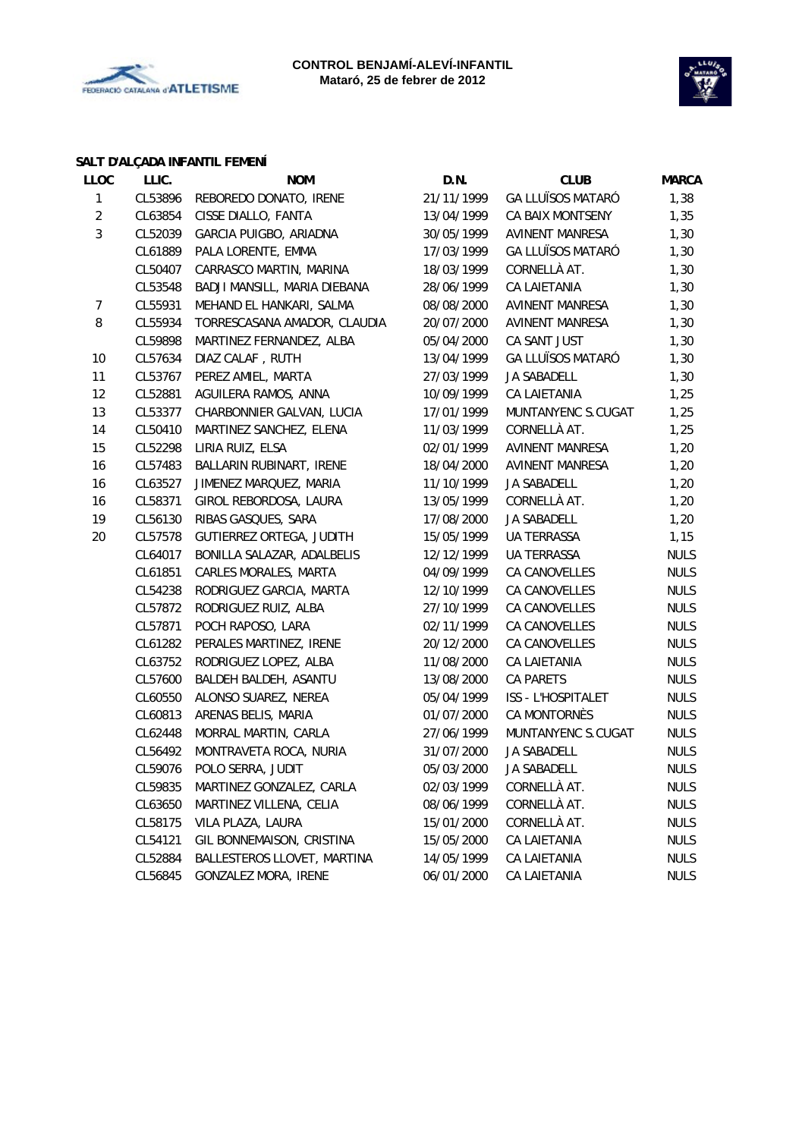



#### **SALT D'ALÇADA INFANTIL FEMENÍ**

| <b>LLOC</b>    | LLIC.   | <b>NOM</b>                   | D.N.       | <b>CLUB</b>              | <b>MARCA</b> |
|----------------|---------|------------------------------|------------|--------------------------|--------------|
| 1              | CL53896 | REBOREDO DONATO, IRENE       | 21/11/1999 | <b>GA LLUÏSOS MATARÓ</b> | 1,38         |
| $\overline{2}$ | CL63854 | CISSE DIALLO, FANTA          | 13/04/1999 | CA BAIX MONTSENY         | 1,35         |
| 3              | CL52039 | GARCIA PUIGBO, ARIADNA       | 30/05/1999 | AVINENT MANRESA          | 1,30         |
|                | CL61889 | PALA LORENTE, EMMA           | 17/03/1999 | <b>GA LLUÏSOS MATARÓ</b> | 1,30         |
|                | CL50407 | CARRASCO MARTIN, MARINA      | 18/03/1999 | CORNELLÀ AT.             | 1,30         |
|                | CL53548 | BADJI MANSILL, MARIA DIEBANA | 28/06/1999 | CA LAIETANIA             | 1,30         |
| $\overline{7}$ | CL55931 | MEHAND EL HANKARI, SALMA     | 08/08/2000 | AVINENT MANRESA          | 1,30         |
| 8              | CL55934 | TORRESCASANA AMADOR, CLAUDIA | 20/07/2000 | <b>AVINENT MANRESA</b>   | 1,30         |
|                | CL59898 | MARTINEZ FERNANDEZ, ALBA     | 05/04/2000 | CA SANT JUST             | 1,30         |
| 10             | CL57634 | DIAZ CALAF, RUTH             | 13/04/1999 | <b>GA LLUÏSOS MATARÓ</b> | 1,30         |
| 11             | CL53767 | PEREZ AMIEL, MARTA           | 27/03/1999 | JA SABADELL              | 1,30         |
| 12             | CL52881 | AGUILERA RAMOS, ANNA         | 10/09/1999 | CA LAIETANIA             | 1,25         |
| 13             | CL53377 | CHARBONNIER GALVAN, LUCIA    | 17/01/1999 | MUNTANYENC S.CUGAT       | 1,25         |
| 14             | CL50410 | MARTINEZ SANCHEZ, ELENA      | 11/03/1999 | CORNELLÀ AT.             | 1,25         |
| 15             | CL52298 | LIRIA RUIZ, ELSA             | 02/01/1999 | AVINENT MANRESA          | 1,20         |
| 16             | CL57483 | BALLARIN RUBINART, IRENE     | 18/04/2000 | <b>AVINENT MANRESA</b>   | 1,20         |
| 16             | CL63527 | JIMENEZ MARQUEZ, MARIA       | 11/10/1999 | JA SABADELL              | 1,20         |
| 16             | CL58371 | GIROL REBORDOSA, LAURA       | 13/05/1999 | CORNELLÀ AT.             | 1,20         |
| 19             | CL56130 | RIBAS GASQUES, SARA          | 17/08/2000 | JA SABADELL              | 1,20         |
| 20             | CL57578 | GUTIERREZ ORTEGA, JUDITH     | 15/05/1999 | <b>UA TERRASSA</b>       | 1,15         |
|                | CL64017 | BONILLA SALAZAR, ADALBELIS   | 12/12/1999 | <b>UA TERRASSA</b>       | <b>NULS</b>  |
|                | CL61851 | CARLES MORALES, MARTA        | 04/09/1999 | CA CANOVELLES            | <b>NULS</b>  |
|                | CL54238 | RODRIGUEZ GARCIA, MARTA      | 12/10/1999 | CA CANOVELLES            | <b>NULS</b>  |
|                | CL57872 | RODRIGUEZ RUIZ, ALBA         | 27/10/1999 | CA CANOVELLES            | <b>NULS</b>  |
|                | CL57871 | POCH RAPOSO, LARA            | 02/11/1999 | CA CANOVELLES            | <b>NULS</b>  |
|                | CL61282 | PERALES MARTINEZ, IRENE      | 20/12/2000 | CA CANOVELLES            | <b>NULS</b>  |
|                | CL63752 | RODRIGUEZ LOPEZ, ALBA        | 11/08/2000 | CA LAIETANIA             | <b>NULS</b>  |
|                | CL57600 | BALDEH BALDEH, ASANTU        | 13/08/2000 | <b>CA PARETS</b>         | <b>NULS</b>  |
|                | CL60550 | ALONSO SUAREZ, NEREA         | 05/04/1999 | ISS - L'HOSPITALET       | <b>NULS</b>  |
|                | CL60813 | ARENAS BELIS, MARIA          | 01/07/2000 | CA MONTORNÈS             | <b>NULS</b>  |
|                | CL62448 | MORRAL MARTIN, CARLA         | 27/06/1999 | MUNTANYENC S.CUGAT       | <b>NULS</b>  |
|                | CL56492 | MONTRAVETA ROCA, NURIA       | 31/07/2000 | JA SABADELL              | <b>NULS</b>  |
|                | CL59076 | POLO SERRA, JUDIT            | 05/03/2000 | JA SABADELL              | <b>NULS</b>  |
|                | CL59835 | MARTINEZ GONZALEZ, CARLA     | 02/03/1999 | CORNELLÀ AT.             | <b>NULS</b>  |
|                | CL63650 | MARTINEZ VILLENA, CELIA      | 08/06/1999 | CORNELLÀ AT.             | <b>NULS</b>  |
|                | CL58175 | VILA PLAZA, LAURA            | 15/01/2000 | CORNELLÀ AT.             | <b>NULS</b>  |
|                | CL54121 | GIL BONNEMAISON, CRISTINA    | 15/05/2000 | CA LAIETANIA             | <b>NULS</b>  |
|                | CL52884 | BALLESTEROS LLOVET, MARTINA  | 14/05/1999 | CA LAIETANIA             | <b>NULS</b>  |
|                | CL56845 | GONZALEZ MORA, IRENE         | 06/01/2000 | <b>CA LAIETANIA</b>      | <b>NULS</b>  |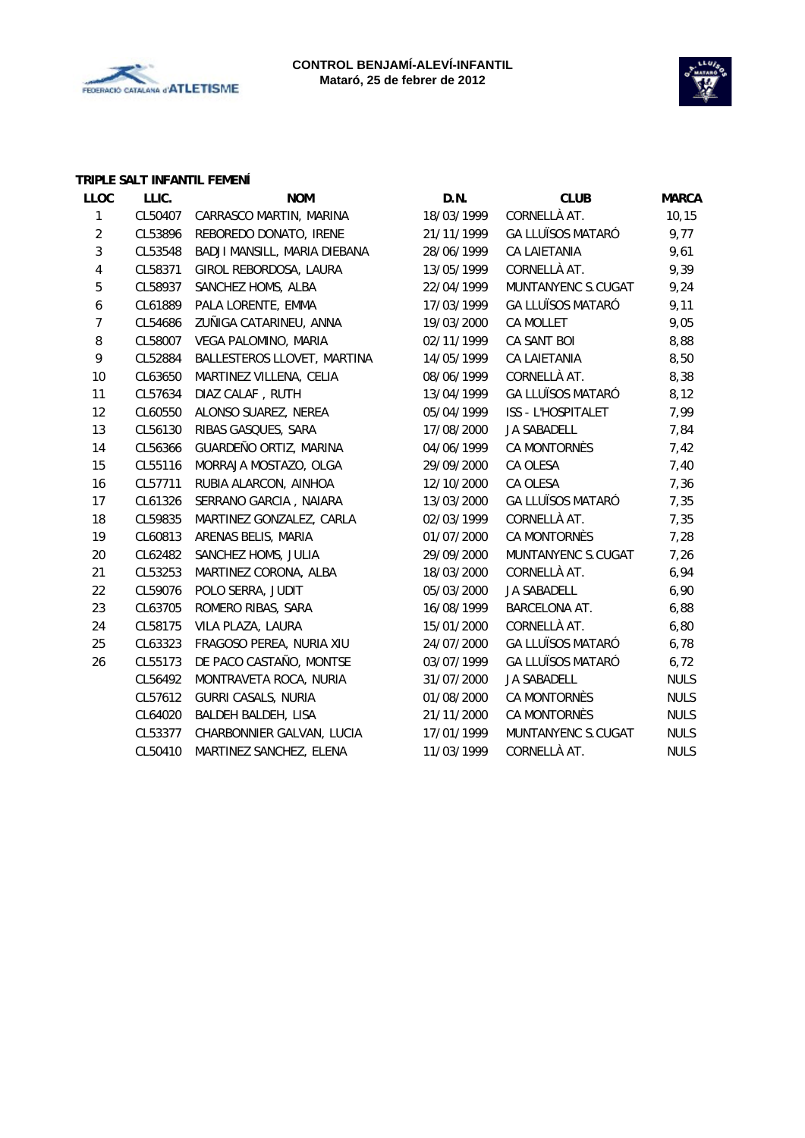



#### **TRIPLE SALT INFANTIL FEMENÍ**

| <b>LLOC</b>    | LLIC.   | <b>NOM</b>                   | D.N.       | <b>CLUB</b>              | <b>MARCA</b> |
|----------------|---------|------------------------------|------------|--------------------------|--------------|
| 1              | CL50407 | CARRASCO MARTIN, MARINA      | 18/03/1999 | CORNELLÀ AT.             | 10, 15       |
| $\overline{2}$ | CL53896 | REBOREDO DONATO, IRENE       | 21/11/1999 | <b>GA LLUÏSOS MATARÓ</b> | 9,77         |
| 3              | CL53548 | BADJI MANSILL, MARIA DIEBANA | 28/06/1999 | CA LAIETANIA             | 9,61         |
| $\overline{4}$ | CL58371 | GIROL REBORDOSA, LAURA       | 13/05/1999 | CORNELLÀ AT.             | 9,39         |
| 5              | CL58937 | SANCHEZ HOMS, ALBA           | 22/04/1999 | MUNTANYENC S.CUGAT       | 9,24         |
| 6              | CL61889 | PALA LORENTE, EMMA           | 17/03/1999 | <b>GA LLUÏSOS MATARÓ</b> | 9,11         |
| $\overline{7}$ | CL54686 | ZUÑIGA CATARINEU, ANNA       | 19/03/2000 | CA MOLLET                | 9,05         |
| 8              | CL58007 | VEGA PALOMINO, MARIA         | 02/11/1999 | CA SANT BOI              | 8,88         |
| 9              | CL52884 | BALLESTEROS LLOVET, MARTINA  | 14/05/1999 | CA LAIETANIA             | 8,50         |
| 10             | CL63650 | MARTINEZ VILLENA, CELIA      | 08/06/1999 | CORNELLÀ AT.             | 8,38         |
| 11             | CL57634 | DIAZ CALAF, RUTH             | 13/04/1999 | <b>GA LLUÏSOS MATARÓ</b> | 8,12         |
| 12             | CL60550 | ALONSO SUAREZ, NEREA         | 05/04/1999 | ISS - L'HOSPITALET       | 7,99         |
| 13             | CL56130 | RIBAS GASQUES, SARA          | 17/08/2000 | JA SABADELL              | 7,84         |
| 14             | CL56366 | GUARDEÑO ORTIZ, MARINA       | 04/06/1999 | CA MONTORNÈS             | 7,42         |
| 15             | CL55116 | MORRAJA MOSTAZO, OLGA        | 29/09/2000 | CA OLESA                 | 7,40         |
| 16             | CL57711 | RUBIA ALARCON, AINHOA        | 12/10/2000 | CA OLESA                 | 7,36         |
| 17             | CL61326 | SERRANO GARCIA, NAIARA       | 13/03/2000 | <b>GA LLUÏSOS MATARÓ</b> | 7,35         |
| 18             | CL59835 | MARTINEZ GONZALEZ, CARLA     | 02/03/1999 | CORNELLÀ AT.             | 7,35         |
| 19             | CL60813 | ARENAS BELIS, MARIA          | 01/07/2000 | CA MONTORNÈS             | 7,28         |
| 20             | CL62482 | SANCHEZ HOMS, JULIA          | 29/09/2000 | MUNTANYENC S.CUGAT       | 7,26         |
| 21             | CL53253 | MARTINEZ CORONA, ALBA        | 18/03/2000 | CORNELLÀ AT.             | 6,94         |
| 22             | CL59076 | POLO SERRA, JUDIT            | 05/03/2000 | JA SABADELL              | 6,90         |
| 23             | CL63705 | ROMERO RIBAS, SARA           | 16/08/1999 | <b>BARCELONA AT.</b>     | 6,88         |
| 24             | CL58175 | VILA PLAZA, LAURA            | 15/01/2000 | CORNELLÀ AT.             | 6,80         |
| 25             | CL63323 | FRAGOSO PEREA, NURIA XIU     | 24/07/2000 | <b>GA LLUÏSOS MATARÓ</b> | 6,78         |
| 26             | CL55173 | DE PACO CASTAÑO, MONTSE      | 03/07/1999 | <b>GA LLUÏSOS MATARÓ</b> | 6, 72        |
|                | CL56492 | MONTRAVETA ROCA, NURIA       | 31/07/2000 | JA SABADELL              | <b>NULS</b>  |
|                | CL57612 | GURRI CASALS, NURIA          | 01/08/2000 | CA MONTORNÈS             | <b>NULS</b>  |
|                | CL64020 | BALDEH BALDEH, LISA          | 21/11/2000 | CA MONTORNÈS             | <b>NULS</b>  |
|                | CL53377 | CHARBONNIER GALVAN, LUCIA    | 17/01/1999 | MUNTANYENC S.CUGAT       | <b>NULS</b>  |
|                | CL50410 | MARTINEZ SANCHEZ, ELENA      | 11/03/1999 | CORNELLÀ AT.             | <b>NULS</b>  |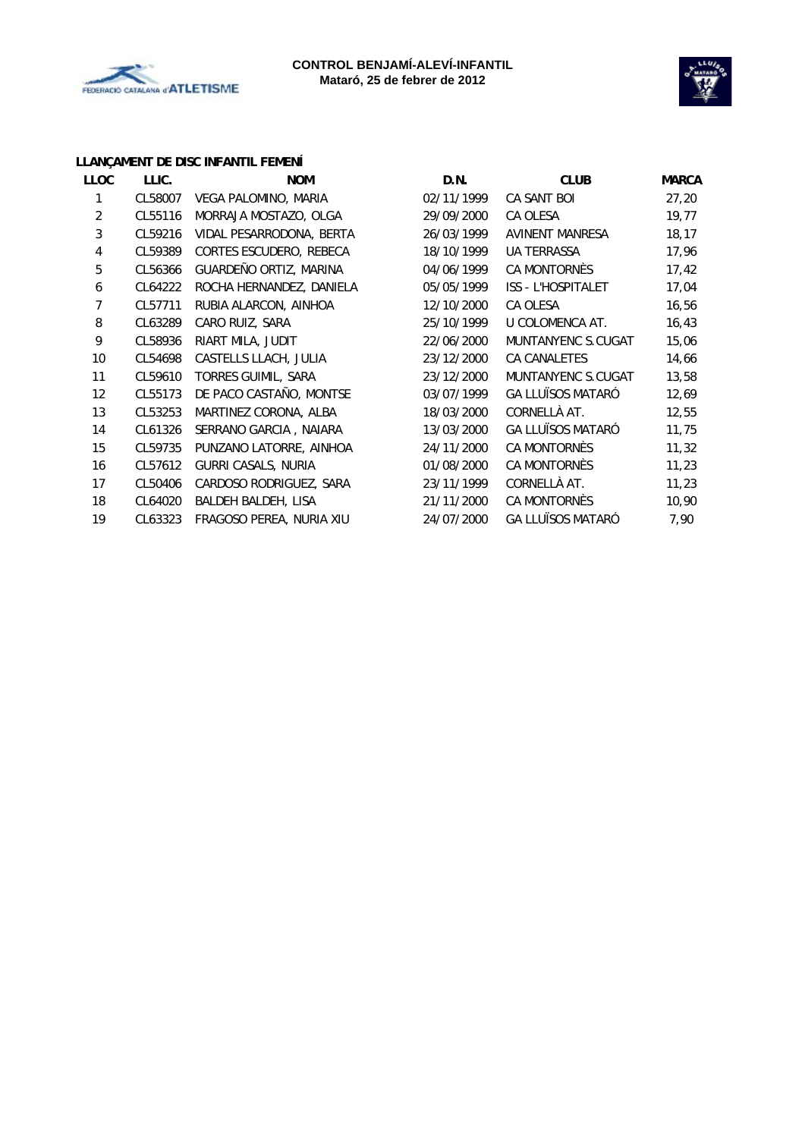



## **LLANÇAMENT DE DISC INFANTIL FEMENÍ**

| <b>LLOC</b> | LLIC.   | <b>NOM</b>                 | D.N.       | <b>CLUB</b>              | <b>MARCA</b> |
|-------------|---------|----------------------------|------------|--------------------------|--------------|
|             | CL58007 | VEGA PALOMINO, MARIA       | 02/11/1999 | CA SANT BOI              | 27,20        |
| 2           | CL55116 | MORRAJA MOSTAZO, OLGA      | 29/09/2000 | CA OLESA                 | 19,77        |
| 3           | CL59216 | VIDAL PESARRODONA, BERTA   | 26/03/1999 | AVINENT MANRESA          | 18, 17       |
| 4           | CL59389 | CORTES ESCUDERO, REBECA    | 18/10/1999 | <b>UA TERRASSA</b>       | 17,96        |
| 5           | CL56366 | GUARDEÑO ORTIZ, MARINA     | 04/06/1999 | CA MONTORNÈS             | 17,42        |
| 6           | CL64222 | ROCHA HERNANDEZ, DANIELA   | 05/05/1999 | ISS - L'HOSPITALET       | 17,04        |
| 7           | CL57711 | RUBIA ALARCON, AINHOA      | 12/10/2000 | CA OLESA                 | 16,56        |
| 8           | CL63289 | CARO RUIZ, SARA            | 25/10/1999 | U COLOMENCA AT.          | 16,43        |
| 9           | CL58936 | RIART MILA, JUDIT          | 22/06/2000 | MUNTANYENC S.CUGAT       | 15,06        |
| 10          | CL54698 | CASTELLS LLACH, JULIA      | 23/12/2000 | <b>CA CANALETES</b>      | 14,66        |
| 11          | CL59610 | TORRES GUIMIL, SARA        | 23/12/2000 | MUNTANYENC S.CUGAT       | 13,58        |
| 12          | CL55173 | DE PACO CASTAÑO, MONTSE    | 03/07/1999 | <b>GA LLUÏSOS MATARÓ</b> | 12,69        |
| 13          | CL53253 | MARTINEZ CORONA, ALBA      | 18/03/2000 | CORNELLÀ AT.             | 12,55        |
| 14          | CL61326 | SERRANO GARCIA, NAIARA     | 13/03/2000 | <b>GA LLUÏSOS MATARÓ</b> | 11,75        |
| 15          | CL59735 | PUNZANO LATORRE, AINHOA    | 24/11/2000 | CA MONTORNÈS             | 11,32        |
| 16          | CL57612 | <b>GURRI CASALS, NURIA</b> | 01/08/2000 | CA MONTORNÈS             | 11,23        |
| 17          | CL50406 | CARDOSO RODRIGUEZ, SARA    | 23/11/1999 | CORNELLÀ AT.             | 11,23        |
| 18          | CL64020 | BALDEH BALDEH, LISA        | 21/11/2000 | CA MONTORNÈS             | 10,90        |
| 19          | CL63323 | FRAGOSO PEREA, NURIA XIU   | 24/07/2000 | <b>GA LLUÏSOS MATARÓ</b> | 7,90         |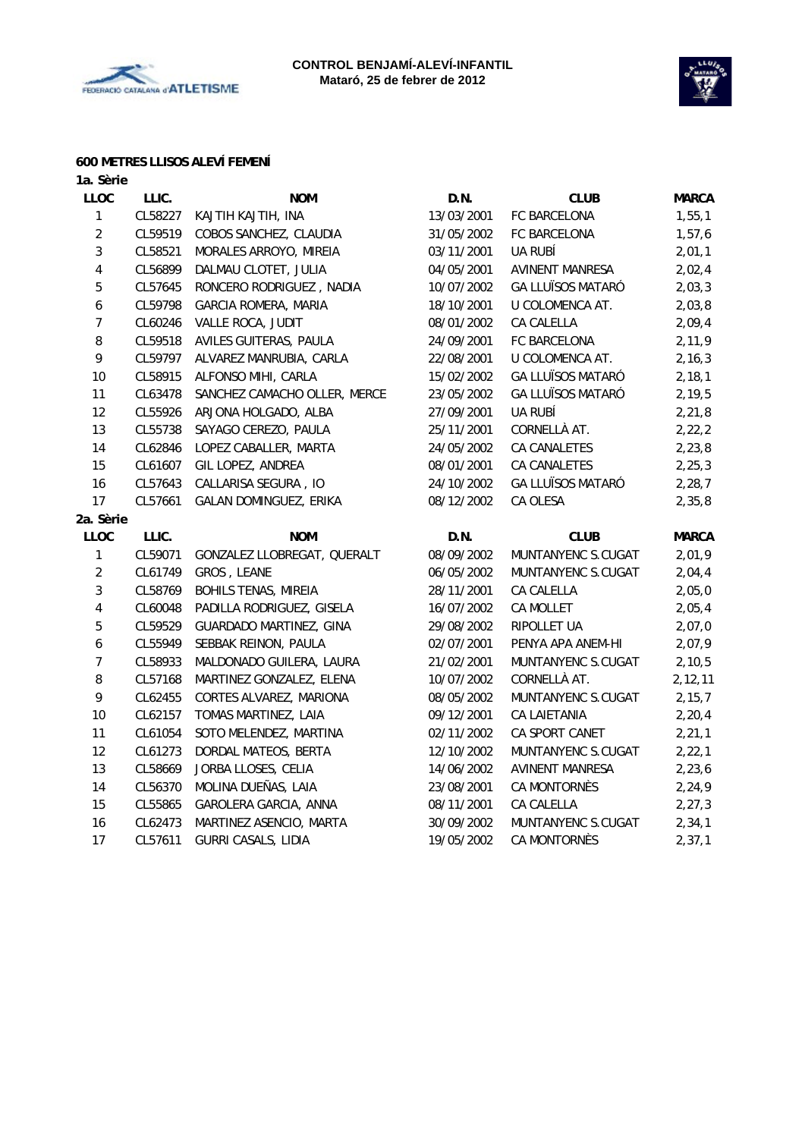



#### **600 METRES LLISOS ALEVÍ FEMENÍ**

| LLIC.   | <b>NOM</b>                   | D.N.       | <b>CLUB</b>              | <b>MARCA</b> |
|---------|------------------------------|------------|--------------------------|--------------|
| CL58227 | KAJTIH KAJTIH, INA           | 13/03/2001 | FC BARCELONA             | 1,55,1       |
| CL59519 | COBOS SANCHEZ, CLAUDIA       | 31/05/2002 | FC BARCELONA             | 1,57,6       |
| CL58521 | MORALES ARROYO, MIREIA       | 03/11/2001 | UA RUBÍ                  | 2,01,1       |
| CL56899 | DALMAU CLOTET, JULIA         | 04/05/2001 | <b>AVINENT MANRESA</b>   | 2,02,4       |
| CL57645 | RONCERO RODRIGUEZ, NADIA     | 10/07/2002 | <b>GA LLUÏSOS MATARÓ</b> | 2,03,3       |
| CL59798 | GARCIA ROMERA, MARIA         | 18/10/2001 | U COLOMENCA AT.          | 2,03,8       |
| CL60246 | VALLE ROCA, JUDIT            | 08/01/2002 | CA CALELLA               | 2,09,4       |
| CL59518 | AVILES GUITERAS, PAULA       | 24/09/2001 | FC BARCELONA             | 2,11,9       |
| CL59797 | ALVAREZ MANRUBIA, CARLA      | 22/08/2001 | U COLOMENCA AT.          | 2, 16, 3     |
| CL58915 | ALFONSO MIHI, CARLA          | 15/02/2002 | GA LLUÏSOS MATARÓ        | 2, 18, 1     |
| CL63478 | SANCHEZ CAMACHO OLLER, MERCE | 23/05/2002 | <b>GA LLUÏSOS MATARÓ</b> | 2, 19, 5     |
| CL55926 | ARJONA HOLGADO, ALBA         | 27/09/2001 | UA RUBÍ                  | 2, 21, 8     |
| CL55738 | SAYAGO CEREZO, PAULA         | 25/11/2001 | CORNELLÀ AT.             | 2, 22, 2     |
| CL62846 | LOPEZ CABALLER, MARTA        | 24/05/2002 | CA CANALETES             | 2, 23, 8     |
| CL61607 | GIL LOPEZ, ANDREA            | 08/01/2001 | CA CANALETES             | 2, 25, 3     |
| CL57643 | CALLARISA SEGURA, IO         | 24/10/2002 | <b>GA LLUÏSOS MATARÓ</b> | 2,28,7       |
| CL57661 | GALAN DOMINGUEZ, ERIKA       | 08/12/2002 | CA OLESA                 | 2, 35, 8     |
|         |                              |            |                          |              |
| LLIC.   | <b>NOM</b>                   | D.N.       | <b>CLUB</b>              | <b>MARCA</b> |
| CL59071 | GONZALEZ LLOBREGAT, QUERALT  | 08/09/2002 | MUNTANYENC S.CUGAT       | 2,01,9       |
| CL61749 | GROS, LEANE                  | 06/05/2002 | MUNTANYENC S.CUGAT       | 2,04,4       |
| CL58769 | BOHILS TENAS, MIREIA         | 28/11/2001 | CA CALELLA               | 2,05,0       |
| CL60048 | PADILLA RODRIGUEZ, GISELA    | 16/07/2002 | CA MOLLET                | 2,05,4       |
| CL59529 | GUARDADO MARTINEZ, GINA      | 29/08/2002 | RIPOLLET UA              | 2,07,0       |
| CL55949 | SEBBAK REINON, PAULA         | 02/07/2001 | PENYA APA ANEM-HI        | 2,07,9       |
| CL58933 | MALDONADO GUILERA, LAURA     | 21/02/2001 | MUNTANYENC S.CUGAT       | 2, 10, 5     |
| CL57168 | MARTINEZ GONZALEZ, ELENA     | 10/07/2002 | CORNELLÀ AT.             | 2,12,11      |
| CL62455 | CORTES ALVAREZ, MARIONA      | 08/05/2002 | MUNTANYENC S.CUGAT       | 2, 15, 7     |
| CL62157 | TOMAS MARTINEZ, LAIA         | 09/12/2001 | CA LAIETANIA             | 2, 20, 4     |
| CL61054 | SOTO MELENDEZ, MARTINA       | 02/11/2002 | CA SPORT CANET           | 2, 21, 1     |
| CL61273 | DORDAL MATEOS, BERTA         | 12/10/2002 | MUNTANYENC S.CUGAT       | 2, 22, 1     |
| CL58669 | JORBA LLOSES, CELIA          | 14/06/2002 | AVINENT MANRESA          | 2, 23, 6     |
| CL56370 | MOLINA DUEÑAS, LAIA          | 23/08/2001 | <b>CA MONTORNÈS</b>      | 2,24,9       |
| CL55865 | GAROLERA GARCIA, ANNA        | 08/11/2001 | CA CALELLA               | 2, 27, 3     |
| CL62473 | MARTINEZ ASENCIO, MARTA      | 30/09/2002 | MUNTANYENC S.CUGAT       | 2, 34, 1     |
| CL57611 | <b>GURRI CASALS, LIDIA</b>   | 19/05/2002 | <b>CA MONTORNÈS</b>      | 2, 37, 1     |
|         |                              |            |                          |              |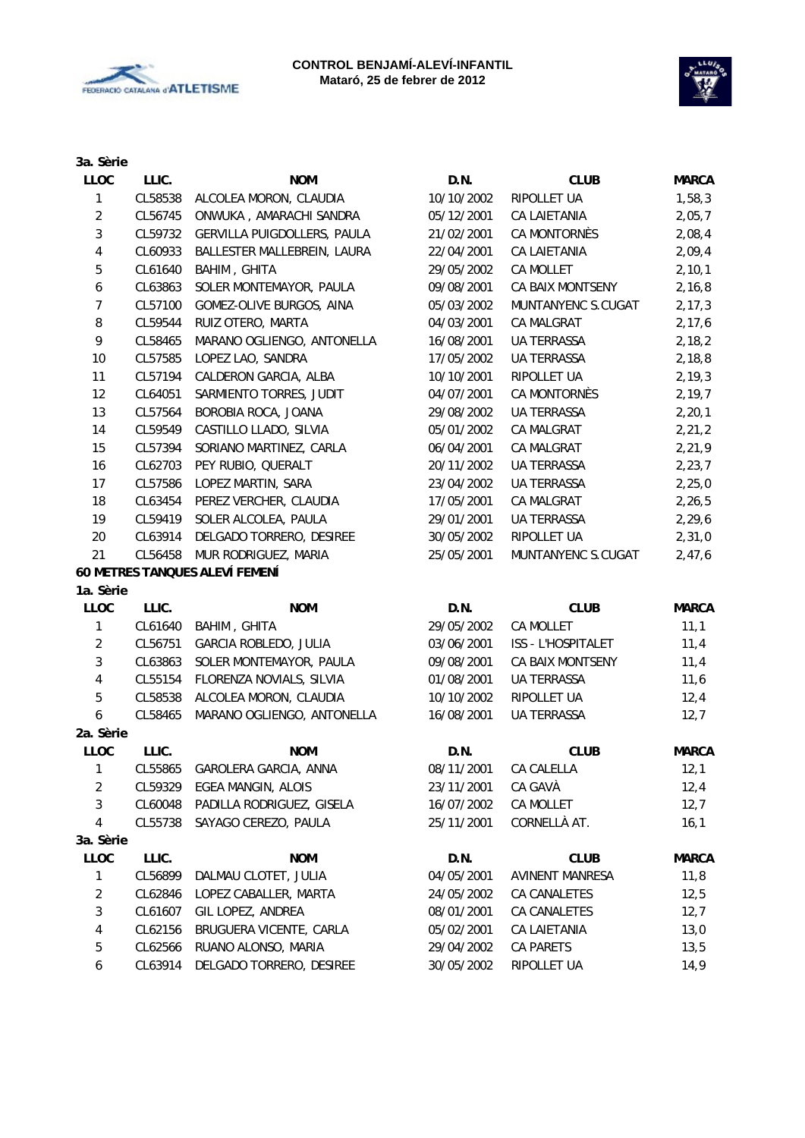



| 3a. Sèrie        |         |                                |            |                        |              |
|------------------|---------|--------------------------------|------------|------------------------|--------------|
| <b>LLOC</b>      | LLIC.   | <b>NOM</b>                     | D.N.       | <b>CLUB</b>            | <b>MARCA</b> |
| 1                | CL58538 | ALCOLEA MORON, CLAUDIA         | 10/10/2002 | RIPOLLET UA            | 1,58,3       |
| $\sqrt{2}$       | CL56745 | ONWUKA, AMARACHI SANDRA        | 05/12/2001 | CA LAIETANIA           | 2,05,7       |
| 3                | CL59732 | GERVILLA PUIGDOLLERS, PAULA    | 21/02/2001 | <b>CA MONTORNÈS</b>    | 2,08,4       |
| $\overline{4}$   | CL60933 | BALLESTER MALLEBREIN, LAURA    | 22/04/2001 | CA LAIETANIA           | 2,09,4       |
| 5                | CL61640 | <b>BAHIM, GHITA</b>            | 29/05/2002 | CA MOLLET              | 2, 10, 1     |
| 6                | CL63863 | SOLER MONTEMAYOR, PAULA        | 09/08/2001 | CA BAIX MONTSENY       | 2, 16, 8     |
| $\overline{7}$   | CL57100 | GOMEZ-OLIVE BURGOS, AINA       | 05/03/2002 | MUNTANYENC S.CUGAT     | 2, 17, 3     |
| 8                | CL59544 | RUIZ OTERO, MARTA              | 04/03/2001 | CA MALGRAT             | 2, 17, 6     |
| 9                | CL58465 | MARANO OGLIENGO, ANTONELLA     | 16/08/2001 | <b>UA TERRASSA</b>     | 2, 18, 2     |
| 10               | CL57585 | LOPEZ LAO, SANDRA              | 17/05/2002 | UA TERRASSA            | 2, 18, 8     |
| 11               | CL57194 | CALDERON GARCIA, ALBA          | 10/10/2001 | RIPOLLET UA            | 2, 19, 3     |
| 12               | CL64051 | SARMIENTO TORRES, JUDIT        | 04/07/2001 | CA MONTORNÈS           | 2, 19, 7     |
| 13               | CL57564 | BOROBIA ROCA, JOANA            | 29/08/2002 | <b>UA TERRASSA</b>     | 2, 20, 1     |
| 14               | CL59549 | CASTILLO LLADO, SILVIA         | 05/01/2002 | CA MALGRAT             | 2, 21, 2     |
| 15               | CL57394 | SORIANO MARTINEZ, CARLA        | 06/04/2001 | CA MALGRAT             | 2,21,9       |
| 16               | CL62703 | PEY RUBIO, QUERALT             | 20/11/2002 | <b>UA TERRASSA</b>     | 2,23,7       |
| 17               | CL57586 | LOPEZ MARTIN, SARA             | 23/04/2002 | <b>UA TERRASSA</b>     | 2,25,0       |
| 18               | CL63454 | PEREZ VERCHER, CLAUDIA         | 17/05/2001 | CA MALGRAT             | 2, 26, 5     |
| 19               | CL59419 | SOLER ALCOLEA, PAULA           | 29/01/2001 | <b>UA TERRASSA</b>     | 2, 29, 6     |
| 20               | CL63914 | DELGADO TORRERO, DESIREE       | 30/05/2002 | RIPOLLET UA            | 2,31,0       |
| 21               | CL56458 | MUR RODRIGUEZ, MARIA           | 25/05/2001 | MUNTANYENC S.CUGAT     | 2,47,6       |
|                  |         | 60 METRES TANQUES ALEVÍ FEMENÍ |            |                        |              |
| 1a. Sèrie        |         |                                |            |                        |              |
| LLOC             | LLIC.   | <b>NOM</b>                     | D.N.       | <b>CLUB</b>            | <b>MARCA</b> |
| $\mathbf{1}$     | CL61640 | <b>BAHIM, GHITA</b>            | 29/05/2002 | <b>CA MOLLET</b>       | 11,1         |
| $\overline{2}$   | CL56751 | GARCIA ROBLEDO, JULIA          | 03/06/2001 | ISS - L'HOSPITALET     | 11,4         |
| 3                | CL63863 | SOLER MONTEMAYOR, PAULA        | 09/08/2001 | CA BAIX MONTSENY       | 11,4         |
| $\overline{4}$   | CL55154 | FLORENZA NOVIALS, SILVIA       | 01/08/2001 | <b>UA TERRASSA</b>     | 11,6         |
| 5                | CL58538 | ALCOLEA MORON, CLAUDIA         | 10/10/2002 | RIPOLLET UA            | 12,4         |
| $\boldsymbol{6}$ | CL58465 | MARANO OGLIENGO, ANTONELLA     | 16/08/2001 | <b>UA TERRASSA</b>     | 12,7         |
| 2a. Sèrie        |         |                                |            |                        |              |
| <b>LLOC</b>      | LLIC.   | <b>NOM</b>                     | D.N.       | <b>CLUB</b>            | <b>MARCA</b> |
| 1                | CL55865 | GAROLERA GARCIA, ANNA          | 08/11/2001 | CA CALELLA             | 12,1         |
| $\overline{c}$   | CL59329 | EGEA MANGIN, ALOIS             | 23/11/2001 | CA GAVÀ                | 12,4         |
| 3                | CL60048 | PADILLA RODRIGUEZ, GISELA      | 16/07/2002 | CA MOLLET              | 12,7         |
| 4                | CL55738 | SAYAGO CEREZO, PAULA           | 25/11/2001 | CORNELLÀ AT.           | 16,1         |
| 3a. Sèrie        |         |                                |            |                        |              |
| <b>LLOC</b>      | LLIC.   | <b>NOM</b>                     | D.N.       | <b>CLUB</b>            | <b>MARCA</b> |
| 1                | CL56899 | DALMAU CLOTET, JULIA           | 04/05/2001 | <b>AVINENT MANRESA</b> | 11,8         |
| $\overline{c}$   | CL62846 | LOPEZ CABALLER, MARTA          | 24/05/2002 | CA CANALETES           | 12,5         |
| 3                | CL61607 | GIL LOPEZ, ANDREA              | 08/01/2001 | CA CANALETES           | 12,7         |
| 4                | CL62156 | BRUGUERA VICENTE, CARLA        | 05/02/2001 | CA LAIETANIA           | 13,0         |
| 5                | CL62566 | RUANO ALONSO, MARIA            | 29/04/2002 | CA PARETS              |              |
|                  |         |                                |            |                        | 13,5         |
| 6                | CL63914 | DELGADO TORRERO, DESIREE       | 30/05/2002 | RIPOLLET UA            | 14,9         |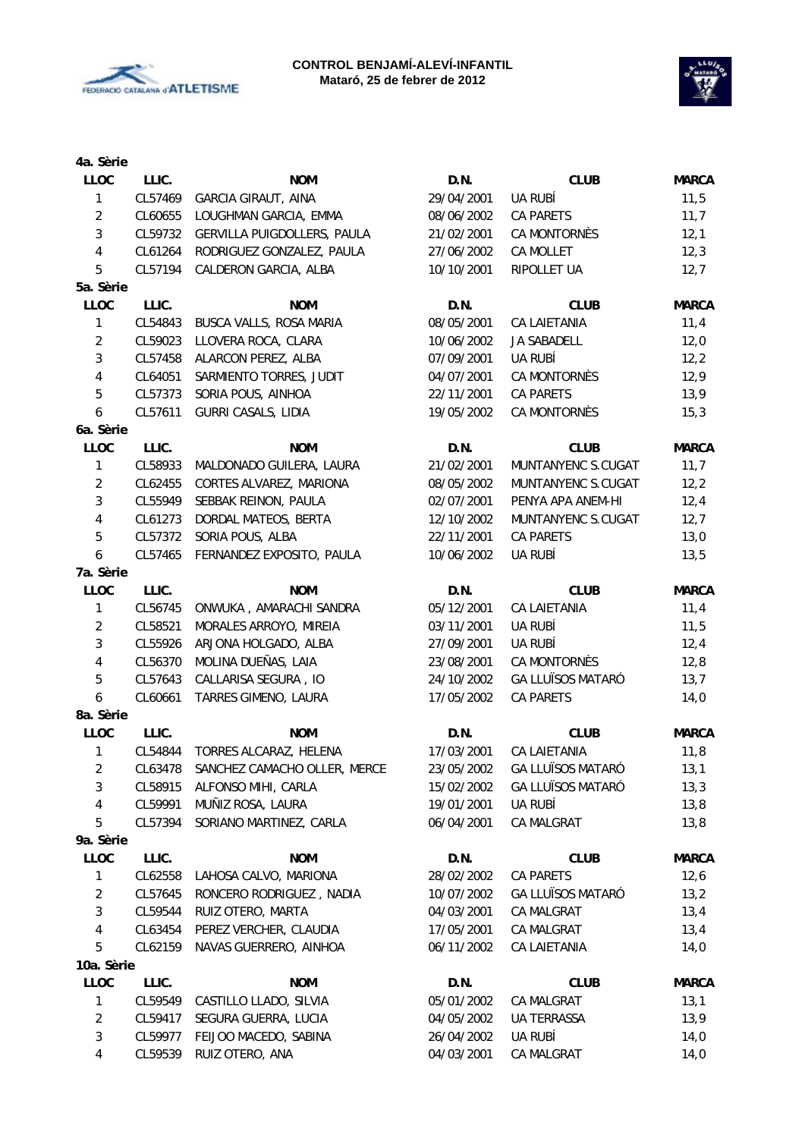



| 4a. Sèrie      |         |                              |                          |                          |              |
|----------------|---------|------------------------------|--------------------------|--------------------------|--------------|
| LLOC           | LLIC.   | <b>NOM</b>                   | D.N.                     | <b>CLUB</b>              | <b>MARCA</b> |
| 1              | CL57469 | <b>GARCIA GIRAUT, AINA</b>   | 29/04/2001               | UA RUBÍ                  | 11,5         |
| $\overline{2}$ | CL60655 | LOUGHMAN GARCIA, EMMA        | 08/06/2002               | <b>CA PARETS</b>         | 11,7         |
| 3              | CL59732 | GERVILLA PUIGDOLLERS, PAULA  | 21/02/2001               | <b>CA MONTORNÈS</b>      | 12,1         |
| $\overline{4}$ | CL61264 | RODRIGUEZ GONZALEZ, PAULA    | 27/06/2002               | CA MOLLET                | 12,3         |
| 5              | CL57194 | CALDERON GARCIA, ALBA        | 10/10/2001               | RIPOLLET UA              | 12,7         |
| 5a. Sèrie      |         |                              |                          |                          |              |
| <b>LLOC</b>    | LLIC.   | <b>NOM</b>                   | D.N.                     | <b>CLUB</b>              | <b>MARCA</b> |
| 1              | CL54843 | BUSCA VALLS, ROSA MARIA      | 08/05/2001               | CA LAIETANIA             | 11,4         |
| $\overline{2}$ | CL59023 | LLOVERA ROCA, CLARA          | 10/06/2002               | JA SABADELL              | 12,0         |
| 3              | CL57458 | ALARCON PEREZ, ALBA          | 07/09/2001               | UA RUBÍ                  | 12,2         |
| 4              | CL64051 | SARMIENTO TORRES, JUDIT      | 04/07/2001               | CA MONTORNÈS             | 12,9         |
| 5              | CL57373 | SORIA POUS, AINHOA           | 22/11/2001               | <b>CA PARETS</b>         | 13,9         |
| 6              | CL57611 | GURRI CASALS, LIDIA          | 19/05/2002               | <b>CA MONTORNÈS</b>      | 15,3         |
| 6a. Sèrie      |         |                              |                          |                          |              |
| LLOC           | LLIC.   | <b>NOM</b>                   | D.N.                     | <b>CLUB</b>              | <b>MARCA</b> |
| 1              | CL58933 | MALDONADO GUILERA, LAURA     | 21/02/2001               | MUNTANYENC S.CUGAT       | 11,7         |
| $\overline{2}$ | CL62455 | CORTES ALVAREZ, MARIONA      | 08/05/2002               | MUNTANYENC S.CUGAT       | 12,2         |
| 3              | CL55949 | SEBBAK REINON, PAULA         | 02/07/2001               | PENYA APA ANEM-HI        | 12,4         |
| $\overline{4}$ | CL61273 | DORDAL MATEOS, BERTA         | 12/10/2002               | MUNTANYENC S.CUGAT       | 12,7         |
| 5              | CL57372 | SORIA POUS, ALBA             | 22/11/2001               | <b>CA PARETS</b>         | 13,0         |
| 6              | CL57465 | FERNANDEZ EXPOSITO, PAULA    | 10/06/2002               | UA RUBÍ                  | 13,5         |
| 7a. Sèrie      |         |                              |                          |                          |              |
| LLOC           | LLIC.   | <b>NOM</b>                   | D.N.                     | <b>CLUB</b>              | <b>MARCA</b> |
| 1              | CL56745 | ONWUKA, AMARACHI SANDRA      | 05/12/2001               | <b>CA LAIETANIA</b>      | 11,4         |
| $\overline{2}$ | CL58521 | MORALES ARROYO, MIREIA       | 03/11/2001               | UA RUBÍ                  | 11,5         |
| 3              | CL55926 | ARJONA HOLGADO, ALBA         | 27/09/2001               | UA RUBÍ                  | 12,4         |
| 4              | CL56370 | MOLINA DUEÑAS, LAIA          | 23/08/2001               | CA MONTORNÈS             | 12,8         |
| 5              | CL57643 | CALLARISA SEGURA, IO         | 24/10/2002               | <b>GA LLUÏSOS MATARÓ</b> | 13,7         |
| 6              | CL60661 | TARRES GIMENO, LAURA         | 17/05/2002               | <b>CA PARETS</b>         | 14,0         |
| 8a. Sèrie      |         |                              |                          |                          |              |
| LLOC           | LLIC.   | <b>NOM</b>                   | D.N.                     | <b>CLUB</b>              | <b>MARCA</b> |
| 1              | CL54844 | TORRES ALCARAZ, HELENA       | 17/03/2001               | CA LAIETANIA             | 11,8         |
| 2              | CL63478 | SANCHEZ CAMACHO OLLER, MERCE | 23/05/2002               | <b>GA LLUÏSOS MATARÓ</b> | 13,1         |
| 3              | CL58915 | ALFONSO MIHI, CARLA          | 15/02/2002               | <b>GA LLUÏSOS MATARÓ</b> | 13,3         |
| 4              | CL59991 | MUÑIZ ROSA, LAURA            | 19/01/2001               | UA RUBÍ                  | 13,8         |
| 5              | CL57394 | SORIANO MARTINEZ, CARLA      | 06/04/2001               | CA MALGRAT               | 13,8         |
| 9a. Sèrie      |         |                              |                          |                          |              |
| LLOC           | LLIC.   | <b>NOM</b>                   | D.N.                     | <b>CLUB</b>              | <b>MARCA</b> |
| 1              | CL62558 | LAHOSA CALVO, MARIONA        | 28/02/2002               | CA PARETS                | 12,6         |
|                | CL57645 | RONCERO RODRIGUEZ, NADIA     |                          | <b>GA LLUÏSOS MATARÓ</b> |              |
| 2<br>3         | CL59544 | RUIZ OTERO, MARTA            | 10/07/2002<br>04/03/2001 | CA MALGRAT               | 13,2         |
|                |         | PEREZ VERCHER, CLAUDIA       |                          |                          | 13,4         |
| 4              | CL63454 |                              | 17/05/2001               | CA MALGRAT               | 13,4         |
| 5              | CL62159 | NAVAS GUERRERO, AINHOA       | 06/11/2002               | CA LAIETANIA             | 14,0         |
| 10a. Sèrie     |         |                              |                          |                          |              |
| <b>LLOC</b>    | LLIC.   | <b>NOM</b>                   | D.N.                     | <b>CLUB</b>              | <b>MARCA</b> |
| 1              | CL59549 | CASTILLO LLADO, SILVIA       | 05/01/2002               | CA MALGRAT               | 13,1         |
| 2              | CL59417 | SEGURA GUERRA, LUCIA         | 04/05/2002               | <b>UA TERRASSA</b>       | 13,9         |
| 3              | CL59977 | FEIJOO MACEDO, SABINA        | 26/04/2002               | UA RUBÍ                  | 14,0         |
| 4              | CL59539 | RUIZ OTERO, ANA              | 04/03/2001               | CA MALGRAT               | 14,0         |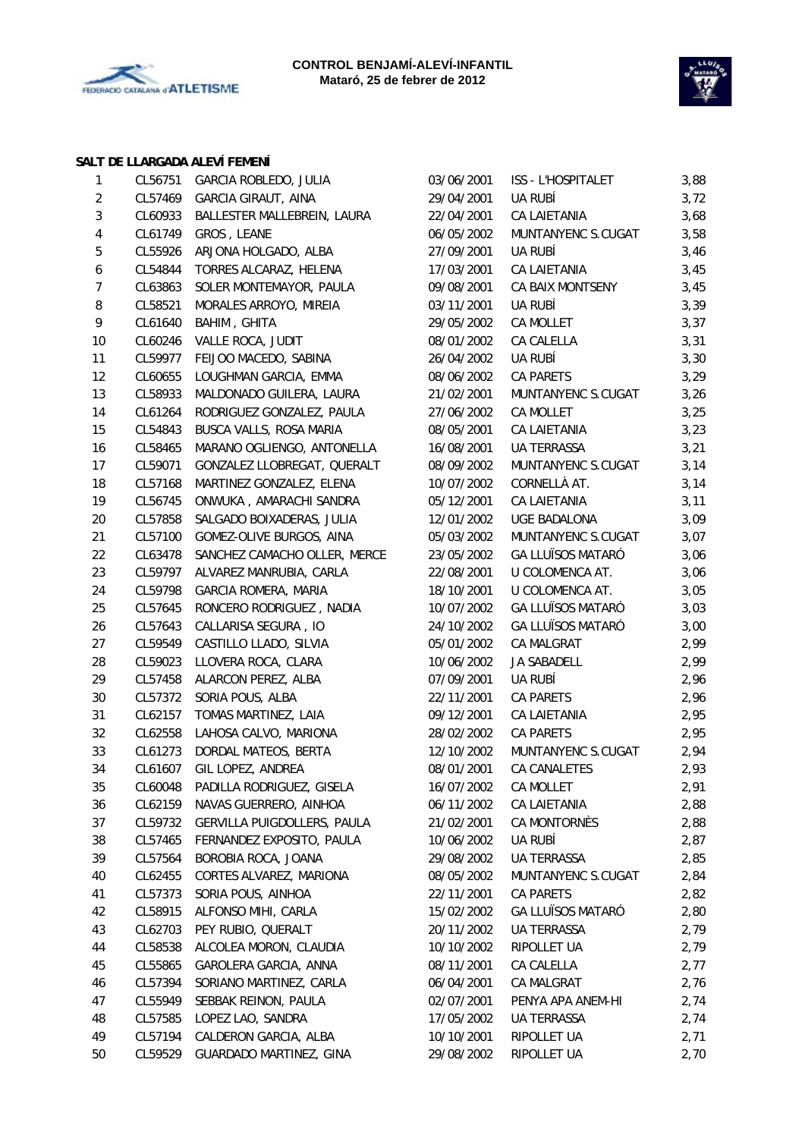



#### **SALT DE LLARGADA ALEVÍ FEMENÍ**

| $\mathbf{1}$     |         | CL56751 GARCIA ROBLEDO, JULIA | 03/06/2001 | ISS - L'HOSPITALET       | 3,88  |
|------------------|---------|-------------------------------|------------|--------------------------|-------|
| $\overline{2}$   | CL57469 | GARCIA GIRAUT, AINA           | 29/04/2001 | UA RUBÍ                  | 3,72  |
| $\mathbf{3}$     | CL60933 | BALLESTER MALLEBREIN, LAURA   | 22/04/2001 | CA LAIETANIA             | 3,68  |
| 4                | CL61749 | GROS, LEANE                   | 06/05/2002 | MUNTANYENC S.CUGAT       | 3,58  |
| 5                | CL55926 | ARJONA HOLGADO, ALBA          | 27/09/2001 | UA RUBÍ                  | 3,46  |
| $\boldsymbol{6}$ | CL54844 | TORRES ALCARAZ, HELENA        | 17/03/2001 | CA LAIETANIA             | 3,45  |
| $\overline{7}$   | CL63863 | SOLER MONTEMAYOR, PAULA       | 09/08/2001 | CA BAIX MONTSENY         | 3,45  |
| $\, 8$           | CL58521 | MORALES ARROYO, MIREIA        | 03/11/2001 | UA RUBÍ                  | 3,39  |
| 9                | CL61640 | BAHIM, GHITA                  | 29/05/2002 | CA MOLLET                | 3, 37 |
| 10               | CL60246 | VALLE ROCA, JUDIT             | 08/01/2002 | CA CALELLA               | 3,31  |
| 11               | CL59977 | FEIJOO MACEDO, SABINA         | 26/04/2002 | UA RUBÍ                  | 3,30  |
| 12               | CL60655 | LOUGHMAN GARCIA, EMMA         | 08/06/2002 | CA PARETS                | 3,29  |
| 13               | CL58933 | MALDONADO GUILERA, LAURA      | 21/02/2001 | MUNTANYENC S.CUGAT       | 3,26  |
| 14               | CL61264 | RODRIGUEZ GONZALEZ, PAULA     | 27/06/2002 | CA MOLLET                | 3,25  |
| 15               | CL54843 | BUSCA VALLS, ROSA MARIA       | 08/05/2001 | CA LAIETANIA             | 3,23  |
| 16               | CL58465 | MARANO OGLIENGO, ANTONELLA    | 16/08/2001 | UA TERRASSA              | 3,21  |
| 17               | CL59071 | GONZALEZ LLOBREGAT, QUERALT   | 08/09/2002 | MUNTANYENC S.CUGAT       | 3,14  |
| 18               | CL57168 | MARTINEZ GONZALEZ, ELENA      | 10/07/2002 | CORNELLÀ AT.             | 3,14  |
| 19               | CL56745 | ONWUKA, AMARACHI SANDRA       | 05/12/2001 | CA LAIETANIA             | 3,11  |
| 20               | CL57858 | SALGADO BOIXADERAS, JULIA     | 12/01/2002 | UGE BADALONA             | 3,09  |
| 21               | CL57100 | GOMEZ-OLIVE BURGOS, AINA      | 05/03/2002 | MUNTANYENC S.CUGAT       | 3,07  |
| 22               | CL63478 | SANCHEZ CAMACHO OLLER, MERCE  | 23/05/2002 | <b>GA LLUÏSOS MATARÓ</b> | 3,06  |
| 23               | CL59797 | ALVAREZ MANRUBIA, CARLA       | 22/08/2001 | U COLOMENCA AT.          | 3,06  |
| 24               | CL59798 | GARCIA ROMERA, MARIA          | 18/10/2001 | U COLOMENCA AT.          | 3,05  |
| 25               | CL57645 | RONCERO RODRIGUEZ, NADIA      | 10/07/2002 | <b>GA LLUÏSOS MATARÓ</b> | 3,03  |
| 26               | CL57643 | CALLARISA SEGURA, IO          | 24/10/2002 | <b>GA LLUÏSOS MATARÓ</b> | 3,00  |
| 27               | CL59549 | CASTILLO LLADO, SILVIA        | 05/01/2002 | CA MALGRAT               | 2,99  |
| 28               | CL59023 | LLOVERA ROCA, CLARA           | 10/06/2002 | JA SABADELL              | 2,99  |
| 29               | CL57458 | ALARCON PEREZ, ALBA           | 07/09/2001 | UA RUBÍ                  | 2,96  |
| 30               | CL57372 | SORIA POUS, ALBA              | 22/11/2001 | CA PARETS                | 2,96  |
| 31               | CL62157 | TOMAS MARTINEZ, LAIA          | 09/12/2001 | CA LAIETANIA             | 2,95  |
| 32               | CL62558 | LAHOSA CALVO, MARIONA         | 28/02/2002 | CA PARETS                | 2,95  |
| 33               | CL61273 | DORDAL MATEOS, BERTA          | 12/10/2002 | MUNTANYENC S.CUGAT       | 2,94  |
| 34               | CL61607 | GIL LOPEZ, ANDREA             | 08/01/2001 | <b>CA CANALETES</b>      | 2,93  |
| 35               | CL60048 | PADILLA RODRIGUEZ, GISELA     | 16/07/2002 | CA MOLLET                | 2,91  |
| 36               | CL62159 | NAVAS GUERRERO, AINHOA        | 06/11/2002 | CA LAIETANIA             | 2,88  |
| 37               | CL59732 | GERVILLA PUIGDOLLERS, PAULA   | 21/02/2001 | CA MONTORNÉS             | 2,88  |
| 38               | CL57465 | FERNANDEZ EXPOSITO, PAULA     | 10/06/2002 | UA RUBÍ                  | 2,87  |
| 39               | CL57564 | BOROBIA ROCA, JOANA           | 29/08/2002 | <b>UA TERRASSA</b>       | 2,85  |
| 40               | CL62455 | CORTES ALVAREZ, MARIONA       | 08/05/2002 | MUNTANYENC S.CUGAT       | 2,84  |
| 41               | CL57373 | SORIA POUS, AINHOA            | 22/11/2001 | CA PARETS                | 2,82  |
| 42               | CL58915 | ALFONSO MIHI, CARLA           | 15/02/2002 | <b>GA LLUÏSOS MATARÓ</b> | 2,80  |
| 43               | CL62703 | PEY RUBIO, QUERALT            | 20/11/2002 | UA TERRASSA              | 2,79  |
| 44               | CL58538 | ALCOLEA MORON, CLAUDIA        | 10/10/2002 | RIPOLLET UA              | 2,79  |
| 45               | CL55865 | GAROLERA GARCIA, ANNA         | 08/11/2001 | CA CALELLA               | 2,77  |
| 46               | CL57394 | SORIANO MARTINEZ, CARLA       | 06/04/2001 | CA MALGRAT               | 2,76  |
| 47               | CL55949 | SEBBAK REINON, PAULA          | 02/07/2001 | PENYA APA ANEM-HI        | 2,74  |
| 48               | CL57585 | LOPEZ LAO, SANDRA             | 17/05/2002 | UA TERRASSA              | 2,74  |
| 49               | CL57194 | CALDERON GARCIA, ALBA         | 10/10/2001 | RIPOLLET UA              | 2,71  |
| 50               | CL59529 | GUARDADO MARTINEZ, GINA       | 29/08/2002 | RIPOLLET UA              | 2,70  |
|                  |         |                               |            |                          |       |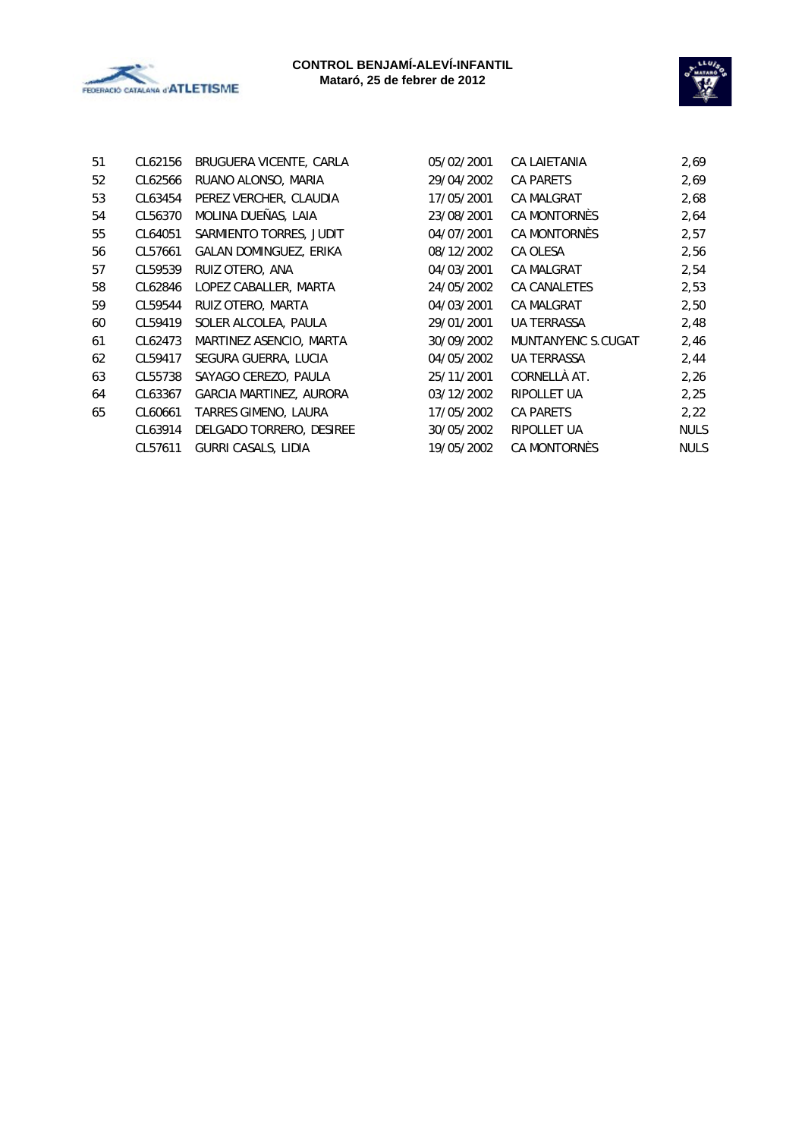



| 51 | CL62156 | BRUGUERA VICENTE, CARLA    | 05/02/2001 | <b>CA LAIETANIA</b> | 2,69 |
|----|---------|----------------------------|------------|---------------------|------|
| 52 | CL62566 | RUANO ALONSO, MARIA        | 29/04/2002 | <b>CA PARETS</b>    | 2,69 |
| 53 | CL63454 | PEREZ VERCHER, CLAUDIA     | 17/05/2001 | <b>CA MALGRAT</b>   | 2,68 |
| 54 | CL56370 | MOLINA DUEÑAS, LAIA        | 23/08/2001 | CA MONTORNÈS        | 2,64 |
| 55 | CL64051 | SARMIENTO TORRES, JUDIT    | 04/07/2001 | CA MONTORNÈS        | 2,57 |
| 56 | CL57661 | GALAN DOMINGUEZ, ERIKA     | 08/12/2002 | CA OLESA            | 2,56 |
| 57 | CL59539 | RUIZ OTERO, ANA            | 04/03/2001 | <b>CA MALGRAT</b>   | 2,54 |
| 58 | CL62846 | LOPEZ CABALLER, MARTA      | 24/05/2002 | CA CANALETES        | 2,53 |
| 59 | CL59544 | RUIZ OTERO, MARTA          | 04/03/2001 | <b>CA MALGRAT</b>   | 2,50 |
| 60 | CL59419 | SOLER ALCOLEA, PAULA       | 29/01/2001 | UA TERRASSA         | 2,48 |
| 61 | CL62473 | MARTINEZ ASENCIO, MARTA    | 30/09/2002 | MUNTANYENC S.CUGAT  | 2,46 |
| 62 | CL59417 | SEGURA GUERRA, LUCIA       | 04/05/2002 | <b>UA TERRASSA</b>  | 2,44 |
| 63 | CL55738 | SAYAGO CEREZO, PAULA       | 25/11/2001 | CORNELLÀ AT.        | 2,26 |
| 64 | CL63367 | GARCIA MARTINEZ, AURORA    | 03/12/2002 | RIPOLLET UA         | 2,25 |
| 65 | CL60661 | TARRES GIMENO, LAURA       | 17/05/2002 | <b>CA PARETS</b>    | 2,22 |
|    | CL63914 | DELGADO TORRERO, DESIREE   | 30/05/2002 | RIPOLLET UA         | NUL: |
|    | CL57611 | <b>GURRI CASALS, LIDIA</b> | 19/05/2002 | CA MONTORNÈS        | NUL: |
|    |         |                            |            |                     |      |

| CL62156 | BRUGUERA VICENTE, CARLA    | 05/02/2001 | CA LAIETANIA       | 2,69        |
|---------|----------------------------|------------|--------------------|-------------|
| CL62566 | RUANO ALONSO, MARIA        | 29/04/2002 | <b>CA PARETS</b>   | 2,69        |
| CL63454 | PEREZ VERCHER, CLAUDIA     | 17/05/2001 | <b>CA MALGRAT</b>  | 2,68        |
| CL56370 | MOLINA DUEÑAS, LAIA        | 23/08/2001 | CA MONTORNES       | 2,64        |
| CL64051 | SARMIENTO TORRES, JUDIT    | 04/07/2001 | CA MONTORNÈS       | 2,57        |
| CL57661 | GALAN DOMINGUEZ, ERIKA     | 08/12/2002 | CA OLESA           | 2,56        |
| CL59539 | RUIZ OTERO, ANA            | 04/03/2001 | <b>CA MALGRAT</b>  | 2,54        |
| CL62846 | LOPEZ CABALLER, MARTA      | 24/05/2002 | CA CANALETES       | 2,53        |
| CL59544 | RUIZ OTERO, MARTA          | 04/03/2001 | CA MALGRAT         | 2,50        |
| CL59419 | SOLER ALCOLEA, PAULA       | 29/01/2001 | UA TERRASSA        | 2,48        |
| CL62473 | MARTINEZ ASENCIO, MARTA    | 30/09/2002 | MUNTANYENC S.CUGAT | 2,46        |
| CL59417 | SEGURA GUERRA, LUCIA       | 04/05/2002 | <b>UA TERRASSA</b> | 2,44        |
| CL55738 | SAYAGO CEREZO, PAULA       | 25/11/2001 | CORNELLÀ AT.       | 2,26        |
| CL63367 | GARCIA MARTINEZ, AURORA    | 03/12/2002 | RIPOLLET UA        | 2,25        |
| CL60661 | TARRES GIMENO, LAURA       | 17/05/2002 | <b>CA PARETS</b>   | 2,22        |
| CL63914 | DELGADO TORRERO, DESIREE   | 30/05/2002 | RIPOLLET UA        | <b>NULS</b> |
| CL57611 | <b>GURRI CASALS, LIDIA</b> | 19/05/2002 | CA MONTORNÈS       | <b>NULS</b> |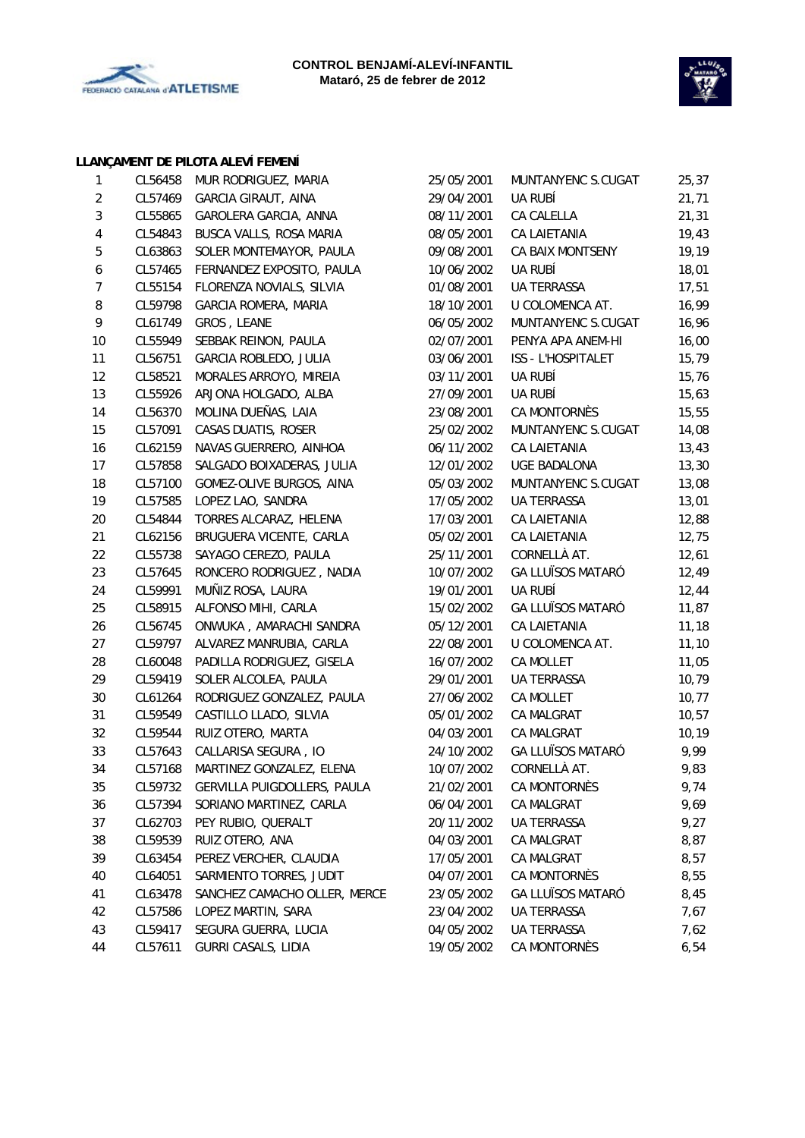



## **LLANÇAMENT DE PILOTA ALEVÍ FEMENÍ**

| $\mathbf{1}$     | CL56458 | MUR RODRIGUEZ, MARIA         | 25/05/2001 | MUNTANYENC S.CUGAT       | 25,37 |
|------------------|---------|------------------------------|------------|--------------------------|-------|
| $\overline{c}$   | CL57469 | <b>GARCIA GIRAUT, AINA</b>   | 29/04/2001 | UA RUBÍ                  | 21,71 |
| 3                | CL55865 | GAROLERA GARCIA, ANNA        | 08/11/2001 | CA CALELLA               | 21,31 |
| 4                | CL54843 | BUSCA VALLS, ROSA MARIA      | 08/05/2001 | CA LAIETANIA             | 19,43 |
| 5                | CL63863 | SOLER MONTEMAYOR, PAULA      | 09/08/2001 | CA BAIX MONTSENY         | 19,19 |
| $\boldsymbol{6}$ | CL57465 | FERNANDEZ EXPOSITO, PAULA    | 10/06/2002 | UA RUBÍ                  | 18,01 |
| $\boldsymbol{7}$ | CL55154 | FLORENZA NOVIALS, SILVIA     | 01/08/2001 | UA TERRASSA              | 17,51 |
| 8                | CL59798 | <b>GARCIA ROMERA, MARIA</b>  | 18/10/2001 | U COLOMENCA AT.          | 16,99 |
| 9                | CL61749 | GROS, LEANE                  | 06/05/2002 | MUNTANYENC S.CUGAT       | 16,96 |
| 10               | CL55949 | SEBBAK REINON, PAULA         | 02/07/2001 | PENYA APA ANEM-HI        | 16,00 |
| 11               | CL56751 | GARCIA ROBLEDO, JULIA        | 03/06/2001 | ISS - L'HOSPITALET       | 15,79 |
| 12               | CL58521 | MORALES ARROYO, MIREIA       | 03/11/2001 | UA RUBÍ                  | 15,76 |
| 13               | CL55926 | ARJONA HOLGADO, ALBA         | 27/09/2001 | UA RUBÍ                  | 15,63 |
| 14               | CL56370 | MOLINA DUEÑAS, LAIA          | 23/08/2001 | CA MONTORNÈS             | 15,55 |
| 15               | CL57091 | CASAS DUATIS, ROSER          | 25/02/2002 | MUNTANYENC S.CUGAT       | 14,08 |
| 16               | CL62159 | NAVAS GUERRERO, AINHOA       | 06/11/2002 | <b>CA LAIETANIA</b>      | 13,43 |
| 17               | CL57858 | SALGADO BOIXADERAS, JULIA    | 12/01/2002 | <b>UGE BADALONA</b>      | 13,30 |
| 18               | CL57100 | GOMEZ-OLIVE BURGOS, AINA     | 05/03/2002 | MUNTANYENC S.CUGAT       | 13,08 |
| 19               | CL57585 | LOPEZ LAO, SANDRA            | 17/05/2002 | UA TERRASSA              | 13,01 |
| 20               | CL54844 | TORRES ALCARAZ, HELENA       | 17/03/2001 | CA LAIETANIA             | 12,88 |
| 21               | CL62156 | BRUGUERA VICENTE, CARLA      | 05/02/2001 | CA LAIETANIA             | 12,75 |
| 22               | CL55738 | SAYAGO CEREZO, PAULA         | 25/11/2001 | CORNELLÀ AT.             | 12,61 |
| 23               | CL57645 | RONCERO RODRIGUEZ, NADIA     | 10/07/2002 | <b>GA LLUÏSOS MATARÓ</b> | 12,49 |
| 24               | CL59991 | MUÑIZ ROSA, LAURA            | 19/01/2001 | UA RUBÍ                  | 12,44 |
| 25               | CL58915 | ALFONSO MIHI, CARLA          | 15/02/2002 | <b>GA LLUÏSOS MATARÓ</b> | 11,87 |
| 26               | CL56745 | ONWUKA, AMARACHI SANDRA      | 05/12/2001 | CA LAIETANIA             | 11,18 |
| 27               | CL59797 | ALVAREZ MANRUBIA, CARLA      | 22/08/2001 | U COLOMENCA AT.          | 11,10 |
| 28               | CL60048 | PADILLA RODRIGUEZ, GISELA    | 16/07/2002 | CA MOLLET                | 11,05 |
| 29               | CL59419 | SOLER ALCOLEA, PAULA         | 29/01/2001 | UA TERRASSA              | 10,79 |
| $30\,$           | CL61264 | RODRIGUEZ GONZALEZ, PAULA    | 27/06/2002 | CA MOLLET                | 10,77 |
| 31               | CL59549 | CASTILLO LLADO, SILVIA       | 05/01/2002 | CA MALGRAT               | 10,57 |
| 32               | CL59544 | RUIZ OTERO, MARTA            | 04/03/2001 | CA MALGRAT               | 10,19 |
| 33               | CL57643 | CALLARISA SEGURA, IO         | 24/10/2002 | <b>GA LLUÏSOS MATARÓ</b> | 9,99  |
| 34               | CL57168 | MARTINEZ GONZALEZ, ELENA     | 10/07/2002 | CORNELLÀ AT.             | 9,83  |
| 35               | CL59732 | GERVILLA PUIGDOLLERS, PAULA  | 21/02/2001 | CA MONTORNÉS             | 9,74  |
| 36               | CL57394 | SORIANO MARTINEZ, CARLA      | 06/04/2001 | CA MALGRAT               | 9,69  |
| 37               | CL62703 | PEY RUBIO, QUERALT           | 20/11/2002 | UA TERRASSA              | 9,27  |
| 38               | CL59539 | RUIZ OTERO, ANA              | 04/03/2001 | CA MALGRAT               | 8,87  |
| 39               | CL63454 | PEREZ VERCHER, CLAUDIA       | 17/05/2001 | CA MALGRAT               | 8,57  |
| 40               | CL64051 | SARMIENTO TORRES, JUDIT      | 04/07/2001 | CA MONTORNÈS             | 8,55  |
| 41               | CL63478 | SANCHEZ CAMACHO OLLER, MERCE | 23/05/2002 | <b>GA LLUÏSOS MATARÓ</b> | 8,45  |
| 42               | CL57586 | LOPEZ MARTIN, SARA           | 23/04/2002 | UA TERRASSA              | 7,67  |
| 43               | CL59417 | SEGURA GUERRA, LUCIA         | 04/05/2002 | UA TERRASSA              | 7,62  |
| 44               | CL57611 | GURRI CASALS, LIDIA          | 19/05/2002 | CA MONTORNÈS             | 6,54  |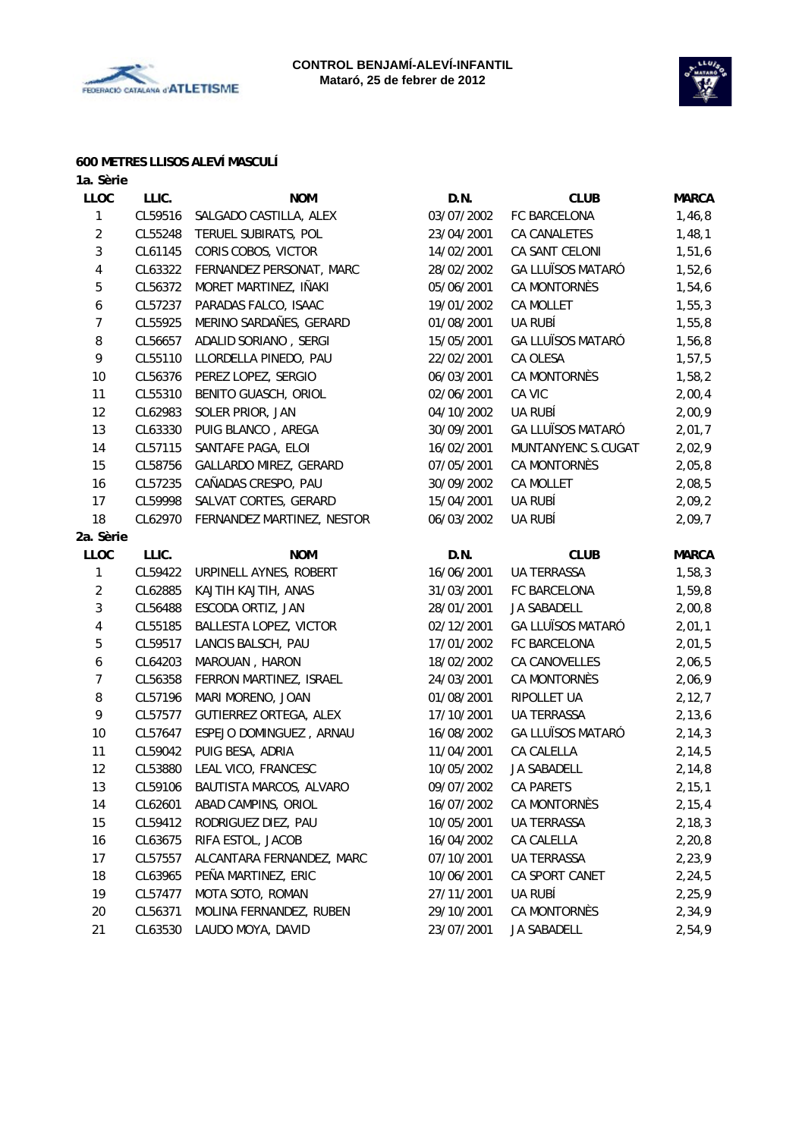



#### **600 METRES LLISOS ALEVÍ MASCULÍ**

| 1a. Sèrie               |         |                            |            |                          |              |
|-------------------------|---------|----------------------------|------------|--------------------------|--------------|
| <b>LLOC</b>             | LLIC.   | <b>NOM</b>                 | D.N.       | <b>CLUB</b>              | <b>MARCA</b> |
| 1                       | CL59516 | SALGADO CASTILLA, ALEX     | 03/07/2002 | FC BARCELONA             | 1,46,8       |
| $\overline{2}$          | CL55248 | TERUEL SUBIRATS, POL       | 23/04/2001 | CA CANALETES             | 1,48,1       |
| 3                       | CL61145 | CORIS COBOS, VICTOR        | 14/02/2001 | CA SANT CELONI           | 1,51,6       |
| $\overline{\mathbf{4}}$ | CL63322 | FERNANDEZ PERSONAT, MARC   | 28/02/2002 | <b>GA LLUÏSOS MATARÓ</b> | 1,52,6       |
| 5                       | CL56372 | MORET MARTINEZ, IÑAKI      | 05/06/2001 | CA MONTORNÈS             | 1,54,6       |
| 6                       | CL57237 | PARADAS FALCO, ISAAC       | 19/01/2002 | CA MOLLET                | 1, 55, 3     |
| $\overline{7}$          | CL55925 | MERINO SARDAÑES, GERARD    | 01/08/2001 | UA RUBÍ                  | 1,55,8       |
| 8                       | CL56657 | ADALID SORIANO, SERGI      | 15/05/2001 | <b>GA LLUÏSOS MATARÓ</b> | 1,56,8       |
| 9                       | CL55110 | LLORDELLA PINEDO, PAU      | 22/02/2001 | CA OLESA                 | 1,57,5       |
| 10                      | CL56376 | PEREZ LOPEZ, SERGIO        | 06/03/2001 | CA MONTORNÈS             | 1,58,2       |
| 11                      | CL55310 | BENITO GUASCH, ORIOL       | 02/06/2001 | CA VIC                   | 2,00,4       |
| 12                      | CL62983 | SOLER PRIOR, JAN           | 04/10/2002 | UA RUBÍ                  | 2,00,9       |
| 13                      | CL63330 | PUIG BLANCO, AREGA         | 30/09/2001 | <b>GA LLUÏSOS MATARÓ</b> | 2,01,7       |
| 14                      | CL57115 | SANTAFE PAGA, ELOI         | 16/02/2001 | MUNTANYENC S.CUGAT       | 2,02,9       |
| 15                      | CL58756 | GALLARDO MIREZ, GERARD     | 07/05/2001 | <b>CA MONTORNÈS</b>      | 2,05,8       |
| 16                      | CL57235 | CAÑADAS CRESPO, PAU        | 30/09/2002 | CA MOLLET                | 2,08,5       |
| 17                      | CL59998 | SALVAT CORTES, GERARD      | 15/04/2001 | UA RUBÍ                  | 2,09,2       |
| 18                      | CL62970 | FERNANDEZ MARTINEZ, NESTOR | 06/03/2002 | UA RUBÍ                  | 2,09,7       |
| 2a. Sèrie               |         |                            |            |                          |              |
| <b>LLOC</b>             | LLIC.   | <b>NOM</b>                 | D.N.       | <b>CLUB</b>              | <b>MARCA</b> |
| 1                       | CL59422 | URPINELL AYNES, ROBERT     | 16/06/2001 | <b>UA TERRASSA</b>       | 1,58,3       |
| $\overline{2}$          | CL62885 | KAJTIH KAJTIH, ANAS        | 31/03/2001 | FC BARCELONA             | 1,59,8       |
| 3                       | CL56488 | ESCODA ORTIZ, JAN          | 28/01/2001 | JA SABADELL              | 2,00,8       |
| $\overline{\mathbf{4}}$ | CL55185 | BALLESTA LOPEZ, VICTOR     | 02/12/2001 | <b>GA LLUÏSOS MATARÓ</b> | 2,01,1       |
| 5                       | CL59517 | LANCIS BALSCH, PAU         | 17/01/2002 | FC BARCELONA             | 2,01,5       |
| 6                       | CL64203 | MAROUAN, HARON             | 18/02/2002 | CA CANOVELLES            | 2,06,5       |
| $\overline{7}$          | CL56358 | FERRON MARTINEZ, ISRAEL    | 24/03/2001 | CA MONTORNÈS             | 2,06,9       |
| 8                       | CL57196 | MARI MORENO, JOAN          | 01/08/2001 | RIPOLLET UA              | 2, 12, 7     |
| 9                       | CL57577 | GUTIERREZ ORTEGA, ALEX     | 17/10/2001 | UA TERRASSA              | 2, 13, 6     |
| 10                      | CL57647 | ESPEJO DOMINGUEZ, ARNAU    | 16/08/2002 | <b>GA LLUÏSOS MATARÓ</b> | 2, 14, 3     |
| 11                      | CL59042 | PUIG BESA, ADRIA           | 11/04/2001 | CA CALELLA               | 2, 14, 5     |
| 12                      | CL53880 | LEAL VICO, FRANCESC        | 10/05/2002 | JA SABADELL              | 2, 14, 8     |
| 13                      | CL59106 | BAUTISTA MARCOS, ALVARO    | 09/07/2002 | CA PARETS                | 2, 15, 1     |
| 14                      | CL62601 | ABAD CAMPINS, ORIOL        | 16/07/2002 | CA MONTORNÈS             | 2, 15, 4     |
| 15                      | CL59412 | RODRIGUEZ DIEZ, PAU        | 10/05/2001 | UA TERRASSA              | 2, 18, 3     |
| 16                      | CL63675 | RIFA ESTOL, JACOB          | 16/04/2002 | CA CALELLA               | 2, 20, 8     |
| 17                      | CL57557 | ALCANTARA FERNANDEZ, MARC  | 07/10/2001 | <b>UA TERRASSA</b>       | 2,23,9       |
| 18                      | CL63965 | PEÑA MARTINEZ, ERIC        | 10/06/2001 | CA SPORT CANET           | 2, 24, 5     |
| 19                      | CL57477 | MOTA SOTO, ROMAN           | 27/11/2001 | UA RUBÍ                  | 2, 25, 9     |
| 20                      | CL56371 | MOLINA FERNANDEZ, RUBEN    | 29/10/2001 | CA MONTORNÈS             | 2,34,9       |
| 21                      | CL63530 | LAUDO MOYA, DAVID          | 23/07/2001 | JA SABADELL              | 2,54,9       |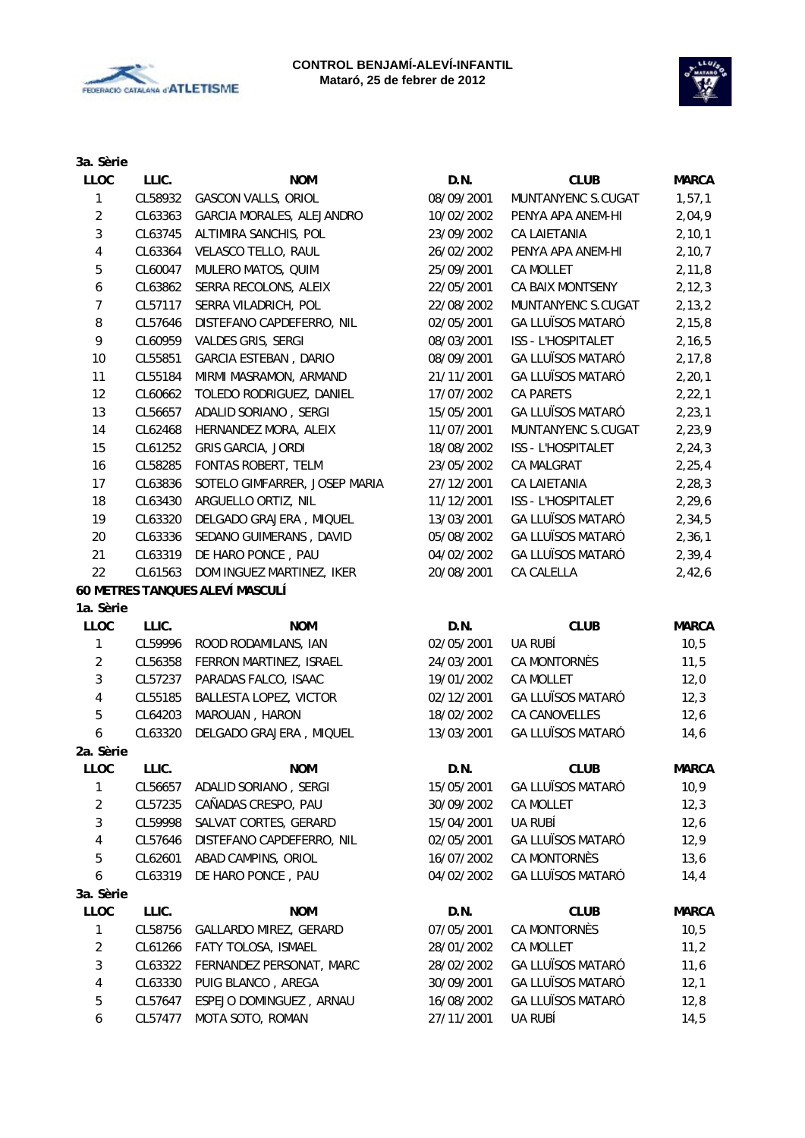



| 3a. Sèrie      |         |                                 |            |                          |              |
|----------------|---------|---------------------------------|------------|--------------------------|--------------|
| <b>LLOC</b>    | LLIC.   | <b>NOM</b>                      | D.N.       | <b>CLUB</b>              | <b>MARCA</b> |
| 1              | CL58932 | <b>GASCON VALLS, ORIOL</b>      | 08/09/2001 | MUNTANYENC S.CUGAT       | 1, 57, 1     |
| $\sqrt{2}$     | CL63363 | GARCIA MORALES, ALEJANDRO       | 10/02/2002 | PENYA APA ANEM-HI        | 2,04,9       |
| $\sqrt{3}$     | CL63745 | ALTIMIRA SANCHIS, POL           | 23/09/2002 | <b>CA LAIETANIA</b>      | 2, 10, 1     |
| $\pmb{4}$      | CL63364 | VELASCO TELLO, RAUL             | 26/02/2002 | PENYA APA ANEM-HI        | 2, 10, 7     |
| $\sqrt{5}$     | CL60047 | MULERO MATOS, QUIM              | 25/09/2001 | <b>CA MOLLET</b>         | 2, 11, 8     |
| 6              | CL63862 | SERRA RECOLONS, ALEIX           | 22/05/2001 | CA BAIX MONTSENY         | 2, 12, 3     |
| $\overline{7}$ | CL57117 | SERRA VILADRICH, POL            | 22/08/2002 | MUNTANYENC S.CUGAT       | 2, 13, 2     |
| 8              | CL57646 | DISTEFANO CAPDEFERRO, NIL       | 02/05/2001 | <b>GA LLUÏSOS MATARÓ</b> | 2, 15, 8     |
| 9              | CL60959 | <b>VALDES GRIS, SERGI</b>       | 08/03/2001 | ISS - L'HOSPITALET       | 2,16,5       |
| 10             | CL55851 | <b>GARCIA ESTEBAN, DARIO</b>    | 08/09/2001 | <b>GA LLUÏSOS MATARÓ</b> | 2, 17, 8     |
| 11             | CL55184 | MIRMI MASRAMON, ARMAND          | 21/11/2001 | <b>GA LLUÏSOS MATARÓ</b> | 2, 20, 1     |
| 12             | CL60662 | TOLEDO RODRIGUEZ, DANIEL        | 17/07/2002 | <b>CA PARETS</b>         | 2, 22, 1     |
| 13             | CL56657 | ADALID SORIANO, SERGI           | 15/05/2001 | <b>GA LLUÏSOS MATARÓ</b> | 2, 23, 1     |
| 14             | CL62468 | HERNANDEZ MORA, ALEIX           | 11/07/2001 | MUNTANYENC S.CUGAT       | 2,23,9       |
| 15             | CL61252 | <b>GRIS GARCIA, JORDI</b>       | 18/08/2002 | ISS - L'HOSPITALET       | 2, 24, 3     |
| 16             | CL58285 | FONTAS ROBERT, TELM             | 23/05/2002 | CA MALGRAT               | 2, 25, 4     |
| 17             | CL63836 | SOTELO GIMFARRER, JOSEP MARIA   | 27/12/2001 | CA LAIETANIA             | 2, 28, 3     |
| 18             | CL63430 | ARGUELLO ORTIZ, NIL             | 11/12/2001 | ISS - L'HOSPITALET       | 2, 29, 6     |
| 19             | CL63320 | DELGADO GRAJERA, MIQUEL         | 13/03/2001 | <b>GA LLUÏSOS MATARÓ</b> | 2,34,5       |
| 20             | CL63336 | SEDANO GUIMERANS, DAVID         | 05/08/2002 | <b>GA LLUÏSOS MATARÓ</b> | 2, 36, 1     |
| 21             | CL63319 | DE HARO PONCE, PAU              | 04/02/2002 | <b>GA LLUÏSOS MATARÓ</b> | 2, 39, 4     |
| 22             | CL61563 | DOM INGUEZ MARTINEZ, IKER       | 20/08/2001 | CA CALELLA               | 2,42,6       |
|                |         | 60 METRES TANQUES ALEVÍ MASCULÍ |            |                          |              |
| 1a. Sèrie      |         |                                 |            |                          |              |
| <b>LLOC</b>    | LLIC.   | <b>NOM</b>                      | D.N.       | <b>CLUB</b>              | <b>MARCA</b> |
| $\mathbf{1}$   | CL59996 | ROOD RODAMILANS, IAN            | 02/05/2001 | UA RUBÍ                  | 10, 5        |
| $\overline{2}$ | CL56358 | FERRON MARTINEZ, ISRAEL         | 24/03/2001 | CA MONTORNÈS             | 11,5         |
| $\mathfrak{Z}$ | CL57237 | PARADAS FALCO, ISAAC            | 19/01/2002 | <b>CA MOLLET</b>         | 12,0         |
| 4              | CL55185 | BALLESTA LOPEZ, VICTOR          | 02/12/2001 | <b>GA LLUÏSOS MATARÓ</b> | 12,3         |
| 5              | CL64203 | MAROUAN, HARON                  | 18/02/2002 | CA CANOVELLES            | 12,6         |
| 6              | CL63320 | DELGADO GRAJERA, MIQUEL         | 13/03/2001 | <b>GA LLUÏSOS MATARÓ</b> | 14,6         |
| 2a. Sèrie      |         |                                 |            |                          |              |
| LLOC           | LLIC.   | <b>NOM</b>                      | D.N.       | <b>CLUB</b>              | <b>MARCA</b> |
| 1              | CL56657 | ADALID SORIANO, SERGI           | 15/05/2001 | <b>GA LLUÏSOS MATARÓ</b> | 10,9         |
| 2              | CL57235 | CAÑADAS CRESPO, PAU             | 30/09/2002 | CA MOLLET                | 12,3         |
| 3              | CL59998 | SALVAT CORTES, GERARD           | 15/04/2001 | UA RUBÍ                  | 12,6         |
| 4              | CL57646 | DISTEFANO CAPDEFERRO, NIL       | 02/05/2001 | <b>GA LLUÏSOS MATARÓ</b> | 12,9         |
| $\mathbf 5$    | CL62601 | ABAD CAMPINS, ORIOL             | 16/07/2002 | CA MONTORNÈS             | 13,6         |
| 6              | CL63319 | DE HARO PONCE, PAU              | 04/02/2002 | <b>GA LLUÏSOS MATARÓ</b> | 14, 4        |
| 3a. Sèrie      |         |                                 |            |                          |              |
| <b>LLOC</b>    | LLIC.   | <b>NOM</b>                      | D.N.       | <b>CLUB</b>              | <b>MARCA</b> |
| 1              | CL58756 | GALLARDO MIREZ, GERARD          | 07/05/2001 | CA MONTORNÈS             | 10, 5        |
| $\overline{c}$ | CL61266 | FATY TOLOSA, ISMAEL             | 28/01/2002 | CA MOLLET                | 11,2         |
| 3              | CL63322 | FERNANDEZ PERSONAT, MARC        | 28/02/2002 | <b>GA LLUÏSOS MATARÓ</b> | 11,6         |
| 4              | CL63330 | PUIG BLANCO, AREGA              | 30/09/2001 | <b>GA LLUÏSOS MATARÓ</b> | 12,1         |
| 5              | CL57647 | ESPEJO DOMINGUEZ, ARNAU         | 16/08/2002 | <b>GA LLUÏSOS MATARÓ</b> | 12,8         |
|                |         |                                 |            |                          |              |

6 CL57477 MOTA SOTO, ROMAN 27/11/2001 UA RUBÍ 14,5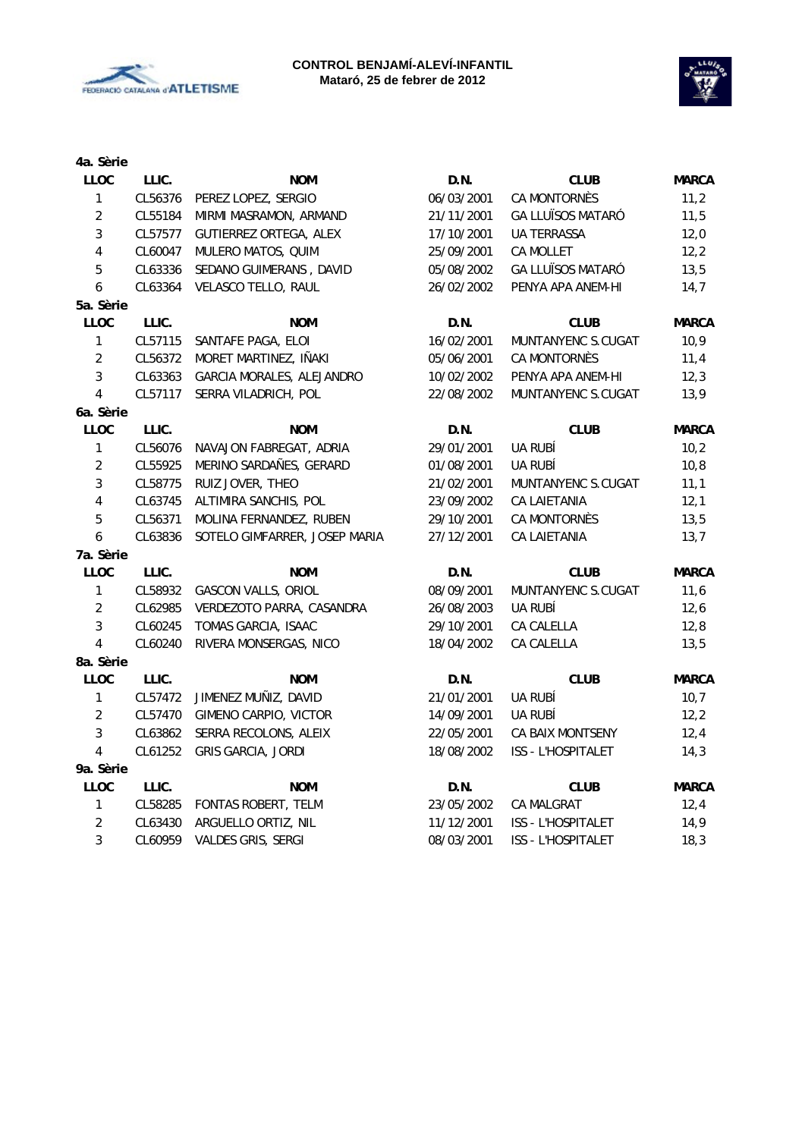



| 4a. Sèrie               |         |                               |            |                          |              |
|-------------------------|---------|-------------------------------|------------|--------------------------|--------------|
| <b>LLOC</b>             | LLIC.   | <b>NOM</b>                    | D.N.       | <b>CLUB</b>              | <b>MARCA</b> |
| $\mathbf{1}$            | CL56376 | PEREZ LOPEZ, SERGIO           | 06/03/2001 | CA MONTORNÈS             | 11,2         |
| $\overline{2}$          | CL55184 | MIRMI MASRAMON, ARMAND        | 21/11/2001 | <b>GA LLUÏSOS MATARÓ</b> | 11,5         |
| 3                       | CL57577 | GUTIERREZ ORTEGA, ALEX        | 17/10/2001 | <b>UA TERRASSA</b>       | 12,0         |
| $\overline{4}$          | CL60047 | MULERO MATOS, QUIM            | 25/09/2001 | CA MOLLET                | 12,2         |
| 5                       | CL63336 | SEDANO GUIMERANS, DAVID       | 05/08/2002 | <b>GA LLUÏSOS MATARÓ</b> | 13,5         |
| 6                       | CL63364 | VELASCO TELLO, RAUL           | 26/02/2002 | PENYA APA ANEM-HI        | 14,7         |
| 5a. Sèrie               |         |                               |            |                          |              |
| LLOC                    | LLIC.   | <b>NOM</b>                    | D.N.       | <b>CLUB</b>              | <b>MARCA</b> |
| $\mathbf{1}$            | CL57115 | SANTAFE PAGA, ELOI            | 16/02/2001 | MUNTANYENC S.CUGAT       | 10,9         |
| $\overline{2}$          | CL56372 | MORET MARTINEZ, IÑAKI         | 05/06/2001 | CA MONTORNÈS             | 11,4         |
| 3                       | CL63363 | GARCIA MORALES, ALEJANDRO     | 10/02/2002 | PENYA APA ANEM-HI        | 12,3         |
| $\overline{\mathbf{4}}$ | CL57117 | SERRA VILADRICH, POL          | 22/08/2002 | MUNTANYENC S.CUGAT       | 13,9         |
| 6a. Sèrie               |         |                               |            |                          |              |
| <b>LLOC</b>             | LLIC.   | <b>NOM</b>                    | D.N.       | <b>CLUB</b>              | <b>MARCA</b> |
| $\mathbf{1}$            | CL56076 | NAVAJON FABREGAT, ADRIA       | 29/01/2001 | UA RUBÍ                  | 10,2         |
| $\overline{2}$          | CL55925 | MERINO SARDAÑES, GERARD       | 01/08/2001 | UA RUBÍ                  | 10, 8        |
| 3                       | CL58775 | RUIZ JOVER, THEO              | 21/02/2001 | MUNTANYENC S.CUGAT       | 11,1         |
| $\overline{4}$          | CL63745 | ALTIMIRA SANCHIS, POL         | 23/09/2002 | CA LAIETANIA             | 12,1         |
| 5                       | CL56371 | MOLINA FERNANDEZ, RUBEN       | 29/10/2001 | CA MONTORNÈS             | 13,5         |
| 6                       | CL63836 | SOTELO GIMFARRER, JOSEP MARIA | 27/12/2001 | CA LAIETANIA             | 13,7         |
| 7a. Sèrie               |         |                               |            |                          |              |
| <b>LLOC</b>             | LLIC.   | <b>NOM</b>                    | D.N.       | <b>CLUB</b>              | <b>MARCA</b> |
| $\mathbf{1}$            | CL58932 | GASCON VALLS, ORIOL           | 08/09/2001 | MUNTANYENC S.CUGAT       | 11,6         |
| $\overline{2}$          | CL62985 | VERDEZOTO PARRA, CASANDRA     | 26/08/2003 | UA RUBÍ                  | 12,6         |
| 3                       | CL60245 | TOMAS GARCIA, ISAAC           | 29/10/2001 | CA CALELLA               | 12,8         |
| 4                       | CL60240 | RIVERA MONSERGAS, NICO        | 18/04/2002 | CA CALELLA               | 13,5         |
| 8a. Sèrie               |         |                               |            |                          |              |
| <b>LLOC</b>             | LLIC.   | <b>NOM</b>                    | D.N.       | <b>CLUB</b>              | <b>MARCA</b> |
| $\mathbf{1}$            | CL57472 | JIMENEZ MUÑIZ, DAVID          | 21/01/2001 | UA RUBÍ                  | 10,7         |
| $\overline{2}$          | CL57470 | GIMENO CARPIO, VICTOR         | 14/09/2001 | UA RUBÍ                  | 12,2         |
| $\mathbf{3}$            | CL63862 | SERRA RECOLONS, ALEIX         | 22/05/2001 | CA BAIX MONTSENY         | 12,4         |
| 4                       | CL61252 | GRIS GARCIA, JORDI            | 18/08/2002 | ISS - L'HOSPITALET       | 14,3         |
| 9a. Sèrie               |         |                               |            |                          |              |
| <b>LLOC</b>             | LLIC.   | <b>NOM</b>                    | D.N.       | <b>CLUB</b>              | <b>MARCA</b> |
| 1                       | CL58285 | FONTAS ROBERT, TELM           | 23/05/2002 | CA MALGRAT               | 12,4         |
| $\overline{2}$          | CL63430 | ARGUELLO ORTIZ, NIL           | 11/12/2001 | ISS - L'HOSPITALET       | 14,9         |
| 3                       | CL60959 | VALDES GRIS, SERGI            | 08/03/2001 | ISS - L'HOSPITALET       | 18,3         |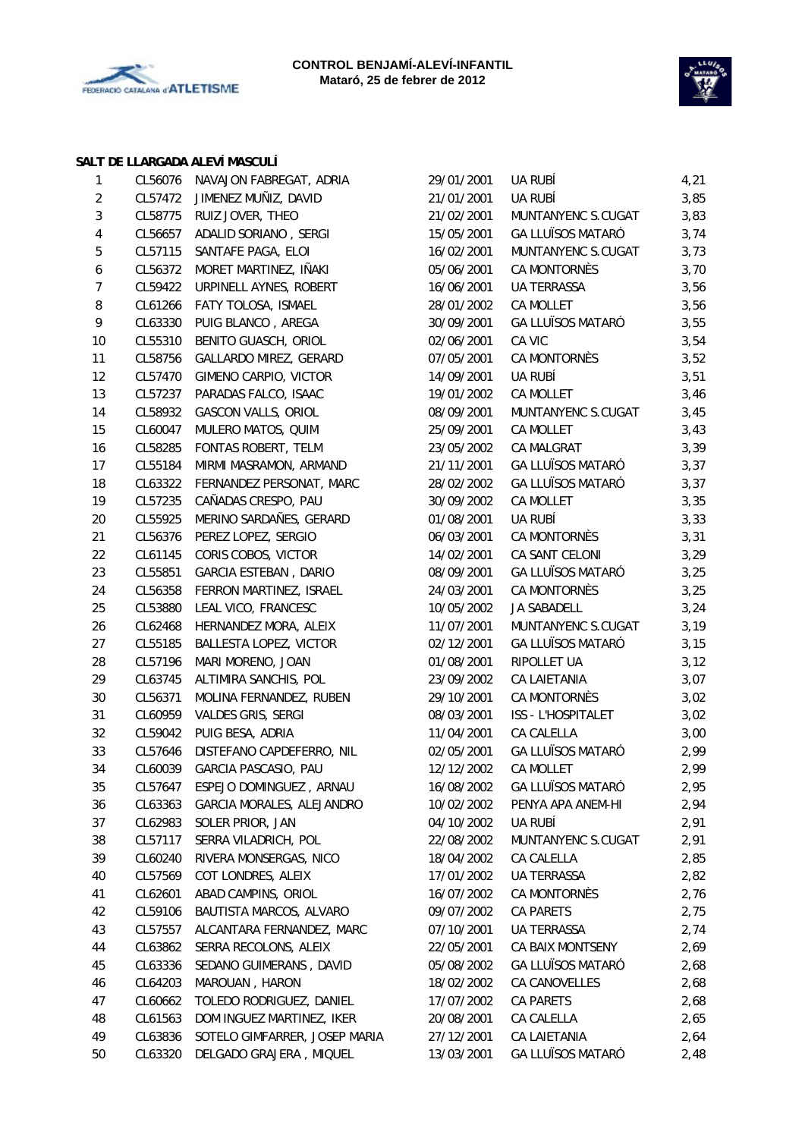



## **SALT DE LLARGADA ALEVÍ MASCULÍ**

| 1<br>$\overline{2}$<br>3 | CL56076<br>CL57472<br>CL58775<br>CL56657 | NAVAJON FABREGAT, ADRIA<br>JIMENEZ MUÑIZ, DAVID<br>RUIZ JOVER, THEO | 29/01/2001<br>21/01/2001 | UA RUBÍ<br>UA RUBÍ       | 4,21<br>3,85 |
|--------------------------|------------------------------------------|---------------------------------------------------------------------|--------------------------|--------------------------|--------------|
|                          |                                          |                                                                     |                          |                          |              |
|                          |                                          |                                                                     |                          |                          |              |
|                          |                                          |                                                                     | 21/02/2001               | MUNTANYENC S.CUGAT       | 3,83         |
| 4                        |                                          | ADALID SORIANO, SERGI                                               | 15/05/2001               | <b>GA LLUÏSOS MATARÓ</b> | 3,74         |
| 5                        | CL57115                                  | SANTAFE PAGA, ELOI                                                  | 16/02/2001               | MUNTANYENC S.CUGAT       | 3,73         |
| $\boldsymbol{6}$         | CL56372                                  | MORET MARTINEZ, IÑAKI                                               | 05/06/2001               | CA MONTORNÈS             | 3,70         |
| $\overline{7}$           | CL59422                                  | URPINELL AYNES, ROBERT                                              | 16/06/2001               | <b>UA TERRASSA</b>       | 3,56         |
| 8                        | CL61266                                  | FATY TOLOSA, ISMAEL                                                 | 28/01/2002               | <b>CA MOLLET</b>         | 3,56         |
| 9                        | CL63330                                  | PUIG BLANCO, AREGA                                                  | 30/09/2001               | <b>GA LLUÏSOS MATARÓ</b> | 3,55         |
| 10                       | CL55310                                  | BENITO GUASCH, ORIOL                                                | 02/06/2001               | CA VIC                   | 3,54         |
| 11                       | CL58756                                  | GALLARDO MIREZ, GERARD                                              | 07/05/2001               | CA MONTORNÈS             | 3,52         |
| 12                       | CL57470                                  | GIMENO CARPIO, VICTOR                                               | 14/09/2001               | UA RUBÍ                  | 3,51         |
| 13                       | CL57237                                  | PARADAS FALCO, ISAAC                                                | 19/01/2002               | CA MOLLET                | 3,46         |
| 14                       | CL58932                                  | GASCON VALLS, ORIOL                                                 | 08/09/2001               | MUNTANYENC S.CUGAT       | 3,45         |
| 15                       | CL60047                                  | MULERO MATOS, QUIM                                                  | 25/09/2001               | CA MOLLET                | 3,43         |
| 16                       | CL58285                                  | FONTAS ROBERT, TELM                                                 | 23/05/2002               | CA MALGRAT               | 3,39         |
| 17                       | CL55184                                  | MIRMI MASRAMON, ARMAND                                              | 21/11/2001               | <b>GA LLUÏSOS MATARÓ</b> | 3,37         |
| 18                       | CL63322                                  | FERNANDEZ PERSONAT, MARC                                            | 28/02/2002               | <b>GA LLUÏSOS MATARÓ</b> | 3,37         |
| 19                       | CL57235                                  | CAÑADAS CRESPO, PAU                                                 | 30/09/2002               | CA MOLLET                | 3,35         |
| 20                       | CL55925                                  | MERINO SARDAÑES, GERARD                                             | 01/08/2001               | UA RUBÍ                  | 3,33         |
| 21                       | CL56376                                  | PEREZ LOPEZ, SERGIO                                                 | 06/03/2001               | CA MONTORNÈS             | 3,31         |
| 22                       | CL61145                                  | CORIS COBOS, VICTOR                                                 | 14/02/2001               | CA SANT CELONI           | 3,29         |
| 23                       | CL55851                                  | GARCIA ESTEBAN, DARIO                                               | 08/09/2001               | <b>GA LLUÏSOS MATARÓ</b> | 3,25         |
| 24                       | CL56358                                  | FERRON MARTINEZ, ISRAEL                                             | 24/03/2001               | CA MONTORNÈS             | 3,25         |
| 25                       | CL53880                                  | LEAL VICO, FRANCESC                                                 | 10/05/2002               | JA SABADELL              | 3,24         |
| 26                       | CL62468                                  | HERNANDEZ MORA, ALEIX                                               | 11/07/2001               | MUNTANYENC S.CUGAT       | 3,19         |
| 27                       | CL55185                                  | BALLESTA LOPEZ, VICTOR                                              | 02/12/2001               | <b>GA LLUÏSOS MATARÓ</b> | 3,15         |
| 28                       | CL57196                                  | MARI MORENO, JOAN                                                   | 01/08/2001               | RIPOLLET UA              | 3,12         |
| 29                       | CL63745                                  | ALTIMIRA SANCHIS, POL                                               | 23/09/2002               | CA LAIETANIA             | 3,07         |
| 30                       | CL56371                                  | MOLINA FERNANDEZ, RUBEN                                             | 29/10/2001               | CA MONTORNÈS             | 3,02         |
| 31                       | CL60959                                  | VALDES GRIS, SERGI                                                  | 08/03/2001               | ISS - L'HOSPITALET       | 3,02         |
| 32                       | CL59042                                  | PUIG BESA, ADRIA                                                    | 11/04/2001               | CA CALELLA               | 3,00         |
| 33                       | CL57646                                  | DISTEFANO CAPDEFERRO, NIL                                           | 02/05/2001               | <b>GA LLUÏSOS MATARÓ</b> | 2,99         |
| 34                       | CL60039                                  | GARCIA PASCASIO, PAU                                                | 12/12/2002               | CA MOLLET                | 2,99         |
| 35                       | CL57647                                  | ESPEJO DOMINGUEZ, ARNAU                                             | 16/08/2002               | <b>GA LLUÏSOS MATARÓ</b> | 2,95         |
| 36                       | CL63363                                  | GARCIA MORALES, ALEJANDRO                                           | 10/02/2002               | PENYA APA ANEM-HI        | 2,94         |
| 37                       | CL62983                                  | SOLER PRIOR, JAN                                                    | 04/10/2002               | UA RUBÍ                  | 2,91         |
| 38                       | CL57117                                  | SERRA VILADRICH, POL                                                | 22/08/2002               | MUNTANYENC S.CUGAT       | 2,91         |
| 39                       | CL60240                                  | RIVERA MONSERGAS, NICO                                              | 18/04/2002               | CA CALELLA               | 2,85         |
| 40                       | CL57569                                  | COT LONDRES, ALEIX                                                  | 17/01/2002               | UA TERRASSA              | 2,82         |
| 41                       | CL62601                                  | ABAD CAMPINS, ORIOL                                                 | 16/07/2002               | CA MONTORNÈS             | 2,76         |
| 42                       | CL59106                                  | BAUTISTA MARCOS, ALVARO                                             | 09/07/2002               | CA PARETS                | 2,75         |
| 43                       | CL57557                                  | ALCANTARA FERNANDEZ, MARC                                           | 07/10/2001               | UA TERRASSA              | 2,74         |
| 44                       | CL63862                                  | SERRA RECOLONS, ALEIX                                               | 22/05/2001               | CA BAIX MONTSENY         | 2,69         |
| 45                       | CL63336                                  | SEDANO GUIMERANS, DAVID                                             | 05/08/2002               | <b>GA LLUÏSOS MATARÓ</b> | 2,68         |
| 46                       | CL64203                                  | MAROUAN, HARON                                                      | 18/02/2002               | CA CANOVELLES            | 2,68         |
| 47                       | CL60662                                  | TOLEDO RODRIGUEZ, DANIEL                                            | 17/07/2002               | CA PARETS                | 2,68         |
| 48                       | CL61563                                  | DOM INGUEZ MARTINEZ, IKER                                           | 20/08/2001               | CA CALELLA               | 2,65         |
| 49                       | CL63836                                  | SOTELO GIMFARRER, JOSEP MARIA                                       | 27/12/2001               | CA LAIETANIA             | 2,64         |
| 50                       | CL63320                                  | DELGADO GRAJERA, MIQUEL                                             | 13/03/2001               | <b>GA LLUÏSOS MATARÓ</b> | 2,48         |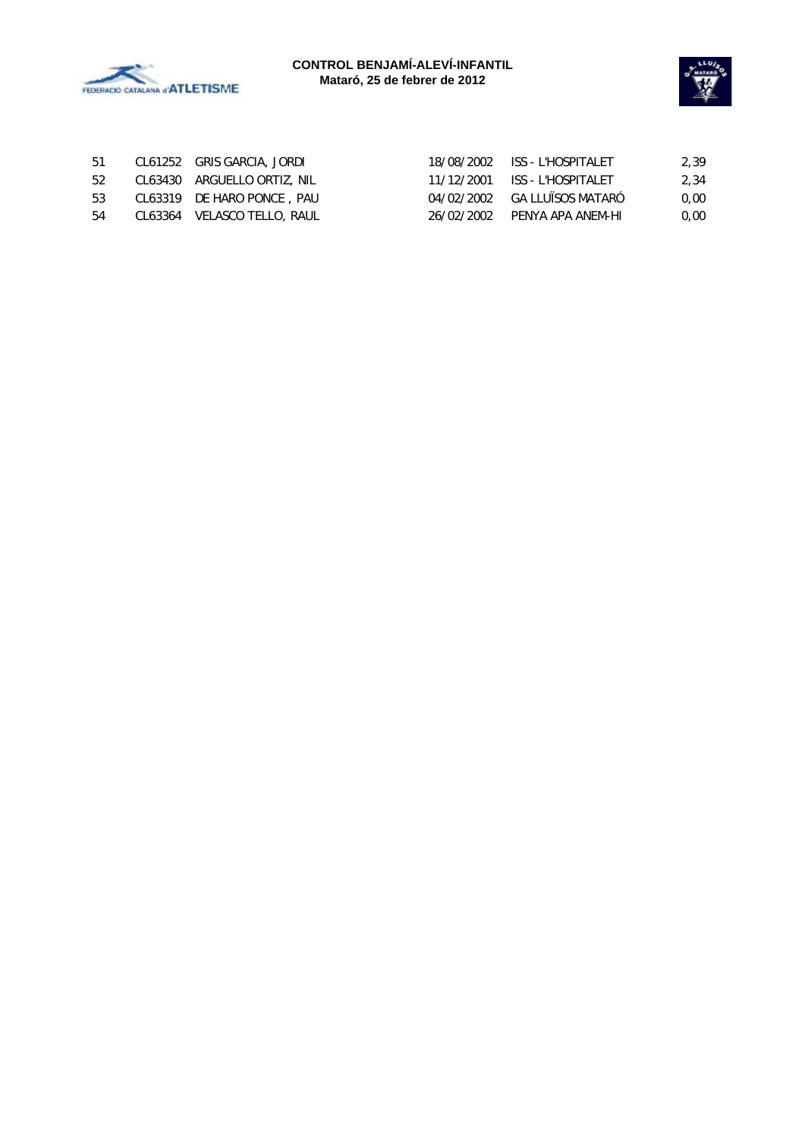



| 51  | CL61252 GRIS GARCIA, JORDI  | 18/08/2002 ISS - L'HOSPITALET | 2.39 |
|-----|-----------------------------|-------------------------------|------|
| 52  | CL63430 ARGUELLO ORTIZ, NIL |                               | 2.34 |
| -53 | CL63319 DE HARO PONCE, PAU  | 04/02/2002 GA LLUÏSOS MATARÓ  | 0.00 |
| -54 | CL63364 VELASCO TELLO, RAUL | 26/02/2002 PENYA APA ANEM-HI  | 0.00 |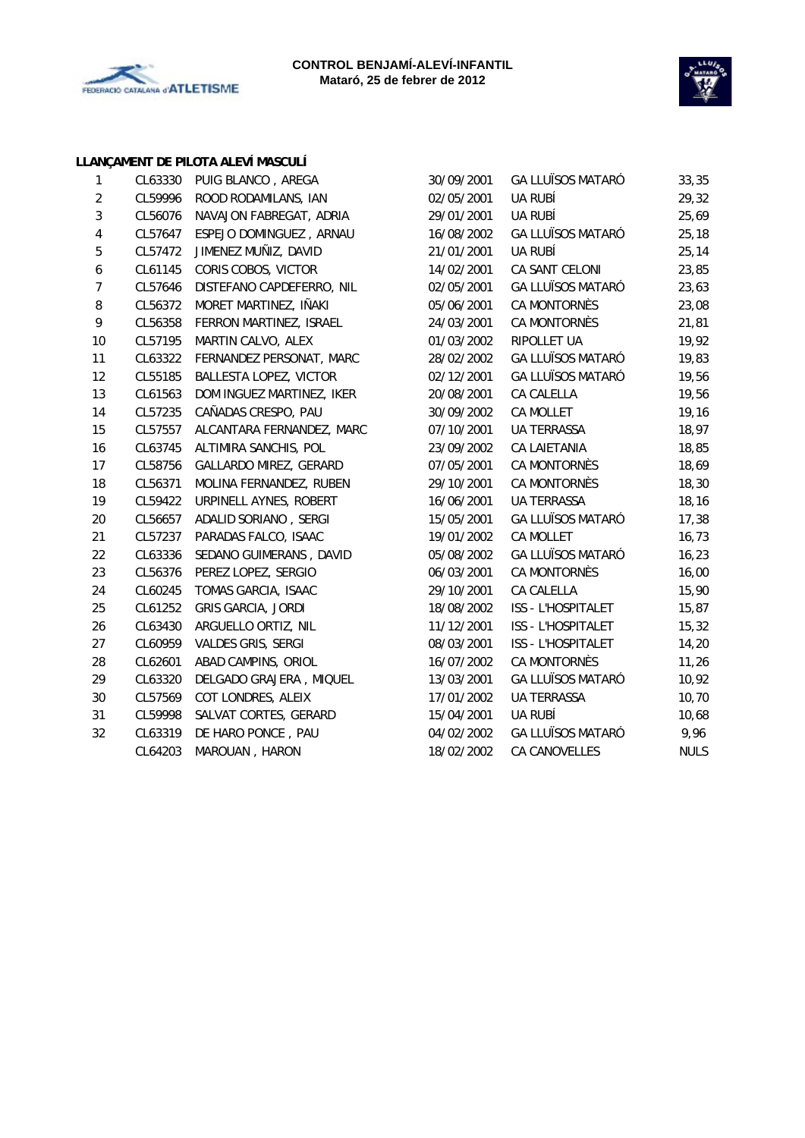



# **LLANÇAMENT DE PILOTA ALEVÍ MASCULÍ**

| 1              | CL63330 | PUIG BLANCO, AREGA        | 30/09/2001 | <b>GA LLUÏSOS MATARÓ</b> | 33,35       |
|----------------|---------|---------------------------|------------|--------------------------|-------------|
| $\overline{c}$ | CL59996 | ROOD RODAMILANS, IAN      | 02/05/2001 | UA RUBÍ                  | 29,32       |
| 3              | CL56076 | NAVAJON FABREGAT, ADRIA   | 29/01/2001 | UA RUBÍ                  | 25,69       |
| $\pmb{4}$      | CL57647 | ESPEJO DOMINGUEZ, ARNAU   | 16/08/2002 | <b>GA LLUÏSOS MATARÓ</b> | 25,18       |
| $\sqrt{5}$     | CL57472 | JIMENEZ MUÑIZ, DAVID      | 21/01/2001 | UA RUBÍ                  | 25,14       |
| 6              | CL61145 | CORIS COBOS, VICTOR       | 14/02/2001 | CA SANT CELONI           | 23,85       |
| $\overline{7}$ | CL57646 | DISTEFANO CAPDEFERRO, NIL | 02/05/2001 | <b>GA LLUÏSOS MATARÓ</b> | 23,63       |
| 8              | CL56372 | MORET MARTINEZ, IÑAKI     | 05/06/2001 | CA MONTORNÈS             | 23,08       |
| 9              | CL56358 | FERRON MARTINEZ, ISRAEL   | 24/03/2001 | CA MONTORNÈS             | 21,81       |
| 10             | CL57195 | MARTIN CALVO, ALEX        | 01/03/2002 | RIPOLLET UA              | 19,92       |
| 11             | CL63322 | FERNANDEZ PERSONAT, MARC  | 28/02/2002 | <b>GA LLUÏSOS MATARÓ</b> | 19,83       |
| 12             | CL55185 | BALLESTA LOPEZ, VICTOR    | 02/12/2001 | <b>GA LLUÏSOS MATARÓ</b> | 19,56       |
| 13             | CL61563 | DOM INGUEZ MARTINEZ, IKER | 20/08/2001 | CA CALELLA               | 19,56       |
| 14             | CL57235 | CAÑADAS CRESPO, PAU       | 30/09/2002 | CA MOLLET                | 19,16       |
| 15             | CL57557 | ALCANTARA FERNANDEZ, MARC | 07/10/2001 | <b>UA TERRASSA</b>       | 18,97       |
| 16             | CL63745 | ALTIMIRA SANCHIS, POL     | 23/09/2002 | CA LAIETANIA             | 18,85       |
| 17             | CL58756 | GALLARDO MIREZ, GERARD    | 07/05/2001 | CA MONTORNÈS             | 18,69       |
| 18             | CL56371 | MOLINA FERNANDEZ, RUBEN   | 29/10/2001 | CA MONTORNÈS             | 18,30       |
| 19             | CL59422 | URPINELL AYNES, ROBERT    | 16/06/2001 | UA TERRASSA              | 18,16       |
| 20             | CL56657 | ADALID SORIANO, SERGI     | 15/05/2001 | <b>GA LLUÏSOS MATARÓ</b> | 17,38       |
| 21             | CL57237 | PARADAS FALCO, ISAAC      | 19/01/2002 | <b>CA MOLLET</b>         | 16,73       |
| 22             | CL63336 | SEDANO GUIMERANS, DAVID   | 05/08/2002 | <b>GA LLUÏSOS MATARÓ</b> | 16, 23      |
| 23             | CL56376 | PEREZ LOPEZ, SERGIO       | 06/03/2001 | CA MONTORNÈS             | 16,00       |
| 24             | CL60245 | TOMAS GARCIA, ISAAC       | 29/10/2001 | CA CALELLA               | 15,90       |
| 25             | CL61252 | GRIS GARCIA, JORDI        | 18/08/2002 | ISS - L'HOSPITALET       | 15,87       |
| 26             | CL63430 | ARGUELLO ORTIZ, NIL       | 11/12/2001 | ISS - L'HOSPITALET       | 15,32       |
| 27             | CL60959 | VALDES GRIS, SERGI        | 08/03/2001 | ISS - L'HOSPITALET       | 14,20       |
| 28             | CL62601 | ABAD CAMPINS, ORIOL       | 16/07/2002 | <b>CA MONTORNÈS</b>      | 11,26       |
| 29             | CL63320 | DELGADO GRAJERA, MIQUEL   | 13/03/2001 | <b>GA LLUÏSOS MATARÓ</b> | 10,92       |
| 30             | CL57569 | COT LONDRES, ALEIX        | 17/01/2002 | <b>UA TERRASSA</b>       | 10,70       |
| 31             | CL59998 | SALVAT CORTES, GERARD     | 15/04/2001 | UA RUBÍ                  | 10,68       |
| 32             | CL63319 | DE HARO PONCE, PAU        | 04/02/2002 | <b>GA LLUÏSOS MATARÓ</b> | 9,96        |
|                | CL64203 | MAROUAN, HARON            | 18/02/2002 | CA CANOVELLES            | <b>NULS</b> |
|                |         |                           |            |                          |             |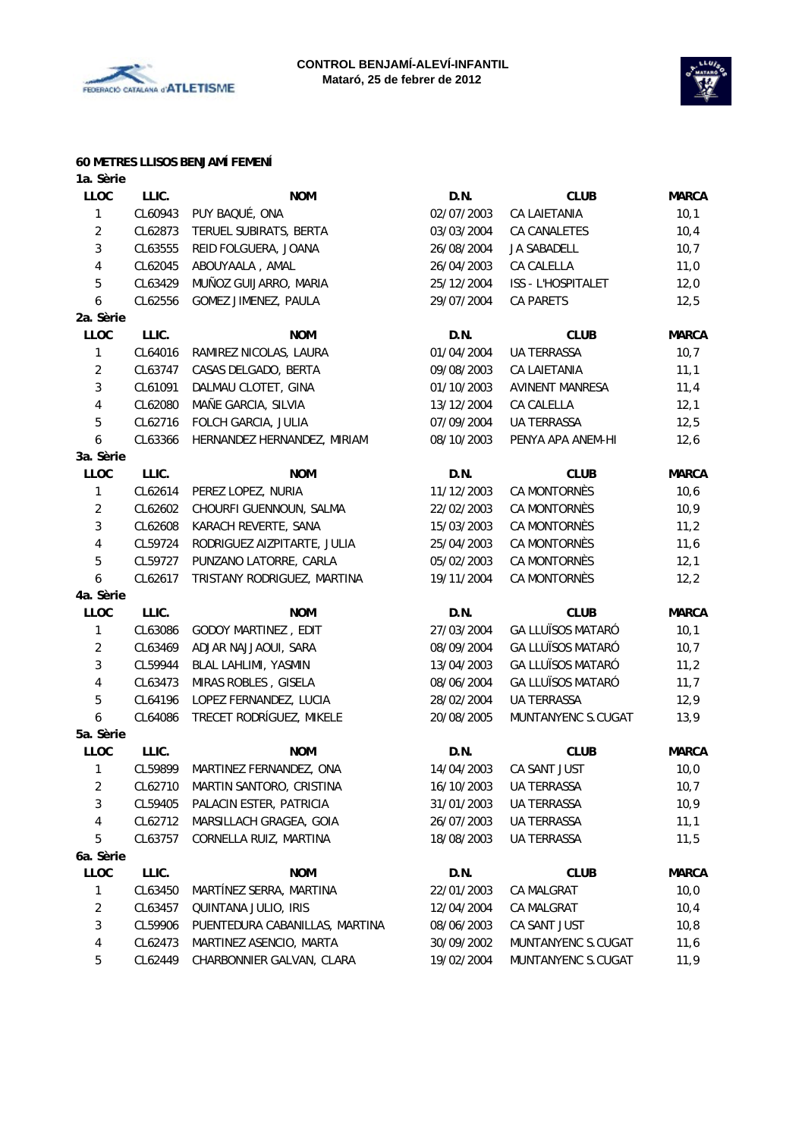



#### **60 METRES LLISOS BENJAMÍ FEMENÍ**

| 1a. Sèrie      |         |                                |            |                          |              |
|----------------|---------|--------------------------------|------------|--------------------------|--------------|
| <b>LLOC</b>    | LLIC.   | <b>NOM</b>                     | D.N.       | <b>CLUB</b>              | <b>MARCA</b> |
| 1              | CL60943 | PUY BAQUÉ, ONA                 | 02/07/2003 | CA LAIETANIA             | 10,1         |
| $\overline{2}$ | CL62873 | TERUEL SUBIRATS, BERTA         | 03/03/2004 | CA CANALETES             | 10,4         |
| $\sqrt{3}$     | CL63555 | REID FOLGUERA, JOANA           | 26/08/2004 | <b>JA SABADELL</b>       | 10,7         |
| $\overline{4}$ | CL62045 | ABOUYAALA, AMAL                | 26/04/2003 | CA CALELLA               | 11,0         |
| 5              | CL63429 | MUÑOZ GUIJARRO, MARIA          | 25/12/2004 | ISS - L'HOSPITALET       | 12,0         |
| 6              | CL62556 | GOMEZ JIMENEZ, PAULA           | 29/07/2004 | CA PARETS                | 12,5         |
| 2a. Sèrie      |         |                                |            |                          |              |
| <b>LLOC</b>    | LLIC.   | <b>NOM</b>                     | D.N.       | <b>CLUB</b>              | <b>MARCA</b> |
| $\mathbf{1}$   | CL64016 | RAMIREZ NICOLAS, LAURA         | 01/04/2004 | UA TERRASSA              | 10,7         |
| $\overline{2}$ | CL63747 | CASAS DELGADO, BERTA           | 09/08/2003 | CA LAIETANIA             | 11,1         |
| $\mathbf{3}$   | CL61091 | DALMAU CLOTET, GINA            | 01/10/2003 | <b>AVINENT MANRESA</b>   | 11,4         |
| $\overline{4}$ | CL62080 | MAÑE GARCIA, SILVIA            | 13/12/2004 | CA CALELLA               | 12,1         |
| 5              | CL62716 | FOLCH GARCIA, JULIA            | 07/09/2004 | <b>UA TERRASSA</b>       | 12,5         |
| 6              | CL63366 | HERNANDEZ HERNANDEZ, MIRIAM    | 08/10/2003 | PENYA APA ANEM-HI        | 12,6         |
| 3a. Sèrie      |         |                                |            |                          |              |
| <b>LLOC</b>    | LLIC.   | <b>NOM</b>                     | D.N.       | <b>CLUB</b>              | <b>MARCA</b> |
| 1              | CL62614 | PEREZ LOPEZ, NURIA             | 11/12/2003 | CA MONTORNÈS             | 10,6         |
| $\overline{2}$ | CL62602 | CHOURFI GUENNOUN, SALMA        | 22/02/2003 | CA MONTORNÈS             | 10,9         |
| $\sqrt{3}$     | CL62608 | KARACH REVERTE, SANA           | 15/03/2003 | CA MONTORNÈS             | 11,2         |
| 4              | CL59724 | RODRIGUEZ AIZPITARTE, JULIA    | 25/04/2003 | CA MONTORNÈS             | 11,6         |
| 5              | CL59727 | PUNZANO LATORRE, CARLA         | 05/02/2003 | CA MONTORNÈS             | 12,1         |
| 6              | CL62617 | TRISTANY RODRIGUEZ, MARTINA    | 19/11/2004 | CA MONTORNÈS             | 12,2         |
| 4a. Sèrie      |         |                                |            |                          |              |
| LLOC           | LLIC.   | <b>NOM</b>                     | D.N.       | <b>CLUB</b>              | <b>MARCA</b> |
| 1              | CL63086 | GODOY MARTINEZ, EDIT           | 27/03/2004 | <b>GA LLUÏSOS MATARÓ</b> | 10,1         |
| $\overline{c}$ | CL63469 | ADJAR NAJJAOUI, SARA           | 08/09/2004 | <b>GA LLUÏSOS MATARÓ</b> | 10,7         |
| $\mathfrak{Z}$ | CL59944 | BLAL LAHLIMI, YASMIN           | 13/04/2003 | <b>GA LLUÏSOS MATARÓ</b> | 11,2         |
| $\overline{4}$ | CL63473 | MIRAS ROBLES, GISELA           | 08/06/2004 | <b>GA LLUÏSOS MATARÓ</b> | 11,7         |
| 5              | CL64196 | LOPEZ FERNANDEZ, LUCIA         | 28/02/2004 | <b>UA TERRASSA</b>       | 12,9         |
| 6              | CL64086 | TRECET RODRÍGUEZ, MIKELE       | 20/08/2005 | MUNTANYENC S.CUGAT       | 13,9         |
| 5a. Sèrie      |         |                                |            |                          |              |
| LLOC           | LLIC.   | <b>NOM</b>                     | D.N.       | <b>CLUB</b>              | <b>MARCA</b> |
| 1              | CL59899 | MARTINEZ FERNANDEZ, ONA        | 14/04/2003 | CA SANT JUST             | 10,0         |
| 2              | CL62710 | MARTIN SANTORO, CRISTINA       | 16/10/2003 | UA TERRASSA              | 10,7         |
| $\sqrt{3}$     | CL59405 | PALACIN ESTER, PATRICIA        | 31/01/2003 | UA TERRASSA              | 10,9         |
| 4              | CL62712 | MARSILLACH GRAGEA, GOIA        | 26/07/2003 | UA TERRASSA              | 11,1         |
| 5              | CL63757 | CORNELLA RUIZ, MARTINA         | 18/08/2003 | UA TERRASSA              | 11,5         |
| 6a. Sèrie      |         |                                |            |                          |              |
| <b>LLOC</b>    | LLIC.   | <b>NOM</b>                     | D.N.       | <b>CLUB</b>              | <b>MARCA</b> |
| 1              | CL63450 | MARTÍNEZ SERRA, MARTINA        | 22/01/2003 | CA MALGRAT               | 10,0         |
| $\overline{c}$ | CL63457 | QUINTANA JULIO, IRIS           | 12/04/2004 | CA MALGRAT               | 10,4         |
| $\sqrt{3}$     | CL59906 | PUENTEDURA CABANILLAS, MARTINA | 08/06/2003 | CA SANT JUST             | 10,8         |
| 4              | CL62473 | MARTINEZ ASENCIO, MARTA        | 30/09/2002 | MUNTANYENC S.CUGAT       | 11,6         |
| 5              | CL62449 | CHARBONNIER GALVAN, CLARA      | 19/02/2004 | MUNTANYENC S.CUGAT       | 11,9         |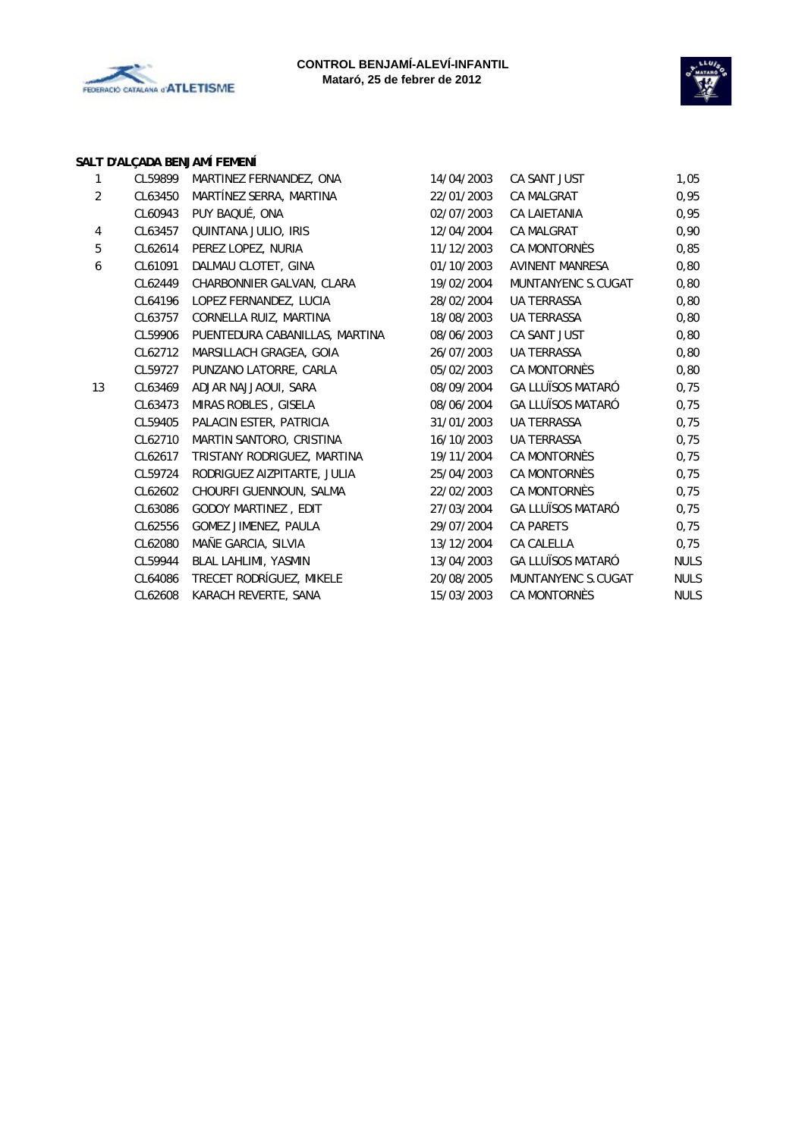



## **SALT D'ALÇADA BENJAMÍ FEMENÍ**

| 1              | CL59899 | MARTINEZ FERNANDEZ, ONA        | 14/04/2003 | CA SANT JUST             | 1,05        |
|----------------|---------|--------------------------------|------------|--------------------------|-------------|
| $\overline{2}$ | CL63450 | MARTÍNEZ SERRA, MARTINA        | 22/01/2003 | <b>CA MALGRAT</b>        | 0,95        |
|                | CL60943 | PUY BAQUÉ, ONA                 | 02/07/2003 | CA LAIETANIA             | 0,95        |
| 4              | CL63457 | QUINTANA JULIO, IRIS           | 12/04/2004 | <b>CA MALGRAT</b>        | 0,90        |
| 5              | CL62614 | PEREZ LOPEZ, NURIA             | 11/12/2003 | CA MONTORNÈS             | 0,85        |
| 6              | CL61091 | DALMAU CLOTET, GINA            | 01/10/2003 | <b>AVINENT MANRESA</b>   | 0,80        |
|                | CL62449 | CHARBONNIER GALVAN, CLARA      | 19/02/2004 | MUNTANYENC S.CUGAT       | 0,80        |
|                | CL64196 | LOPEZ FERNANDEZ, LUCIA         | 28/02/2004 | <b>UA TERRASSA</b>       | 0,80        |
|                | CL63757 | CORNELLA RUIZ, MARTINA         | 18/08/2003 | UA TERRASSA              | 0,80        |
|                | CL59906 | PUENTEDURA CABANILLAS, MARTINA | 08/06/2003 | CA SANT JUST             | 0,80        |
|                | CL62712 | MARSILLACH GRAGEA, GOIA        | 26/07/2003 | <b>UA TERRASSA</b>       | 0,80        |
|                | CL59727 | PUNZANO LATORRE, CARLA         | 05/02/2003 | CA MONTORNÈS             | 0,80        |
| 13             | CL63469 | ADJAR NAJJAOUI, SARA           | 08/09/2004 | <b>GA LLUÏSOS MATARÓ</b> | 0,75        |
|                | CL63473 | MIRAS ROBLES, GISELA           | 08/06/2004 | <b>GA LLUÏSOS MATARÓ</b> | 0,75        |
|                | CL59405 | PALACIN ESTER, PATRICIA        | 31/01/2003 | <b>UA TERRASSA</b>       | 0,75        |
|                | CL62710 | MARTIN SANTORO, CRISTINA       | 16/10/2003 | <b>UA TERRASSA</b>       | 0,75        |
|                | CL62617 | TRISTANY RODRIGUEZ, MARTINA    | 19/11/2004 | CA MONTORNÈS             | 0,75        |
|                | CL59724 | RODRIGUEZ AIZPITARTE, JULIA    | 25/04/2003 | CA MONTORNÈS             | 0,75        |
|                | CL62602 | CHOURFI GUENNOUN, SALMA        | 22/02/2003 | CA MONTORNÈS             | 0,75        |
|                | CL63086 | GODOY MARTINEZ, EDIT           | 27/03/2004 | GA LLUÏSOS MATARÓ        | 0,75        |
|                | CL62556 | GOMEZ JIMENEZ, PAULA           | 29/07/2004 | CA PARETS                | 0,75        |
|                | CL62080 | MAÑE GARCIA, SILVIA            | 13/12/2004 | CA CALELLA               | 0,75        |
|                | CL59944 | BLAL LAHLIMI, YASMIN           | 13/04/2003 | <b>GA LLUÏSOS MATARÓ</b> | <b>NULS</b> |
|                | CL64086 | TRECET RODRÍGUEZ, MIKELE       | 20/08/2005 | MUNTANYENC S.CUGAT       | <b>NULS</b> |
|                | CL62608 | KARACH REVERTE, SANA           | 15/03/2003 | CA MONTORNÈS             | <b>NULS</b> |
|                |         |                                |            |                          |             |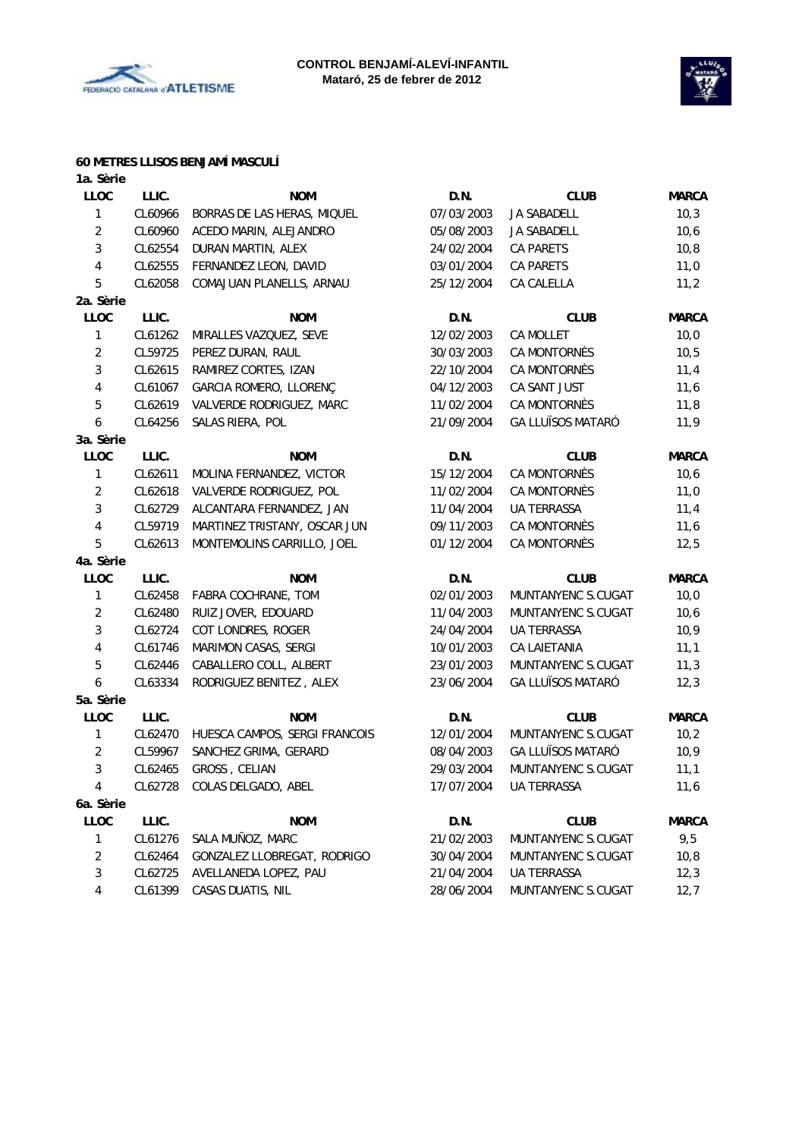



#### **60 METRES LLISOS BENJAMÍ MASCULÍ**

| 1a. Sèrie      |         |                               |            |                          |              |
|----------------|---------|-------------------------------|------------|--------------------------|--------------|
| LLOC           | LLIC.   | <b>NOM</b>                    | D.N.       | <b>CLUB</b>              | <b>MARCA</b> |
| $\mathbf{1}$   | CL60966 | BORRAS DE LAS HERAS, MIQUEL   | 07/03/2003 | <b>JA SABADELL</b>       | 10,3         |
| $\overline{2}$ | CL60960 | ACEDO MARIN, ALEJANDRO        | 05/08/2003 | JA SABADELL              | 10,6         |
| 3              | CL62554 | DURAN MARTIN, ALEX            | 24/02/2004 | CA PARETS                | 10,8         |
| 4              | CL62555 | FERNANDEZ LEON, DAVID         | 03/01/2004 | CA PARETS                | 11,0         |
| 5              | CL62058 | COMAJUAN PLANELLS, ARNAU      | 25/12/2004 | CA CALELLA               | 11,2         |
| 2a. Sèrie      |         |                               |            |                          |              |
| <b>LLOC</b>    | LLIC.   | <b>NOM</b>                    | D.N.       | <b>CLUB</b>              | <b>MARCA</b> |
| 1              | CL61262 | MIRALLES VAZQUEZ, SEVE        | 12/02/2003 | <b>CA MOLLET</b>         | 10,0         |
| $\sqrt{2}$     | CL59725 | PEREZ DURAN, RAUL             | 30/03/2003 | CA MONTORNÈS             | 10,5         |
| $\sqrt{3}$     | CL62615 | RAMIREZ CORTES, IZAN          | 22/10/2004 | CA MONTORNÈS             | 11,4         |
| 4              | CL61067 | GARCIA ROMERO, LLORENÇ        | 04/12/2003 | CA SANT JUST             | 11,6         |
| 5              | CL62619 | VALVERDE RODRIGUEZ, MARC      | 11/02/2004 | CA MONTORNÈS             | 11,8         |
| 6              | CL64256 | SALAS RIERA, POL              | 21/09/2004 | <b>GA LLUÏSOS MATARÓ</b> | 11,9         |
| 3a. Sèrie      |         |                               |            |                          |              |
| LLOC           | LLIC.   | <b>NOM</b>                    | D.N.       | <b>CLUB</b>              | <b>MARCA</b> |
| $\mathbf{1}$   | CL62611 | MOLINA FERNANDEZ, VICTOR      | 15/12/2004 | CA MONTORNÈS             | 10,6         |
| $\overline{2}$ | CL62618 | VALVERDE RODRIGUEZ, POL       | 11/02/2004 | <b>CA MONTORNÈS</b>      | 11,0         |
| 3              | CL62729 | ALCANTARA FERNANDEZ, JAN      | 11/04/2004 | <b>UA TERRASSA</b>       | 11,4         |
| $\overline{4}$ | CL59719 | MARTINEZ TRISTANY, OSCAR JUN  | 09/11/2003 | CA MONTORNÈS             | 11,6         |
| 5              | CL62613 | MONTEMOLINS CARRILLO, JOEL    | 01/12/2004 | <b>CA MONTORNÈS</b>      | 12,5         |
| 4a. Sèrie      |         |                               |            |                          |              |
| LLOC           | LLIC.   | <b>NOM</b>                    | D.N.       | <b>CLUB</b>              | <b>MARCA</b> |
| $\mathbf{1}$   | CL62458 | FABRA COCHRANE, TOM           | 02/01/2003 | MUNTANYENC S.CUGAT       | 10,0         |
| $\overline{2}$ | CL62480 | RUIZ JOVER, EDOUARD           | 11/04/2003 | MUNTANYENC S.CUGAT       | 10,6         |
| 3              | CL62724 | COT LONDRES, ROGER            | 24/04/2004 | <b>UA TERRASSA</b>       | 10,9         |
| 4              | CL61746 | MARIMON CASAS, SERGI          | 10/01/2003 | CA LAIETANIA             | 11,1         |
| 5              | CL62446 | CABALLERO COLL, ALBERT        | 23/01/2003 | MUNTANYENC S.CUGAT       | 11,3         |
| 6              | CL63334 | RODRIGUEZ BENITEZ, ALEX       | 23/06/2004 | <b>GA LLUÏSOS MATARÓ</b> | 12,3         |
| 5a. Sèrie      |         |                               |            |                          |              |
| LLOC           | LLIC.   | <b>NOM</b>                    | D.N.       | <b>CLUB</b>              | <b>MARCA</b> |
| 1              | CL62470 | HUESCA CAMPOS, SERGI FRANCOIS | 12/01/2004 | MUNTANYENC S.CUGAT       | 10,2         |
| $\overline{2}$ | CL59967 | SANCHEZ GRIMA, GERARD         | 08/04/2003 | <b>GA LLUÏSOS MATARÓ</b> | 10,9         |
| $\mathbf{3}$   | CL62465 | GROSS, CELIAN                 | 29/03/2004 | MUNTANYENC S.CUGAT       | 11,1         |
| 4              | CL62728 | COLAS DELGADO, ABEL           | 17/07/2004 | UA TERRASSA              | 11,6         |
| 6a. Sèrie      |         |                               |            |                          |              |
| <b>LLOC</b>    | LLIC.   | <b>NOM</b>                    | D.N.       | <b>CLUB</b>              | <b>MARCA</b> |
| $\mathbf{1}$   | CL61276 | SALA MUÑOZ, MARC              | 21/02/2003 | MUNTANYENC S.CUGAT       | 9,5          |
| $\overline{2}$ | CL62464 | GONZALEZ LLOBREGAT, RODRIGO   | 30/04/2004 | MUNTANYENC S.CUGAT       | 10, 8        |
| $\mathfrak{Z}$ | CL62725 | AVELLANEDA LOPEZ, PAU         | 21/04/2004 | UA TERRASSA              | 12,3         |
| $\overline{4}$ | CL61399 | CASAS DUATIS, NIL             | 28/06/2004 | MUNTANYENC S.CUGAT       | 12,7         |